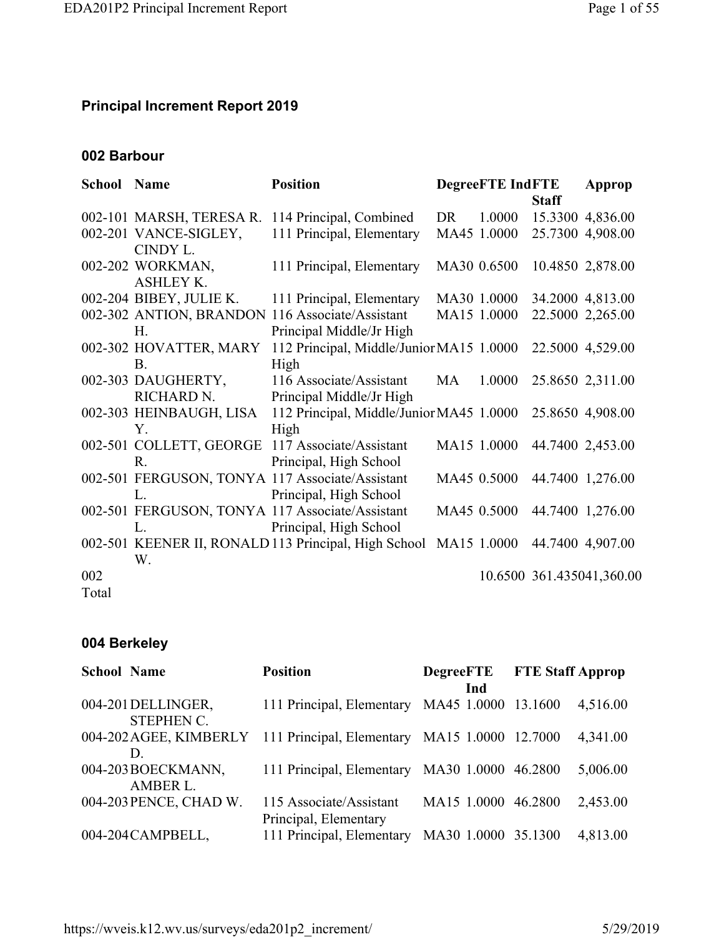## **Principal Increment Report 2019**

## **002 Barbour**

| <b>School Name</b> |                          | <b>Position</b>                                      |    | <b>DegreeFTE IndFTE</b> |              | Approp                    |
|--------------------|--------------------------|------------------------------------------------------|----|-------------------------|--------------|---------------------------|
|                    |                          |                                                      |    |                         | <b>Staff</b> |                           |
|                    | 002-101 MARSH, TERESA R. | 114 Principal, Combined                              | DR | 1.0000                  |              | 15.3300 4,836.00          |
|                    | 002-201 VANCE-SIGLEY,    | 111 Principal, Elementary                            |    | MA45 1.0000             |              | 25.7300 4,908.00          |
|                    | CINDY L.                 |                                                      |    |                         |              |                           |
|                    | 002-202 WORKMAN,         | 111 Principal, Elementary                            |    | MA30 0.6500             |              | 10.4850 2,878.00          |
|                    | <b>ASHLEY K.</b>         |                                                      |    |                         |              |                           |
|                    | 002-204 BIBEY, JULIE K.  | 111 Principal, Elementary                            |    | MA30 1.0000             |              | 34.2000 4,813.00          |
|                    |                          | 002-302 ANTION, BRANDON 116 Associate/Assistant      |    | MA15 1.0000             |              | 22.5000 2,265.00          |
|                    | H.                       | Principal Middle/Jr High                             |    |                         |              |                           |
|                    | 002-302 HOVATTER, MARY   | 112 Principal, Middle/Junior MA15 1.0000             |    |                         |              | 22.5000 4,529.00          |
|                    | B.                       | High                                                 |    |                         |              |                           |
|                    | 002-303 DAUGHERTY,       | 116 Associate/Assistant                              | MA | 1.0000                  |              | 25.8650 2,311.00          |
|                    | RICHARD N.               | Principal Middle/Jr High                             |    |                         |              |                           |
|                    | 002-303 HEINBAUGH, LISA  | 112 Principal, Middle/Junior MA45 1.0000             |    |                         |              | 25.8650 4,908.00          |
|                    | $Y_{-}$                  | High                                                 |    |                         |              |                           |
|                    | 002-501 COLLETT, GEORGE  | 117 Associate/Assistant                              |    | MA15 1.0000             |              | 44.7400 2,453.00          |
|                    | R.                       | Principal, High School                               |    |                         |              |                           |
|                    |                          | 002-501 FERGUSON, TONYA 117 Associate/Assistant      |    | MA45 0.5000             |              | 44.7400 1,276.00          |
|                    | L.                       | Principal, High School                               |    |                         |              |                           |
|                    |                          | 002-501 FERGUSON, TONYA 117 Associate/Assistant      |    | MA45 0.5000             |              | 44.7400 1,276.00          |
|                    | L.                       | Principal, High School                               |    |                         |              |                           |
|                    |                          | 002-501 KEENER II, RONALD 113 Principal, High School |    | MA15 1.0000             |              | 44.7400 4,907.00          |
|                    | W.                       |                                                      |    |                         |              |                           |
| 002                |                          |                                                      |    |                         |              | 10.6500 361.435041,360.00 |
| Total              |                          |                                                      |    |                         |              |                           |

### **004 Berkeley**

| <b>School Name</b>                      | <b>Position</b>                                  | <b>DegreeFTE</b>    | <b>FTE Staff Approp</b> |  |
|-----------------------------------------|--------------------------------------------------|---------------------|-------------------------|--|
|                                         |                                                  | Ind                 |                         |  |
| 004-201 DELLINGER,<br><b>STEPHEN C.</b> | 111 Principal, Elementary                        | MA45 1.0000 13.1600 | 4,516.00                |  |
| 004-202 AGEE, KIMBERLY<br>D.            | 111 Principal, Elementary MA15 1.0000 12.7000    |                     | 4,341.00                |  |
| 004-203 BOECKMANN,<br>AMBER L.          | 111 Principal, Elementary                        | MA30 1.0000 46.2800 | 5,006.00                |  |
| 004-203 PENCE, CHAD W.                  | 115 Associate/Assistant<br>Principal, Elementary | MA15 1.0000 46.2800 | 2,453.00                |  |
| 004-204 CAMPBELL,                       | 111 Principal, Elementary                        | MA30 1.0000 35.1300 | 4,813.00                |  |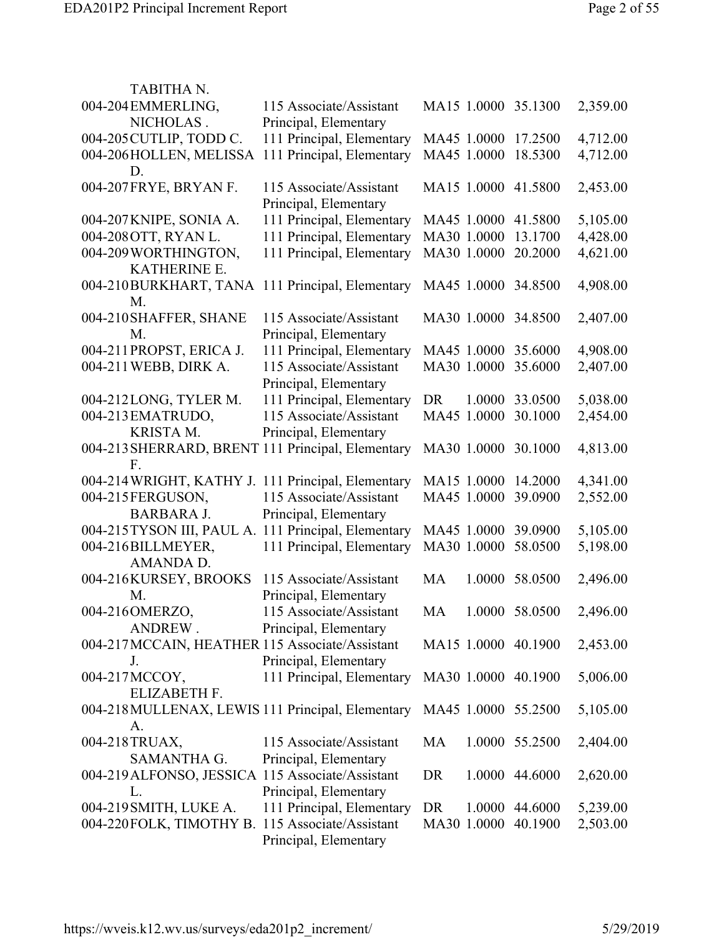| TABITHA N.                                              |                                                  |                     |                |          |
|---------------------------------------------------------|--------------------------------------------------|---------------------|----------------|----------|
| 004-204 EMMERLING,                                      | 115 Associate/Assistant                          | MA15 1.0000 35.1300 |                | 2,359.00 |
| NICHOLAS.                                               | Principal, Elementary                            |                     |                |          |
| 004-205 CUTLIP, TODD C.                                 | 111 Principal, Elementary                        | MA45 1.0000         | 17.2500        | 4,712.00 |
| 004-206HOLLEN, MELISSA                                  | 111 Principal, Elementary                        | MA45 1.0000         | 18.5300        | 4,712.00 |
| D.                                                      |                                                  |                     |                |          |
| 004-207 FRYE, BRYAN F.                                  | 115 Associate/Assistant<br>Principal, Elementary | MA15 1.0000 41.5800 |                | 2,453.00 |
| 004-207 KNIPE, SONIA A.                                 | 111 Principal, Elementary                        | MA45 1.0000 41.5800 |                | 5,105.00 |
| 004-208 OTT, RYAN L.                                    | 111 Principal, Elementary                        | MA30 1.0000         | 13.1700        | 4,428.00 |
| 004-209 WORTHINGTON,                                    | 111 Principal, Elementary                        | MA30 1.0000         | 20.2000        | 4,621.00 |
| <b>KATHERINE E.</b>                                     |                                                  |                     |                |          |
| 004-210BURKHART, TANA 111 Principal, Elementary<br>M.   |                                                  | MA45 1.0000 34.8500 |                | 4,908.00 |
| 004-210 SHAFFER, SHANE                                  | 115 Associate/Assistant                          | MA30 1.0000 34.8500 |                | 2,407.00 |
| M.                                                      | Principal, Elementary                            |                     |                |          |
| 004-211 PROPST, ERICA J.                                | 111 Principal, Elementary                        | MA45 1.0000         | 35.6000        | 4,908.00 |
| 004-211 WEBB, DIRK A.                                   | 115 Associate/Assistant                          | MA30 1.0000         | 35.6000        | 2,407.00 |
|                                                         | Principal, Elementary                            |                     |                |          |
| 004-212LONG, TYLER M.                                   | 111 Principal, Elementary                        | DR                  | 1.0000 33.0500 | 5,038.00 |
| 004-213 EMATRUDO,                                       | 115 Associate/Assistant                          | MA45 1.0000         | 30.1000        | 2,454.00 |
| KRISTA M.                                               | Principal, Elementary                            |                     |                |          |
| 004-213 SHERRARD, BRENT 111 Principal, Elementary<br>F. |                                                  | MA30 1.0000 30.1000 |                | 4,813.00 |
| 004-214 WRIGHT, KATHY J.                                | 111 Principal, Elementary                        | MA15 1.0000         | 14.2000        | 4,341.00 |
| 004-215FERGUSON,                                        | 115 Associate/Assistant                          | MA45 1.0000         | 39.0900        | 2,552.00 |
| <b>BARBARA J.</b>                                       | Principal, Elementary                            |                     |                |          |
| 004-215 TYSON III, PAUL A. 111 Principal, Elementary    |                                                  | MA45 1.0000         | 39.0900        | 5,105.00 |
| 004-216BILLMEYER,                                       | 111 Principal, Elementary                        | MA30 1.0000         | 58.0500        | 5,198.00 |
| AMANDA D.                                               |                                                  |                     |                |          |
| 004-216KURSEY, BROOKS                                   | 115 Associate/Assistant                          | MA                  | 1.0000 58.0500 | 2,496.00 |
| M.                                                      | Principal, Elementary                            |                     |                |          |
| 004-216OMERZO,                                          | 115 Associate/Assistant                          | MA                  | 1.0000 58.0500 | 2,496.00 |
| ANDREW.                                                 | Principal, Elementary                            |                     |                |          |
| 004-217 MCCAIN, HEATHER 115 Associate/Assistant         |                                                  | MA15 1.0000 40.1900 |                | 2,453.00 |
| J.                                                      | Principal, Elementary                            |                     |                |          |
| 004-217MCCOY,                                           | 111 Principal, Elementary                        | MA30 1.0000 40.1900 |                | 5,006.00 |
| ELIZABETH F.                                            |                                                  |                     |                |          |
| 004-218 MULLENAX, LEWIS 111 Principal, Elementary       |                                                  | MA45 1.0000 55.2500 |                | 5,105.00 |
| А.                                                      |                                                  |                     |                |          |
| 004-218TRUAX,                                           | 115 Associate/Assistant                          | MA                  | 1.0000 55.2500 | 2,404.00 |
| <b>SAMANTHA G.</b>                                      | Principal, Elementary                            |                     |                |          |
| 004-219 ALFONSO, JESSICA 115 Associate/Assistant        |                                                  | DR                  | 1.0000 44.6000 | 2,620.00 |
| L.                                                      | Principal, Elementary                            |                     |                |          |
| 004-219 SMITH, LUKE A.                                  | 111 Principal, Elementary                        | DR                  | 1.0000 44.6000 | 5,239.00 |
| 004-220FOLK, TIMOTHY B. 115 Associate/Assistant         | Principal, Elementary                            | MA30 1.0000 40.1900 |                | 2,503.00 |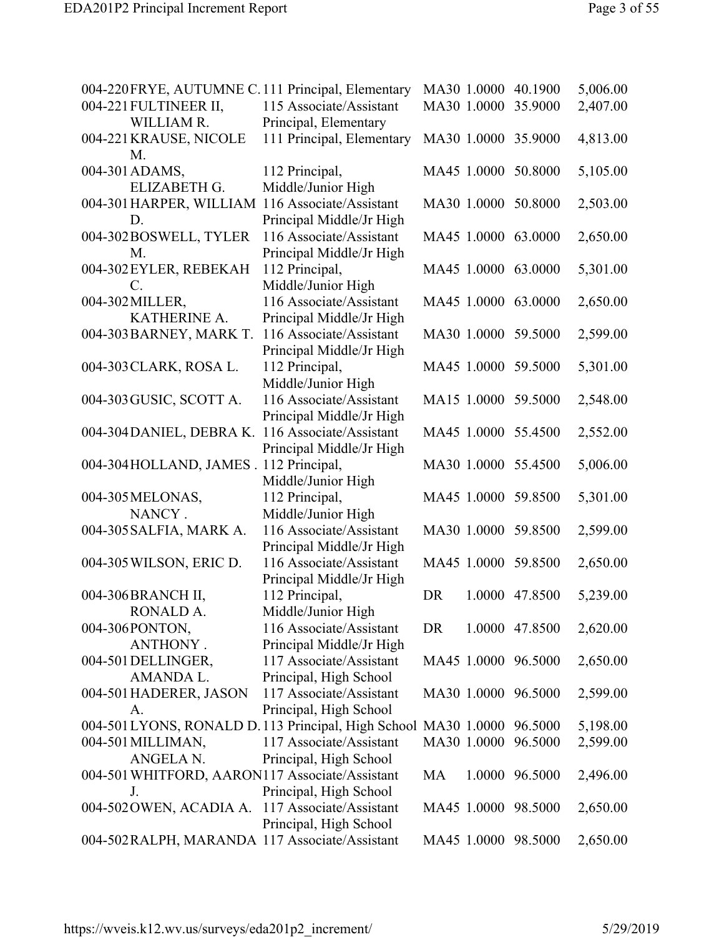| 004-220 FRYE, AUTUMNE C. 111 Principal, Elementary                      |                           |             |             | MA30 1.0000 40.1900 | 5,006.00 |
|-------------------------------------------------------------------------|---------------------------|-------------|-------------|---------------------|----------|
| 004-221 FULTINEER II,                                                   | 115 Associate/Assistant   |             | MA30 1.0000 | 35.9000             | 2,407.00 |
| WILLIAM R.                                                              | Principal, Elementary     |             |             |                     |          |
| 004-221 KRAUSE, NICOLE<br>M.                                            | 111 Principal, Elementary |             |             | MA30 1.0000 35.9000 | 4,813.00 |
| 004-301 ADAMS,                                                          | 112 Principal,            |             |             | MA45 1.0000 50.8000 | 5,105.00 |
| ELIZABETH G.                                                            | Middle/Junior High        |             |             |                     |          |
|                                                                         |                           |             |             |                     |          |
| 004-301 HARPER, WILLIAM 116 Associate/Assistant                         |                           |             |             | MA30 1.0000 50.8000 | 2,503.00 |
| D.                                                                      | Principal Middle/Jr High  |             |             |                     |          |
| 004-302BOSWELL, TYLER                                                   | 116 Associate/Assistant   |             |             | MA45 1.0000 63.0000 | 2,650.00 |
| M.                                                                      | Principal Middle/Jr High  |             |             |                     |          |
| 004-302 EYLER, REBEKAH                                                  | 112 Principal,            |             |             | MA45 1.0000 63.0000 | 5,301.00 |
| C.                                                                      | Middle/Junior High        |             |             |                     |          |
| 004-302 MILLER,                                                         | 116 Associate/Assistant   |             |             | MA45 1.0000 63.0000 | 2,650.00 |
| KATHERINE A.                                                            | Principal Middle/Jr High  |             |             |                     |          |
| 004-303 BARNEY, MARK T.                                                 | 116 Associate/Assistant   |             |             | MA30 1.0000 59.5000 | 2,599.00 |
|                                                                         |                           |             |             |                     |          |
|                                                                         | Principal Middle/Jr High  |             |             |                     |          |
| 004-303 CLARK, ROSA L.                                                  | 112 Principal,            |             |             | MA45 1.0000 59.5000 | 5,301.00 |
|                                                                         | Middle/Junior High        |             |             |                     |          |
| 004-303 GUSIC, SCOTT A.                                                 | 116 Associate/Assistant   |             |             | MA15 1.0000 59.5000 | 2,548.00 |
|                                                                         | Principal Middle/Jr High  |             |             |                     |          |
| 004-304 DANIEL, DEBRA K.                                                | 116 Associate/Assistant   |             |             | MA45 1.0000 55.4500 | 2,552.00 |
|                                                                         | Principal Middle/Jr High  |             |             |                     |          |
| 004-304 HOLLAND, JAMES . 112 Principal,                                 |                           |             |             | MA30 1.0000 55.4500 | 5,006.00 |
|                                                                         | Middle/Junior High        |             |             |                     |          |
|                                                                         |                           |             |             |                     |          |
| 004-305 MELONAS,                                                        | 112 Principal,            |             |             | MA45 1.0000 59.8500 | 5,301.00 |
| NANCY.                                                                  | Middle/Junior High        |             |             |                     |          |
| 004-305 SALFIA, MARK A.                                                 | 116 Associate/Assistant   |             |             | MA30 1.0000 59.8500 | 2,599.00 |
|                                                                         | Principal Middle/Jr High  |             |             |                     |          |
| 004-305 WILSON, ERIC D.                                                 | 116 Associate/Assistant   |             |             | MA45 1.0000 59.8500 | 2,650.00 |
|                                                                         | Principal Middle/Jr High  |             |             |                     |          |
| 004-306BRANCH II,                                                       | 112 Principal,            | <b>DR</b>   |             | 1.0000 47.8500      | 5,239.00 |
| RONALD A.                                                               | Middle/Junior High        |             |             |                     |          |
| 004-306PONTON,                                                          | 116 Associate/Assistant   | DR          |             | 1.0000 47.8500      | 2,620.00 |
| ANTHONY.                                                                | Principal Middle/Jr High  |             |             |                     |          |
|                                                                         | 117 Associate/Assistant   |             |             |                     |          |
| 004-501 DELLINGER,                                                      |                           |             |             | MA45 1.0000 96.5000 | 2,650.00 |
| AMANDA L.                                                               | Principal, High School    |             |             |                     |          |
| 004-501 HADERER, JASON                                                  | 117 Associate/Assistant   |             |             | MA30 1.0000 96.5000 | 2,599.00 |
| А.                                                                      | Principal, High School    |             |             |                     |          |
| 004-501 LYONS, RONALD D. 113 Principal, High School MA30 1.0000 96.5000 |                           |             |             |                     | 5,198.00 |
| 004-501 MILLIMAN,                                                       | 117 Associate/Assistant   | MA30 1.0000 |             | 96.5000             | 2,599.00 |
| ANGELA N.                                                               | Principal, High School    |             |             |                     |          |
| 004-501 WHITFORD, AARON117 Associate/Assistant                          |                           | MA          |             | 1.0000 96.5000      | 2,496.00 |
| J.                                                                      | Principal, High School    |             |             |                     |          |
| 004-502 OWEN, ACADIA A.                                                 | 117 Associate/Assistant   |             |             | MA45 1.0000 98.5000 | 2,650.00 |
|                                                                         |                           |             |             |                     |          |
|                                                                         | Principal, High School    |             |             |                     |          |
| 004-502 RALPH, MARANDA 117 Associate/Assistant                          |                           |             |             | MA45 1.0000 98.5000 | 2,650.00 |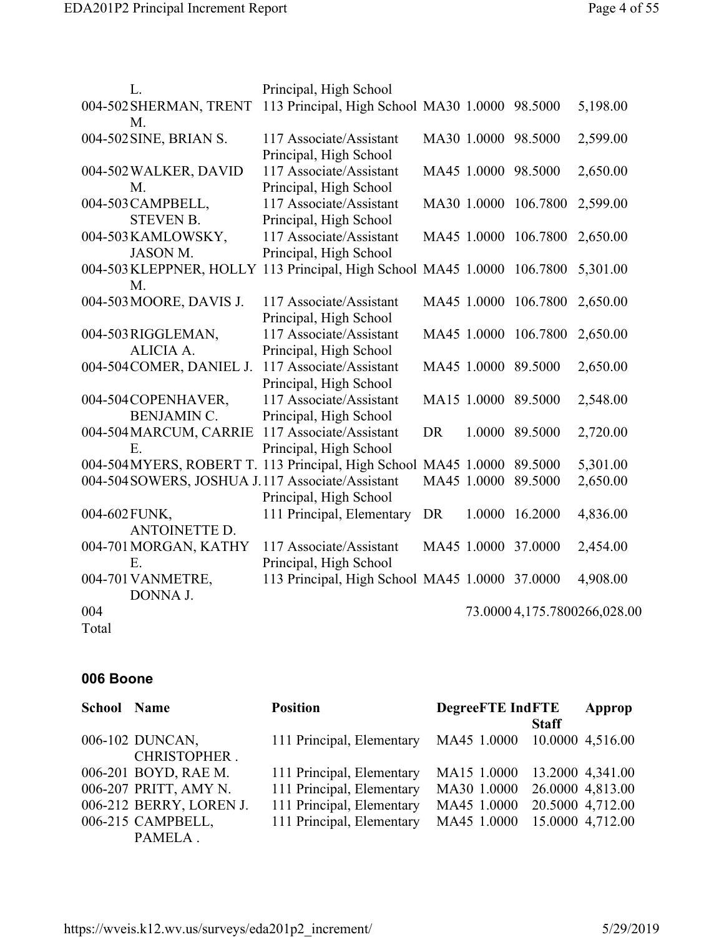| L.                                                                      | Principal, High School                         |           |             |                     |                              |
|-------------------------------------------------------------------------|------------------------------------------------|-----------|-------------|---------------------|------------------------------|
| 004-502 SHERMAN, TRENT                                                  | 113 Principal, High School MA30 1.0000 98.5000 |           |             |                     | 5,198.00                     |
| M.                                                                      |                                                |           |             |                     |                              |
| 004-502 SINE, BRIAN S.                                                  | 117 Associate/Assistant                        |           |             | MA30 1.0000 98.5000 | 2,599.00                     |
|                                                                         | Principal, High School                         |           |             |                     |                              |
| 004-502 WALKER, DAVID                                                   | 117 Associate/Assistant                        |           |             | MA45 1.0000 98.5000 | 2,650.00                     |
| M.                                                                      | Principal, High School                         |           |             |                     |                              |
| 004-503 CAMPBELL,                                                       | 117 Associate/Assistant                        |           | MA30 1.0000 | 106.7800            | 2,599.00                     |
| <b>STEVEN B.</b>                                                        | Principal, High School                         |           |             |                     |                              |
| 004-503 KAMLOWSKY,                                                      | 117 Associate/Assistant                        |           | MA45 1.0000 | 106.7800            | 2,650.00                     |
| <b>JASON M.</b>                                                         | Principal, High School                         |           |             |                     |                              |
| 004-503 KLEPPNER, HOLLY 113 Principal, High School MA45 1.0000 106.7800 |                                                |           |             |                     | 5,301.00                     |
| M.                                                                      |                                                |           |             |                     |                              |
| 004-503 MOORE, DAVIS J.                                                 | 117 Associate/Assistant                        |           | MA45 1.0000 | 106.7800            | 2,650.00                     |
|                                                                         | Principal, High School                         |           |             |                     |                              |
| 004-503 RIGGLEMAN,                                                      | 117 Associate/Assistant                        |           | MA45 1.0000 | 106.7800            | 2,650.00                     |
| ALICIA A.                                                               | Principal, High School                         |           |             |                     |                              |
| 004-504 COMER, DANIEL J.                                                | 117 Associate/Assistant                        |           |             | MA45 1.0000 89.5000 | 2,650.00                     |
|                                                                         | Principal, High School                         |           |             |                     |                              |
| 004-504 COPENHAVER,                                                     | 117 Associate/Assistant                        |           |             | MA15 1.0000 89.5000 | 2,548.00                     |
| <b>BENJAMIN C.</b>                                                      | Principal, High School                         |           |             |                     |                              |
| 004-504 MARCUM, CARRIE                                                  | 117 Associate/Assistant                        | <b>DR</b> |             | 1.0000 89.5000      | 2,720.00                     |
| Ε.                                                                      | Principal, High School                         |           |             |                     |                              |
| 004-504 MYERS, ROBERT T. 113 Principal, High School MA45 1.0000 89.5000 |                                                |           |             |                     | 5,301.00                     |
| 004-504 SOWERS, JOSHUA J.117 Associate/Assistant                        |                                                |           | MA45 1.0000 | 89.5000             | 2,650.00                     |
|                                                                         | Principal, High School                         |           |             |                     |                              |
| 004-602 FUNK,                                                           | 111 Principal, Elementary                      | <b>DR</b> | 1.0000      | 16.2000             | 4,836.00                     |
| <b>ANTOINETTE D.</b>                                                    |                                                |           |             |                     |                              |
| 004-701 MORGAN, KATHY                                                   | 117 Associate/Assistant                        |           | MA45 1.0000 | 37.0000             | 2,454.00                     |
| Ε.                                                                      | Principal, High School                         |           |             |                     |                              |
| 004-701 VANMETRE,                                                       | 113 Principal, High School MA45 1.0000 37.0000 |           |             |                     | 4,908.00                     |
| DONNA J.                                                                |                                                |           |             |                     |                              |
| 004                                                                     |                                                |           |             |                     | 73.0000 4,175.7800266,028.00 |
| Total                                                                   |                                                |           |             |                     |                              |

#### **006 Boone**

| <b>School Name</b> |                         | <b>Position</b>           | <b>DegreeFTE IndFTE</b>      | Approp           |
|--------------------|-------------------------|---------------------------|------------------------------|------------------|
|                    |                         |                           | <b>Staff</b>                 |                  |
|                    | 006-102 DUNCAN,         | 111 Principal, Elementary | MA45 1.0000 10.0000 4,516.00 |                  |
|                    | CHRISTOPHER.            |                           |                              |                  |
|                    | 006-201 BOYD, RAE M.    | 111 Principal, Elementary | MA15 1.0000                  | 13.2000 4,341.00 |
|                    | 006-207 PRITT, AMY N.   | 111 Principal, Elementary | MA30 1.0000                  | 26.0000 4,813.00 |
|                    | 006-212 BERRY, LOREN J. | 111 Principal, Elementary | MA45 1.0000                  | 20.5000 4,712.00 |
|                    | 006-215 CAMPBELL,       | 111 Principal, Elementary | MA45 1.0000                  | 15.0000 4,712.00 |
|                    | PAMELA.                 |                           |                              |                  |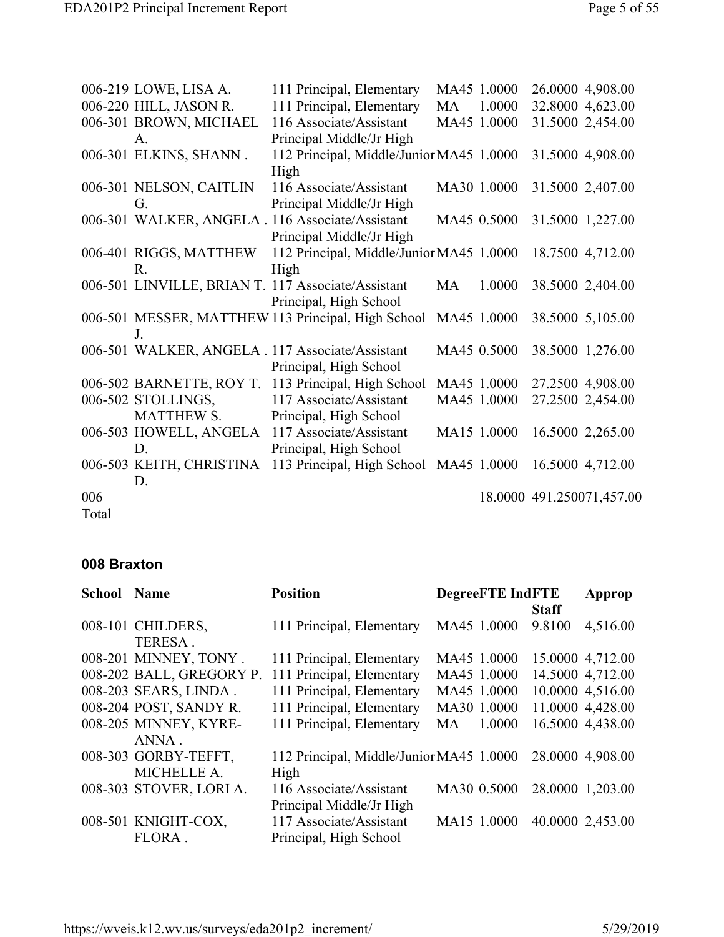|       | 006-219 LOWE, LISA A.    | 111 Principal, Elementary                                                   |    | MA45 1.0000 | 26.0000 4,908.00          |
|-------|--------------------------|-----------------------------------------------------------------------------|----|-------------|---------------------------|
|       | 006-220 HILL, JASON R.   | 111 Principal, Elementary                                                   | MA | 1.0000      | 32.8000 4,623.00          |
|       | 006-301 BROWN, MICHAEL   | 116 Associate/Assistant                                                     |    | MA45 1.0000 | 31.5000 2,454.00          |
|       | A.                       | Principal Middle/Jr High                                                    |    |             |                           |
|       | 006-301 ELKINS, SHANN.   | 112 Principal, Middle/Junior MA45 1.0000<br>High                            |    |             | 31.5000 4,908.00          |
|       | 006-301 NELSON, CAITLIN  | 116 Associate/Assistant                                                     |    | MA30 1.0000 | 31.5000 2,407.00          |
|       | G.                       | Principal Middle/Jr High                                                    |    |             |                           |
|       |                          | 006-301 WALKER, ANGELA. 116 Associate/Assistant<br>Principal Middle/Jr High |    | MA45 0.5000 | 31.5000 1,227.00          |
|       | 006-401 RIGGS, MATTHEW   | 112 Principal, Middle/Junior MA45 1.0000                                    |    |             | 18.7500 4,712.00          |
|       | R.                       | High                                                                        |    |             |                           |
|       |                          | 006-501 LINVILLE, BRIAN T. 117 Associate/Assistant                          | MA | 1.0000      | 38.5000 2,404.00          |
|       |                          | Principal, High School                                                      |    |             |                           |
|       |                          | 006-501 MESSER, MATTHEW 113 Principal, High School MA45 1.0000              |    |             | 38.5000 5,105.00          |
|       | J <sub>1</sub>           |                                                                             |    |             |                           |
|       |                          | 006-501 WALKER, ANGELA . 117 Associate/Assistant                            |    | MA45 0.5000 | 38.5000 1,276.00          |
|       |                          | Principal, High School                                                      |    |             |                           |
|       |                          | 006-502 BARNETTE, ROY T. 113 Principal, High School                         |    | MA45 1.0000 | 27.2500 4,908.00          |
|       | 006-502 STOLLINGS,       | 117 Associate/Assistant                                                     |    | MA45 1.0000 | 27.2500 2,454.00          |
|       | <b>MATTHEW S.</b>        | Principal, High School                                                      |    |             |                           |
|       |                          | 006-503 HOWELL, ANGELA 117 Associate/Assistant                              |    | MA15 1.0000 | 16.5000 2,265.00          |
|       | D.                       | Principal, High School                                                      |    |             |                           |
|       | 006-503 KEITH, CHRISTINA | 113 Principal, High School                                                  |    | MA45 1.0000 | 16.5000 4,712.00          |
|       | D.                       |                                                                             |    |             |                           |
| 006   |                          |                                                                             |    |             | 18.0000 491.250071,457.00 |
| Total |                          |                                                                             |    |             |                           |

#### **008 Braxton**

| <b>School Name</b> |                          | <b>Position</b>                          | <b>DegreeFTE IndFTE</b> |              | Approp           |
|--------------------|--------------------------|------------------------------------------|-------------------------|--------------|------------------|
|                    |                          |                                          |                         | <b>Staff</b> |                  |
|                    | 008-101 CHILDERS,        | 111 Principal, Elementary                | MA45 1.0000             | 9.8100       | 4,516.00         |
|                    | TERESA.                  |                                          |                         |              |                  |
|                    | 008-201 MINNEY, TONY.    | 111 Principal, Elementary                | MA45 1.0000             |              | 15.0000 4,712.00 |
|                    | 008-202 BALL, GREGORY P. | 111 Principal, Elementary                | MA45 1.0000             |              | 14.5000 4,712.00 |
|                    | 008-203 SEARS, LINDA.    | 111 Principal, Elementary                | MA45 1.0000             |              | 10.0000 4,516.00 |
|                    | 008-204 POST, SANDY R.   | 111 Principal, Elementary                | MA30 1.0000             |              | 11.0000 4,428.00 |
|                    | 008-205 MINNEY, KYRE-    | 111 Principal, Elementary                | 1.0000<br>MA            |              | 16.5000 4,438.00 |
|                    | ANNA.                    |                                          |                         |              |                  |
|                    | 008-303 GORBY-TEFFT,     | 112 Principal, Middle/Junior MA45 1.0000 |                         |              | 28.0000 4,908.00 |
|                    | MICHELLE A.              | High                                     |                         |              |                  |
|                    | 008-303 STOVER, LORI A.  | 116 Associate/Assistant                  | MA30 0.5000             |              | 28.0000 1,203.00 |
|                    |                          | Principal Middle/Jr High                 |                         |              |                  |
|                    | 008-501 KNIGHT-COX,      | 117 Associate/Assistant                  | MA15 1.0000             |              | 40.0000 2,453.00 |
|                    | FLORA.                   | Principal, High School                   |                         |              |                  |
|                    |                          |                                          |                         |              |                  |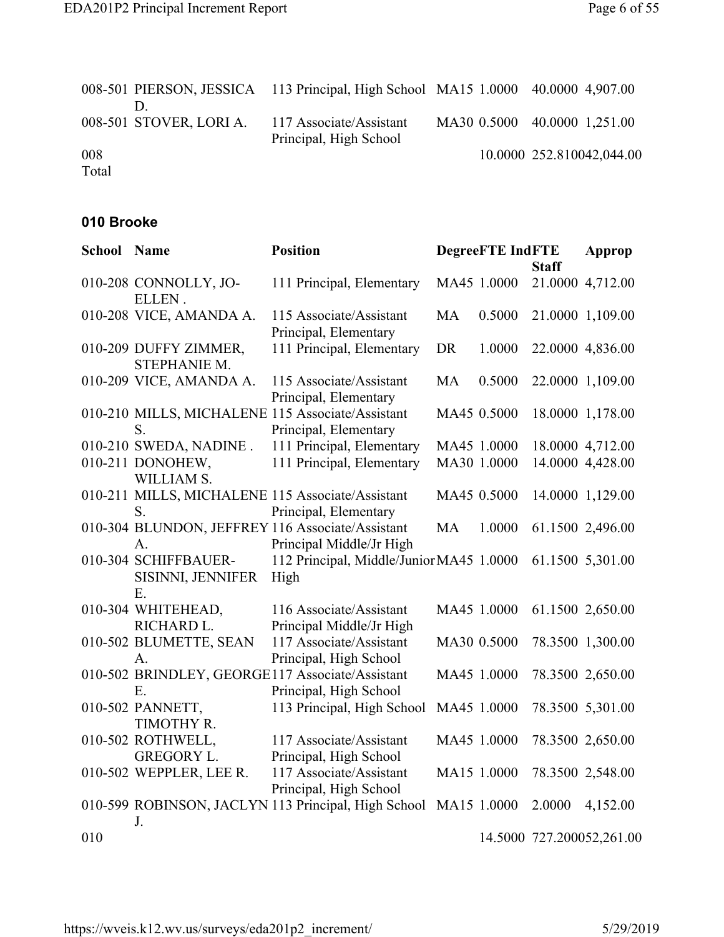|       |                         | 008-501 PIERSON, JESSICA 113 Principal, High School MA15 1.0000 40.0000 4,907.00 |  |                              |
|-------|-------------------------|----------------------------------------------------------------------------------|--|------------------------------|
|       | 008-501 STOVER, LORI A. | 117 Associate/Assistant<br>Principal, High School                                |  | MA30 0.5000 40.0000 1,251.00 |
| 008   |                         |                                                                                  |  | 10.0000 252.810042,044.00    |
| Total |                         |                                                                                  |  |                              |

#### **010 Brooke**

| <b>School Name</b> |                                                 | <b>Position</b>                                                              |           | <b>DegreeFTE IndFTE</b> |              | Approp                    |
|--------------------|-------------------------------------------------|------------------------------------------------------------------------------|-----------|-------------------------|--------------|---------------------------|
|                    |                                                 |                                                                              |           |                         | <b>Staff</b> |                           |
|                    | 010-208 CONNOLLY, JO-<br>ELLEN.                 | 111 Principal, Elementary                                                    |           | MA45 1.0000             |              | 21.0000 4,712.00          |
|                    | 010-208 VICE, AMANDA A.                         | 115 Associate/Assistant<br>Principal, Elementary                             | <b>MA</b> | 0.5000                  |              | 21.0000 1,109.00          |
|                    | 010-209 DUFFY ZIMMER,<br>STEPHANIE M.           | 111 Principal, Elementary                                                    | <b>DR</b> | 1.0000                  |              | 22.0000 4,836.00          |
|                    | 010-209 VICE, AMANDA A.                         | 115 Associate/Assistant<br>Principal, Elementary                             | <b>MA</b> | 0.5000                  |              | 22.0000 1,109.00          |
|                    | S.                                              | 010-210 MILLS, MICHALENE 115 Associate/Assistant<br>Principal, Elementary    |           | MA45 0.5000             |              | 18.0000 1,178.00          |
|                    | 010-210 SWEDA, NADINE.                          | 111 Principal, Elementary                                                    |           | MA45 1.0000             |              | 18.0000 4,712.00          |
|                    | 010-211 DONOHEW,<br>WILLIAM S.                  | 111 Principal, Elementary                                                    |           | MA30 1.0000             |              | 14.0000 4,428.00          |
|                    | S.                                              | 010-211 MILLS, MICHALENE 115 Associate/Assistant<br>Principal, Elementary    |           | MA45 0.5000             |              | 14.0000 1,129.00          |
|                    | A.                                              | 010-304 BLUNDON, JEFFREY 116 Associate/Assistant<br>Principal Middle/Jr High | <b>MA</b> | 1.0000                  |              | 61.1500 2,496.00          |
|                    | 010-304 SCHIFFBAUER-<br>SISINNI, JENNIFER<br>E. | 112 Principal, Middle/Junior MA45 1.0000<br>High                             |           |                         |              | 61.1500 5,301.00          |
|                    | 010-304 WHITEHEAD,<br>RICHARD L.                | 116 Associate/Assistant<br>Principal Middle/Jr High                          |           | MA45 1.0000             |              | 61.1500 2,650.00          |
|                    | 010-502 BLUMETTE, SEAN<br>A.                    | 117 Associate/Assistant<br>Principal, High School                            |           | MA30 0.5000             |              | 78.3500 1,300.00          |
|                    | Ε.                                              | 010-502 BRINDLEY, GEORGE117 Associate/Assistant<br>Principal, High School    |           | MA45 1.0000             |              | 78.3500 2,650.00          |
|                    | 010-502 PANNETT,<br>TIMOTHY R.                  | 113 Principal, High School                                                   |           | MA45 1.0000             |              | 78.3500 5,301.00          |
|                    | 010-502 ROTHWELL,<br><b>GREGORY L.</b>          | 117 Associate/Assistant<br>Principal, High School                            |           | MA45 1.0000             |              | 78.3500 2,650.00          |
|                    | 010-502 WEPPLER, LEE R.                         | 117 Associate/Assistant<br>Principal, High School                            |           | MA15 1.0000             |              | 78.3500 2,548.00          |
|                    | J.                                              | 010-599 ROBINSON, JACLYN 113 Principal, High School                          |           | MA15 1.0000             | 2.0000       | 4,152.00                  |
| 010                |                                                 |                                                                              |           |                         |              | 14.5000 727.200052,261.00 |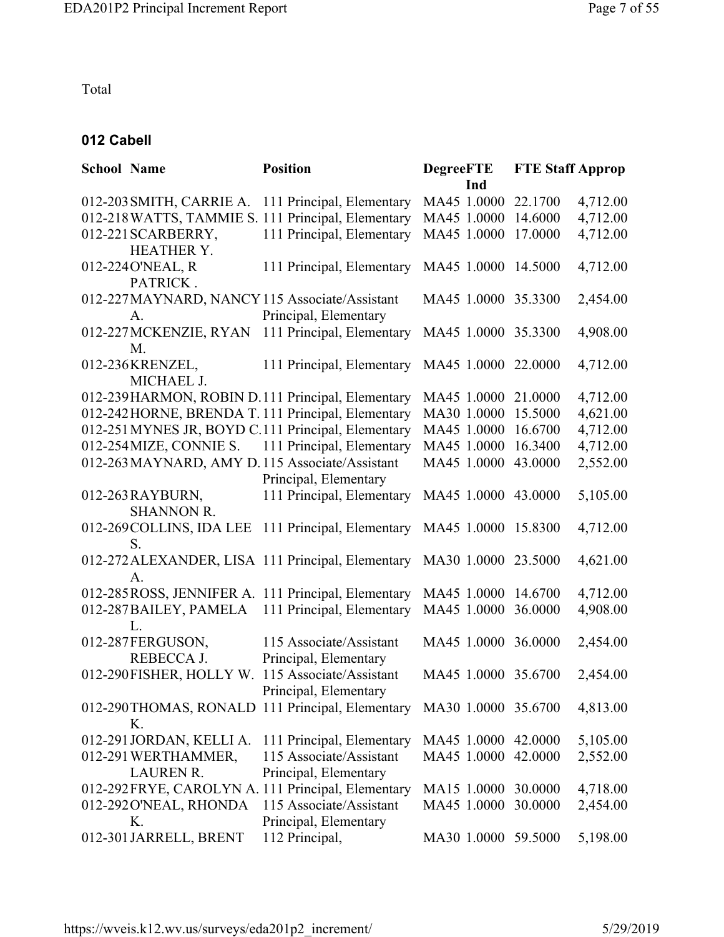Total

## **012 Cabell**

| <b>School Name</b> |                          | <b>Position</b>                                     | <b>DegreeFTE</b>    | <b>FTE Staff Approp</b> |          |
|--------------------|--------------------------|-----------------------------------------------------|---------------------|-------------------------|----------|
|                    |                          |                                                     | Ind                 |                         |          |
|                    | 012-203 SMITH, CARRIE A. | 111 Principal, Elementary                           | MA45 1.0000         | 22.1700                 | 4,712.00 |
|                    |                          | 012-218 WATTS, TAMMIE S. 111 Principal, Elementary  | MA45 1.0000         | 14.6000                 | 4,712.00 |
|                    | 012-221 SCARBERRY,       | 111 Principal, Elementary                           | MA45 1.0000         | 17.0000                 | 4,712.00 |
|                    | <b>HEATHER Y.</b>        |                                                     |                     |                         |          |
|                    | 012-224 O'NEAL, R        | 111 Principal, Elementary                           | MA45 1.0000         | 14.5000                 | 4,712.00 |
|                    | PATRICK.                 |                                                     |                     |                         |          |
|                    |                          | 012-227 MAYNARD, NANCY 115 Associate/Assistant      | MA45 1.0000 35.3300 |                         | 2,454.00 |
|                    | А.                       | Principal, Elementary                               |                     |                         |          |
|                    | 012-227 MCKENZIE, RYAN   | 111 Principal, Elementary                           | MA45 1.0000 35.3300 |                         | 4,908.00 |
|                    | M.                       |                                                     |                     |                         |          |
|                    | 012-236KRENZEL,          | 111 Principal, Elementary                           | MA45 1.0000 22.0000 |                         | 4,712.00 |
|                    | MICHAEL J.               |                                                     |                     |                         |          |
|                    |                          | 012-239HARMON, ROBIN D.111 Principal, Elementary    | MA45 1.0000         | 21.0000                 | 4,712.00 |
|                    |                          | 012-242 HORNE, BRENDA T. 111 Principal, Elementary  | MA30 1.0000         | 15.5000                 | 4,621.00 |
|                    |                          | 012-251 MYNES JR, BOYD C.111 Principal, Elementary  | MA45 1.0000         | 16.6700                 | 4,712.00 |
|                    |                          | 012-254 MIZE, CONNIE S. 111 Principal, Elementary   | MA45 1.0000         | 16.3400                 | 4,712.00 |
|                    |                          | 012-263 MAYNARD, AMY D.115 Associate/Assistant      | MA45 1.0000         | 43.0000                 | 2,552.00 |
|                    |                          | Principal, Elementary                               |                     |                         |          |
|                    | 012-263 RAYBURN,         | 111 Principal, Elementary                           | MA45 1.0000 43.0000 |                         | 5,105.00 |
|                    | <b>SHANNON R.</b>        |                                                     |                     |                         |          |
|                    |                          | 012-269 COLLINS, IDA LEE 111 Principal, Elementary  | MA45 1.0000 15.8300 |                         | 4,712.00 |
|                    | S.                       |                                                     |                     |                         |          |
|                    |                          | 012-272 ALEXANDER, LISA 111 Principal, Elementary   | MA30 1.0000         | 23.5000                 | 4,621.00 |
|                    | $\mathbf{A}$ .           |                                                     |                     |                         |          |
|                    |                          | 012-285 ROSS, JENNIFER A. 111 Principal, Elementary | MA45 1.0000         | 14.6700                 | 4,712.00 |
|                    | 012-287BAILEY, PAMELA    | 111 Principal, Elementary                           | MA45 1.0000         | 36.0000                 | 4,908.00 |
|                    | L.                       |                                                     |                     |                         |          |
|                    | 012-287FERGUSON,         | 115 Associate/Assistant                             | MA45 1.0000 36.0000 |                         | 2,454.00 |
|                    | REBECCA J.               | Principal, Elementary                               |                     |                         |          |
|                    | 012-290FISHER, HOLLY W.  | 115 Associate/Assistant                             | MA45 1.0000 35.6700 |                         | 2,454.00 |
|                    |                          | Principal, Elementary                               |                     |                         |          |
|                    |                          | 012-290THOMAS, RONALD 111 Principal, Elementary     | MA30 1.0000 35.6700 |                         | 4,813.00 |
|                    | Κ.                       |                                                     |                     |                         |          |
|                    | 012-291 JORDAN, KELLI A. | 111 Principal, Elementary                           | MA45 1.0000         | 42.0000                 | 5,105.00 |
|                    | 012-291 WERTHAMMER,      | 115 Associate/Assistant                             | MA45 1.0000         | 42.0000                 | 2,552.00 |
|                    | <b>LAUREN R.</b>         | Principal, Elementary                               |                     |                         |          |
|                    |                          | 012-292FRYE, CAROLYN A. 111 Principal, Elementary   | MA15 1.0000         | 30.0000                 | 4,718.00 |
|                    | 012-292 O'NEAL, RHONDA   | 115 Associate/Assistant                             | MA45 1.0000         | 30.0000                 | 2,454.00 |
|                    | К.                       | Principal, Elementary                               |                     |                         |          |
|                    | 012-301 JARRELL, BRENT   | 112 Principal,                                      | MA30 1.0000         | 59.5000                 | 5,198.00 |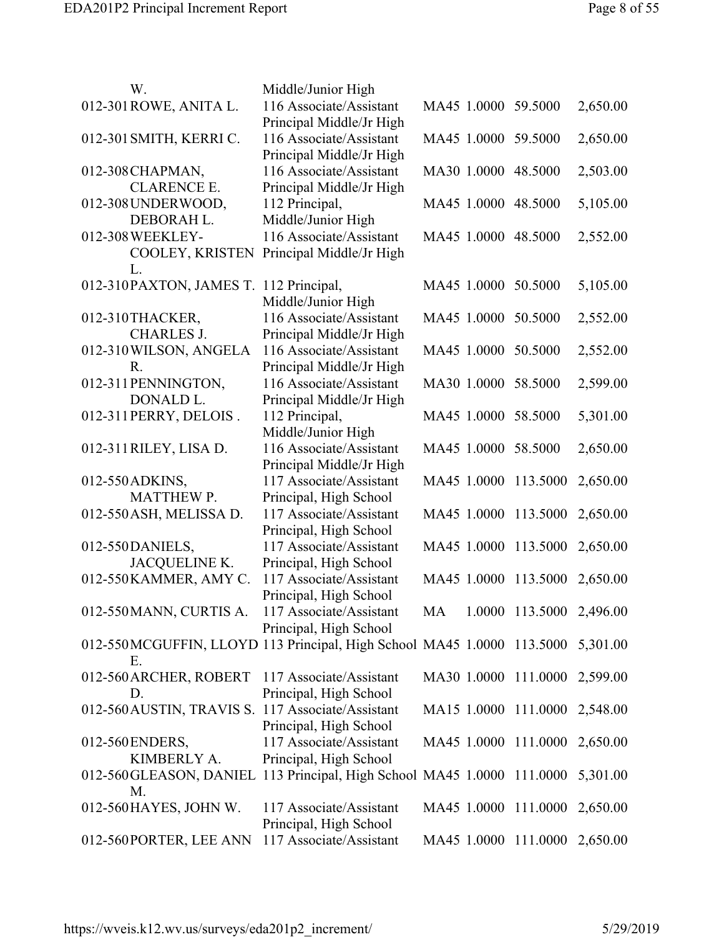| W.                                                                               | Middle/Junior High                                  |                               |                          |          |
|----------------------------------------------------------------------------------|-----------------------------------------------------|-------------------------------|--------------------------|----------|
| 012-301 ROWE, ANITA L.                                                           | 116 Associate/Assistant<br>Principal Middle/Jr High | MA45 1.0000 59.5000           |                          | 2,650.00 |
| 012-301 SMITH, KERRI C.                                                          | 116 Associate/Assistant                             | MA45 1.0000 59.5000           |                          | 2,650.00 |
| 012-308 CHAPMAN,                                                                 | Principal Middle/Jr High<br>116 Associate/Assistant | MA30 1.0000 48.5000           |                          | 2,503.00 |
| <b>CLARENCE E.</b>                                                               | Principal Middle/Jr High                            |                               |                          |          |
| 012-308 UNDER WOOD,                                                              | 112 Principal,                                      | MA45 1.0000 48.5000           |                          | 5,105.00 |
| DEBORAH L.                                                                       | Middle/Junior High                                  |                               |                          |          |
| 012-308 WEEKLEY-                                                                 | 116 Associate/Assistant                             | MA45 1.0000 48.5000           |                          | 2,552.00 |
| COOLEY, KRISTEN                                                                  | Principal Middle/Jr High                            |                               |                          |          |
| L.                                                                               |                                                     |                               |                          |          |
| 012-310PAXTON, JAMES T. 112 Principal,                                           |                                                     | MA45 1.0000 50.5000           |                          | 5,105.00 |
|                                                                                  | Middle/Junior High                                  |                               |                          |          |
| 012-310THACKER,                                                                  | 116 Associate/Assistant                             | MA45 1.0000 50.5000           |                          | 2,552.00 |
| <b>CHARLES J.</b>                                                                |                                                     |                               |                          |          |
|                                                                                  | Principal Middle/Jr High                            |                               |                          |          |
| 012-310 WILSON, ANGELA                                                           | 116 Associate/Assistant                             | MA45 1.0000 50.5000           |                          | 2,552.00 |
| R.                                                                               | Principal Middle/Jr High                            |                               |                          |          |
| 012-311 PENNINGTON,                                                              | 116 Associate/Assistant                             | MA30 1.0000 58.5000           |                          | 2,599.00 |
| DONALD L.                                                                        | Principal Middle/Jr High                            |                               |                          |          |
| 012-311 PERRY, DELOIS.                                                           | 112 Principal,                                      | MA45 1.0000 58.5000           |                          | 5,301.00 |
|                                                                                  | Middle/Junior High                                  |                               |                          |          |
| 012-311 RILEY, LISA D.                                                           | 116 Associate/Assistant                             | MA45 1.0000 58.5000           |                          | 2,650.00 |
|                                                                                  | Principal Middle/Jr High                            |                               |                          |          |
| 012-550 ADKINS,                                                                  | 117 Associate/Assistant                             | MA45 1.0000 113.5000          |                          | 2,650.00 |
| <b>MATTHEW P.</b>                                                                | Principal, High School                              |                               |                          |          |
| 012-550 ASH, MELISSA D.                                                          | 117 Associate/Assistant                             | MA45 1.0000 113.5000          |                          | 2,650.00 |
|                                                                                  | Principal, High School                              |                               |                          |          |
| 012-550DANIELS,                                                                  | 117 Associate/Assistant                             | MA45 1.0000 113.5000 2,650.00 |                          |          |
| JACQUELINE K.                                                                    | Principal, High School                              |                               |                          |          |
| 012-550 KAMMER, AMY C.                                                           | 117 Associate/Assistant                             | MA45 1.0000 113.5000          |                          | 2,650.00 |
|                                                                                  | Principal, High School                              |                               |                          |          |
| 012-550 MANN, CURTIS A.                                                          | 117 Associate/Assistant                             | MA                            | 1.0000 113.5000 2,496.00 |          |
|                                                                                  | Principal, High School                              |                               |                          |          |
| 012-550 MCGUFFIN, LLOYD 113 Principal, High School MA45 1.0000 113.5000 5,301.00 |                                                     |                               |                          |          |
| Ε.                                                                               |                                                     |                               |                          |          |
|                                                                                  |                                                     |                               |                          |          |
| 012-560 ARCHER, ROBERT 117 Associate/Assistant                                   |                                                     | MA30 1.0000 111.0000 2,599.00 |                          |          |
| D.                                                                               | Principal, High School                              |                               |                          |          |
| 012-560 AUSTIN, TRAVIS S. 117 Associate/Assistant                                |                                                     | MA15 1.0000 111.0000 2,548.00 |                          |          |
|                                                                                  | Principal, High School                              |                               |                          |          |
| 012-560 ENDERS,                                                                  | 117 Associate/Assistant                             | MA45 1.0000 111.0000 2,650.00 |                          |          |
| KIMBERLY A.                                                                      | Principal, High School                              |                               |                          |          |
| 012-560 GLEASON, DANIEL 113 Principal, High School MA45 1.0000 111.0000          |                                                     |                               |                          | 5,301.00 |
| M.                                                                               |                                                     |                               |                          |          |
| 012-560 HAYES, JOHN W.                                                           | 117 Associate/Assistant                             | MA45 1.0000 111.0000 2,650.00 |                          |          |
|                                                                                  | Principal, High School                              |                               |                          |          |
| 012-560PORTER, LEE ANN                                                           | 117 Associate/Assistant                             | MA45 1.0000 111.0000 2,650.00 |                          |          |
|                                                                                  |                                                     |                               |                          |          |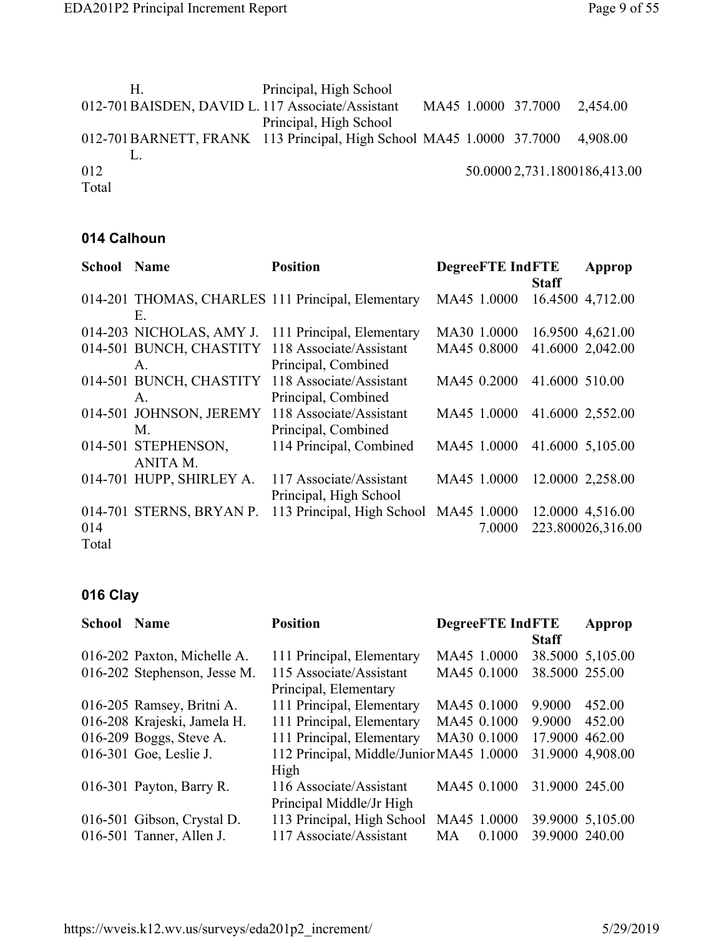|       | Н. | Principal, High School                                                        |  |                              |                              |
|-------|----|-------------------------------------------------------------------------------|--|------------------------------|------------------------------|
|       |    | 012-701 BAISDEN, DAVID L. 117 Associate/Assistant                             |  | MA45 1.0000 37.7000 2,454.00 |                              |
|       |    | Principal, High School                                                        |  |                              |                              |
|       |    | 012-701BARNETT, FRANK 113 Principal, High School MA45 1.0000 37.7000 4,908.00 |  |                              |                              |
|       |    |                                                                               |  |                              |                              |
| 012   |    |                                                                               |  |                              | 50.0000 2,731.1800186,413.00 |
| Total |    |                                                                               |  |                              |                              |
|       |    |                                                                               |  |                              |                              |

## **014 Calhoun**

| <b>School Name</b> |                          | <b>Position</b>                                   | <b>DegreeFTE IndFTE</b> | Approp            |
|--------------------|--------------------------|---------------------------------------------------|-------------------------|-------------------|
|                    |                          |                                                   |                         | <b>Staff</b>      |
|                    |                          | 014-201 THOMAS, CHARLES 111 Principal, Elementary | MA45 1.0000             | 16.4500 4,712.00  |
|                    | Е.                       |                                                   |                         |                   |
|                    | 014-203 NICHOLAS, AMY J. | 111 Principal, Elementary                         | MA30 1.0000             | 16.9500 4,621.00  |
|                    |                          | 014-501 BUNCH, CHASTITY 118 Associate/Assistant   | MA45 0.8000             | 41.6000 2,042.00  |
|                    | $\mathsf{A}$             | Principal, Combined                               |                         |                   |
|                    | 014-501 BUNCH, CHASTITY  | 118 Associate/Assistant                           | MA45 0.2000             | 41.6000 510.00    |
|                    | $A_{-}$                  | Principal, Combined                               |                         |                   |
|                    | 014-501 JOHNSON, JEREMY  | 118 Associate/Assistant                           | MA45 1.0000             | 41.6000 2,552.00  |
|                    | M.                       | Principal, Combined                               |                         |                   |
|                    | 014-501 STEPHENSON,      | 114 Principal, Combined                           | MA45 1.0000             | 41.6000 5,105.00  |
|                    | ANITA M.                 |                                                   |                         |                   |
|                    | 014-701 HUPP, SHIRLEY A. | 117 Associate/Assistant                           | MA45 1.0000             | 12.0000 2,258.00  |
|                    |                          | Principal, High School                            |                         |                   |
|                    | 014-701 STERNS, BRYAN P. | 113 Principal, High School                        | MA45 1.0000             | 12.0000 4,516.00  |
| 014                |                          |                                                   | 7.0000                  | 223.800026,316.00 |
| Total              |                          |                                                   |                         |                   |

## **016 Clay**

| <b>School</b> | <b>Name</b>                  | <b>Position</b>                          | <b>DegreeFTE IndFTE</b> |                | Approp           |
|---------------|------------------------------|------------------------------------------|-------------------------|----------------|------------------|
|               |                              |                                          |                         | <b>Staff</b>   |                  |
|               | 016-202 Paxton, Michelle A.  | 111 Principal, Elementary                | MA45 1.0000             |                | 38.5000 5,105.00 |
|               | 016-202 Stephenson, Jesse M. | 115 Associate/Assistant                  | MA45 0.1000             | 38.5000 255.00 |                  |
|               |                              | Principal, Elementary                    |                         |                |                  |
|               | 016-205 Ramsey, Britni A.    | 111 Principal, Elementary                | MA45 0.1000             | 9.9000         | 452.00           |
|               | 016-208 Krajeski, Jamela H.  | 111 Principal, Elementary                | MA45 0.1000             | 9.9000         | 452.00           |
|               | 016-209 Boggs, Steve A.      | 111 Principal, Elementary                | MA30 0.1000             | 17.9000 462.00 |                  |
|               | 016-301 Goe, Leslie J.       | 112 Principal, Middle/Junior MA45 1.0000 |                         |                | 31.9000 4,908.00 |
|               |                              | High                                     |                         |                |                  |
|               | 016-301 Payton, Barry R.     | 116 Associate/Assistant                  | MA45 0.1000             | 31.9000 245.00 |                  |
|               |                              | Principal Middle/Jr High                 |                         |                |                  |
|               | 016-501 Gibson, Crystal D.   | 113 Principal, High School               | MA45 1.0000             |                | 39.9000 5,105.00 |
|               | 016-501 Tanner, Allen J.     | 117 Associate/Assistant                  | 0.1000<br>MA.           | 39.9000 240.00 |                  |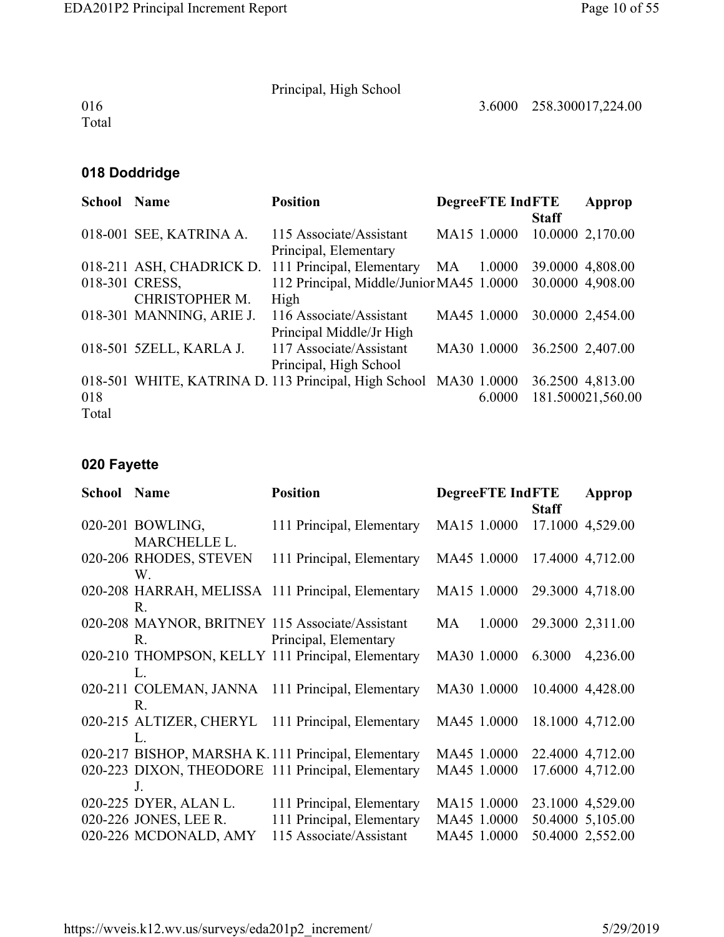3.6000 258.300017,224.00

Principal, High School

016 Total

## **018 Doddridge**

| <b>School Name</b> |                          | <b>Position</b>                                       |             | <b>DegreeFTE IndFTE</b> |              | Approp            |
|--------------------|--------------------------|-------------------------------------------------------|-------------|-------------------------|--------------|-------------------|
|                    |                          |                                                       |             |                         | <b>Staff</b> |                   |
|                    | 018-001 SEE, KATRINA A.  | 115 Associate/Assistant                               | MA15 1.0000 |                         |              | 10.0000 2,170.00  |
|                    |                          | Principal, Elementary                                 |             |                         |              |                   |
|                    |                          | 018-211 ASH, CHADRICK D. 111 Principal, Elementary MA |             | 1.0000                  |              | 39.0000 4,808.00  |
|                    | 018-301 CRESS,           | 112 Principal, Middle/Junior MA45 1.0000              |             |                         |              | 30.0000 4,908.00  |
|                    | CHRISTOPHER M.           | High                                                  |             |                         |              |                   |
|                    | 018-301 MANNING, ARIE J. | 116 Associate/Assistant                               | MA45 1.0000 |                         |              | 30.0000 2,454.00  |
|                    |                          | Principal Middle/Jr High                              |             |                         |              |                   |
|                    | 018-501 5ZELL, KARLA J.  | 117 Associate/Assistant                               | MA30 1.0000 |                         |              | 36.2500 2,407.00  |
|                    |                          | Principal, High School                                |             |                         |              |                   |
|                    |                          | 018-501 WHITE, KATRINA D. 113 Principal, High School  | MA30 1.0000 |                         |              | 36.2500 4,813.00  |
| 018                |                          |                                                       |             | 6.0000                  |              | 181.500021,560.00 |
| Total              |                          |                                                       |             |                         |              |                   |

# **020 Fayette**

| <b>School Name</b> |                                         | <b>Position</b>                                                          | <b>DegreeFTE IndFTE</b> | <b>Staff</b> | Approp           |
|--------------------|-----------------------------------------|--------------------------------------------------------------------------|-------------------------|--------------|------------------|
|                    | 020-201 BOWLING,<br><b>MARCHELLE L.</b> | 111 Principal, Elementary                                                | MA15 1.0000             |              | 17.1000 4,529.00 |
|                    | 020-206 RHODES, STEVEN<br>W.            | 111 Principal, Elementary                                                | MA45 1.0000             |              | 17.4000 4,712.00 |
|                    | R.                                      | 020-208 HARRAH, MELISSA 111 Principal, Elementary                        | MA15 1.0000             |              | 29.3000 4,718.00 |
|                    | $R_{\cdot}$                             | 020-208 MAYNOR, BRITNEY 115 Associate/Assistant<br>Principal, Elementary | MA<br>1.0000            |              | 29.3000 2,311.00 |
|                    | L.                                      | 020-210 THOMPSON, KELLY 111 Principal, Elementary                        | MA30 1.0000             | 6.3000       | 4,236.00         |
|                    | R.                                      | 020-211 COLEMAN, JANNA 111 Principal, Elementary                         | MA30 1.0000             |              | 10.4000 4,428.00 |
|                    | $\rm L$                                 | 020-215 ALTIZER, CHERYL 111 Principal, Elementary                        | MA45 1.0000             |              | 18.1000 4,712.00 |
|                    |                                         | 020-217 BISHOP, MARSHA K.111 Principal, Elementary                       | MA45 1.0000             |              | 22.4000 4,712.00 |
|                    | J.                                      | 020-223 DIXON, THEODORE 111 Principal, Elementary                        | MA45 1.0000             |              | 17.6000 4,712.00 |
|                    | 020-225 DYER, ALAN L.                   | 111 Principal, Elementary                                                | MA15 1.0000             |              | 23.1000 4,529.00 |
|                    | 020-226 JONES, LEE R.                   | 111 Principal, Elementary                                                | MA45 1.0000             |              | 50.4000 5,105.00 |
|                    | 020-226 MCDONALD, AMY                   | 115 Associate/Assistant                                                  | MA45 1.0000             |              | 50.4000 2,552.00 |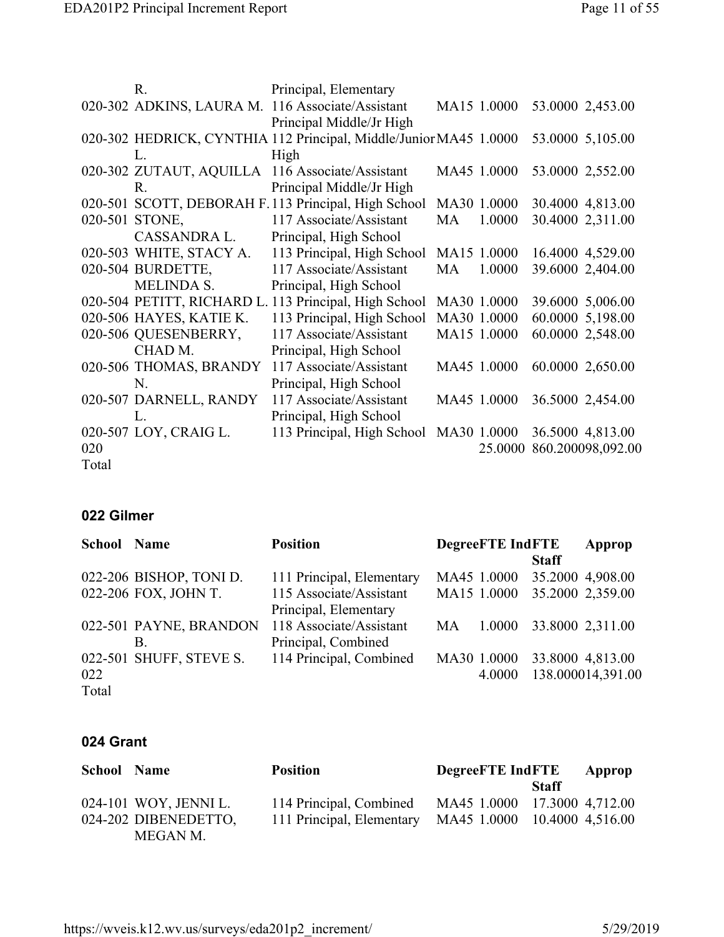|       | R.                      | Principal, Elementary                                            |    |             |                   |
|-------|-------------------------|------------------------------------------------------------------|----|-------------|-------------------|
|       |                         | 020-302 ADKINS, LAURA M. 116 Associate/Assistant                 |    | MA15 1.0000 | 53.0000 2,453.00  |
|       |                         | Principal Middle/Jr High                                         |    |             |                   |
|       |                         | 020-302 HEDRICK, CYNTHIA 112 Principal, Middle/JuniorMA45 1.0000 |    |             | 53.0000 5,105.00  |
|       | L.                      | High                                                             |    |             |                   |
|       | 020-302 ZUTAUT, AQUILLA | 116 Associate/Assistant                                          |    | MA45 1.0000 | 53.0000 2,552.00  |
|       | $R_{\cdot}$             | Principal Middle/Jr High                                         |    |             |                   |
|       |                         | 020-501 SCOTT, DEBORAH F.113 Principal, High School              |    | MA30 1.0000 | 30.4000 4,813.00  |
|       | 020-501 STONE,          | 117 Associate/Assistant                                          | MA | 1.0000      | 30.4000 2,311.00  |
|       | CASSANDRA L.            | Principal, High School                                           |    |             |                   |
|       | 020-503 WHITE, STACY A. | 113 Principal, High School                                       |    | MA15 1.0000 | 16.4000 4,529.00  |
|       | 020-504 BURDETTE,       | 117 Associate/Assistant                                          | MA | 1.0000      | 39.6000 2,404.00  |
|       | <b>MELINDA S.</b>       | Principal, High School                                           |    |             |                   |
|       |                         | 020-504 PETITT, RICHARD L. 113 Principal, High School            |    | MA30 1.0000 | 39.6000 5,006.00  |
|       | 020-506 HAYES, KATIE K. | 113 Principal, High School                                       |    | MA30 1.0000 | 60.0000 5,198.00  |
|       | 020-506 QUESENBERRY,    | 117 Associate/Assistant                                          |    | MA15 1.0000 | 60.0000 2,548.00  |
|       | CHAD M.                 | Principal, High School                                           |    |             |                   |
|       | 020-506 THOMAS, BRANDY  | 117 Associate/Assistant                                          |    | MA45 1.0000 | 60.0000 2,650.00  |
|       | N.                      | Principal, High School                                           |    |             |                   |
|       | 020-507 DARNELL, RANDY  | 117 Associate/Assistant                                          |    | MA45 1.0000 | 36.5000 2,454.00  |
|       | L.                      | Principal, High School                                           |    |             |                   |
|       | 020-507 LOY, CRAIG L.   | 113 Principal, High School                                       |    | MA30 1.0000 | 36.5000 4,813.00  |
| 020   |                         |                                                                  |    | 25.0000     | 860.200098,092.00 |
| Total |                         |                                                                  |    |             |                   |

#### **022 Gilmer**

| <b>School Name</b> |                         | <b>Position</b>           | <b>DegreeFTE IndFTE</b> | Approp       |                   |
|--------------------|-------------------------|---------------------------|-------------------------|--------------|-------------------|
|                    |                         |                           |                         | <b>Staff</b> |                   |
|                    | 022-206 BISHOP, TONI D. | 111 Principal, Elementary | MA45 1.0000             |              | 35.2000 4,908.00  |
|                    | 022-206 FOX, JOHN T.    | 115 Associate/Assistant   | MA15 1.0000             |              | 35.2000 2,359.00  |
|                    |                         | Principal, Elementary     |                         |              |                   |
|                    | 022-501 PAYNE, BRANDON  | 118 Associate/Assistant   | 1.0000<br>MA            |              | 33.8000 2,311.00  |
|                    | B.                      | Principal, Combined       |                         |              |                   |
|                    | 022-501 SHUFF, STEVE S. | 114 Principal, Combined   | MA30 1.0000             |              | 33.8000 4,813.00  |
| 022                |                         |                           | 4.0000                  |              | 138.000014,391.00 |
| Total              |                         |                           |                         |              |                   |

#### **024 Grant**

| <b>School Name</b> |                       | <b>Position</b>           | <b>DegreeFTE</b> IndFTE      |       | Approp |
|--------------------|-----------------------|---------------------------|------------------------------|-------|--------|
|                    |                       |                           |                              | Staff |        |
|                    | 024-101 WOY, JENNI L. | 114 Principal, Combined   | MA45 1.0000 17.3000 4,712.00 |       |        |
|                    | 024-202 DIBENEDETTO,  | 111 Principal, Elementary | MA45 1.0000 10.4000 4,516.00 |       |        |
|                    | MEGAN M.              |                           |                              |       |        |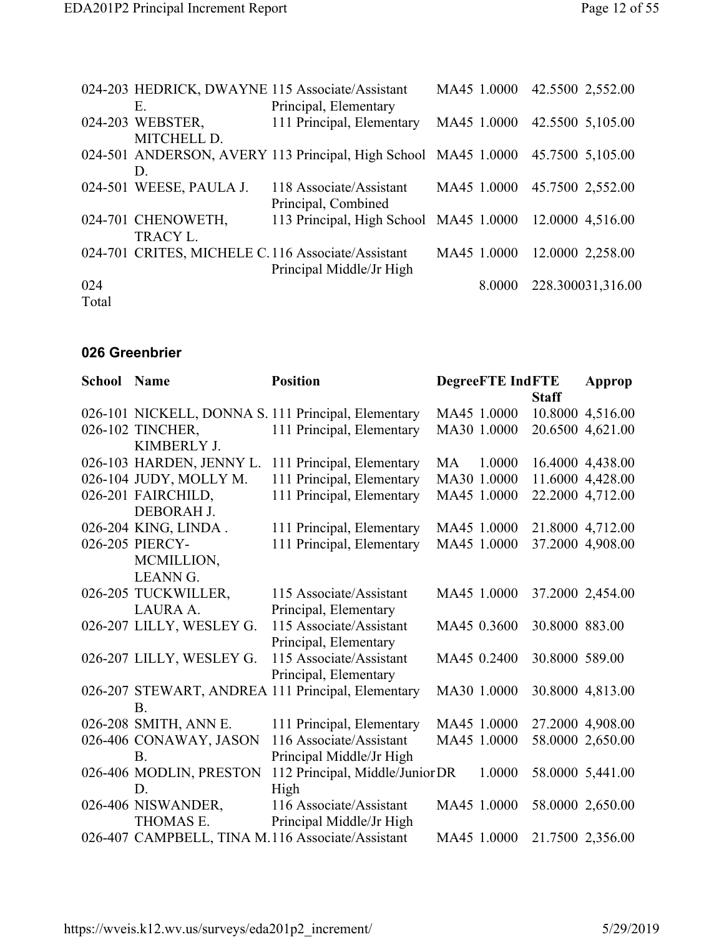|       |                         | 024-203 HEDRICK, DWAYNE 115 Associate/Assistant                | MA45 1.0000 | 42.5500 2,552.00             |                   |
|-------|-------------------------|----------------------------------------------------------------|-------------|------------------------------|-------------------|
|       | Е.                      | Principal, Elementary                                          |             |                              |                   |
|       | 024-203 WEBSTER,        | 111 Principal, Elementary                                      |             | MA45 1.0000 42.5500 5,105.00 |                   |
|       | MITCHELL D.             |                                                                |             |                              |                   |
|       |                         | 024-501 ANDERSON, AVERY 113 Principal, High School MA45 1.0000 |             | 45.7500 5,105.00             |                   |
|       | D.                      |                                                                |             |                              |                   |
|       | 024-501 WEESE, PAULA J. | 118 Associate/Assistant                                        | MA45 1.0000 | 45.7500 2,552.00             |                   |
|       |                         | Principal, Combined                                            |             |                              |                   |
|       | 024-701 CHENOWETH,      | 113 Principal, High School MA45 1.0000 12.0000 4,516.00        |             |                              |                   |
|       | <b>TRACY L.</b>         |                                                                |             |                              |                   |
|       |                         | 024-701 CRITES, MICHELE C.116 Associate/Assistant              | MA45 1.0000 |                              | 12.0000 2,258.00  |
|       |                         | Principal Middle/Jr High                                       |             |                              |                   |
| 024   |                         |                                                                | 8.0000      |                              | 228.300031,316.00 |
| Total |                         |                                                                |             |                              |                   |

#### **026 Greenbrier**

| <b>School Name</b> |                          | <b>Position</b>                                     |             | <b>DegreeFTE IndFTE</b> |                | Approp           |
|--------------------|--------------------------|-----------------------------------------------------|-------------|-------------------------|----------------|------------------|
|                    |                          |                                                     |             |                         | <b>Staff</b>   |                  |
|                    |                          | 026-101 NICKELL, DONNA S. 111 Principal, Elementary | MA45 1.0000 |                         |                | 10.8000 4,516.00 |
|                    | 026-102 TINCHER,         | 111 Principal, Elementary                           | MA30 1.0000 |                         |                | 20.6500 4,621.00 |
|                    | KIMBERLY J.              |                                                     |             |                         |                |                  |
|                    | 026-103 HARDEN, JENNY L. | 111 Principal, Elementary                           | MA          | 1.0000                  |                | 16.4000 4,438.00 |
|                    | 026-104 JUDY, MOLLY M.   | 111 Principal, Elementary                           | MA30 1.0000 |                         |                | 11.6000 4,428.00 |
|                    | 026-201 FAIRCHILD,       | 111 Principal, Elementary                           | MA45 1.0000 |                         |                | 22.2000 4,712.00 |
|                    | DEBORAH J.               |                                                     |             |                         |                |                  |
|                    | 026-204 KING, LINDA.     | 111 Principal, Elementary                           | MA45 1.0000 |                         |                | 21.8000 4,712.00 |
|                    | 026-205 PIERCY-          | 111 Principal, Elementary                           | MA45 1.0000 |                         |                | 37.2000 4,908.00 |
|                    | MCMILLION,               |                                                     |             |                         |                |                  |
|                    | <b>LEANN G.</b>          |                                                     |             |                         |                |                  |
|                    | 026-205 TUCKWILLER,      | 115 Associate/Assistant                             | MA45 1.0000 |                         |                | 37.2000 2,454.00 |
|                    | LAURA A.                 | Principal, Elementary                               |             |                         |                |                  |
|                    | 026-207 LILLY, WESLEY G. | 115 Associate/Assistant                             | MA45 0.3600 |                         | 30.8000 883.00 |                  |
|                    |                          | Principal, Elementary                               |             |                         |                |                  |
|                    | 026-207 LILLY, WESLEY G. | 115 Associate/Assistant                             | MA45 0.2400 |                         | 30.8000 589.00 |                  |
|                    |                          | Principal, Elementary                               |             |                         |                |                  |
|                    |                          | 026-207 STEWART, ANDREA 111 Principal, Elementary   | MA30 1.0000 |                         |                | 30.8000 4,813.00 |
|                    | B <sub>1</sub>           |                                                     |             |                         |                |                  |
|                    | 026-208 SMITH, ANN E.    | 111 Principal, Elementary                           | MA45 1.0000 |                         |                | 27.2000 4,908.00 |
|                    | 026-406 CONAWAY, JASON   | 116 Associate/Assistant                             | MA45 1.0000 |                         |                | 58.0000 2,650.00 |
|                    | B.                       | Principal Middle/Jr High                            |             |                         |                |                  |
|                    | 026-406 MODLIN, PRESTON  | 112 Principal, Middle/Junior DR                     |             | 1.0000                  |                | 58.0000 5,441.00 |
|                    | D.                       | High                                                |             |                         |                |                  |
|                    | 026-406 NISWANDER,       | 116 Associate/Assistant                             | MA45 1.0000 |                         |                | 58.0000 2,650.00 |
|                    | THOMAS E.                | Principal Middle/Jr High                            |             |                         |                |                  |
|                    |                          | 026-407 CAMPBELL, TINA M.116 Associate/Assistant    | MA45 1.0000 |                         |                | 21.7500 2,356.00 |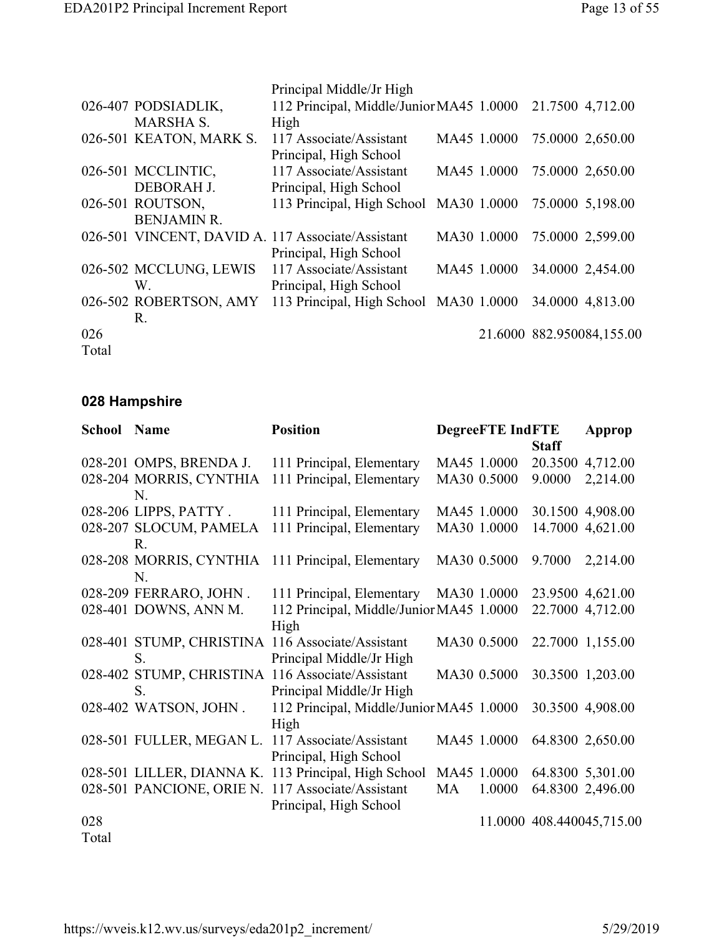|              | 026-407 PODSIADLIK,<br><b>MARSHA S.</b> | Principal Middle/Jr High<br>112 Principal, Middle/Junior MA45 1.0000<br>High            |             | 21.7500 4,712.00          |
|--------------|-----------------------------------------|-----------------------------------------------------------------------------------------|-------------|---------------------------|
|              | 026-501 KEATON, MARK S.                 | 117 Associate/Assistant<br>Principal, High School                                       | MA45 1.0000 | 75.0000 2,650.00          |
|              | 026-501 MCCLINTIC,                      | 117 Associate/Assistant                                                                 | MA45 1.0000 | 75.0000 2,650.00          |
|              | DEBORAH J.<br>026-501 ROUTSON,          | Principal, High School<br>113 Principal, High School MA30 1.0000                        |             | 75.0000 5,198.00          |
|              | <b>BENJAMIN R.</b>                      | 026-501 VINCENT, DAVID A. 117 Associate/Assistant                                       | MA30 1.0000 | 75.0000 2,599.00          |
|              | 026-502 MCCLUNG, LEWIS<br>W.            | Principal, High School<br>117 Associate/Assistant                                       | MA45 1.0000 | 34.0000 2,454.00          |
|              | R.                                      | Principal, High School<br>026-502 ROBERTSON, AMY 113 Principal, High School MA30 1.0000 |             | 34.0000 4,813.00          |
| 026<br>Total |                                         |                                                                                         |             | 21.6000 882.950084,155.00 |

## **028 Hampshire**

| <b>School Name</b> |                                        | <b>Position</b>                                                              |    | <b>DegreeFTE IndFTE</b> |              | Approp                    |
|--------------------|----------------------------------------|------------------------------------------------------------------------------|----|-------------------------|--------------|---------------------------|
|                    |                                        |                                                                              |    |                         | <b>Staff</b> |                           |
|                    | 028-201 OMPS, BRENDA J.                | 111 Principal, Elementary                                                    |    | MA45 1.0000             | 20.3500      | 4,712.00                  |
|                    | 028-204 MORRIS, CYNTHIA<br>$N_{\cdot}$ | 111 Principal, Elementary                                                    |    | MA30 0.5000             | 9.0000       | 2,214.00                  |
|                    | 028-206 LIPPS, PATTY.                  | 111 Principal, Elementary                                                    |    | MA45 1.0000             |              | 30.1500 4,908.00          |
|                    | 028-207 SLOCUM, PAMELA<br>R.           | 111 Principal, Elementary                                                    |    | MA30 1.0000             |              | 14.7000 4,621.00          |
|                    | 028-208 MORRIS, CYNTHIA<br>N.          | 111 Principal, Elementary                                                    |    | MA30 0.5000             | 9.7000       | 2,214.00                  |
|                    | 028-209 FERRARO, JOHN.                 | 111 Principal, Elementary                                                    |    | MA30 1.0000             |              | 23.9500 4,621.00          |
|                    | 028-401 DOWNS, ANN M.                  | 112 Principal, Middle/Junior MA45 1.0000<br>High                             |    |                         |              | 22.7000 4,712.00          |
|                    | S.                                     | 028-401 STUMP, CHRISTINA 116 Associate/Assistant<br>Principal Middle/Jr High |    | MA30 0.5000             |              | 22.7000 1,155.00          |
|                    | S.                                     | 028-402 STUMP, CHRISTINA 116 Associate/Assistant<br>Principal Middle/Jr High |    | MA30 0.5000             |              | 30.3500 1,203.00          |
|                    | 028-402 WATSON, JOHN.                  | 112 Principal, Middle/Junior MA45 1.0000<br>High                             |    |                         |              | 30.3500 4,908.00          |
|                    | 028-501 FULLER, MEGAN L.               | 117 Associate/Assistant<br>Principal, High School                            |    | MA45 1.0000             |              | 64.8300 2,650.00          |
|                    | 028-501 LILLER, DIANNA K.              | 113 Principal, High School                                                   |    | MA45 1.0000             |              | 64.8300 5,301.00          |
|                    | 028-501 PANCIONE, ORIE N.              | 117 Associate/Assistant<br>Principal, High School                            | MA | 1.0000                  |              | 64.8300 2,496.00          |
| 028                |                                        |                                                                              |    |                         |              | 11.0000 408.440045,715.00 |
| Total              |                                        |                                                                              |    |                         |              |                           |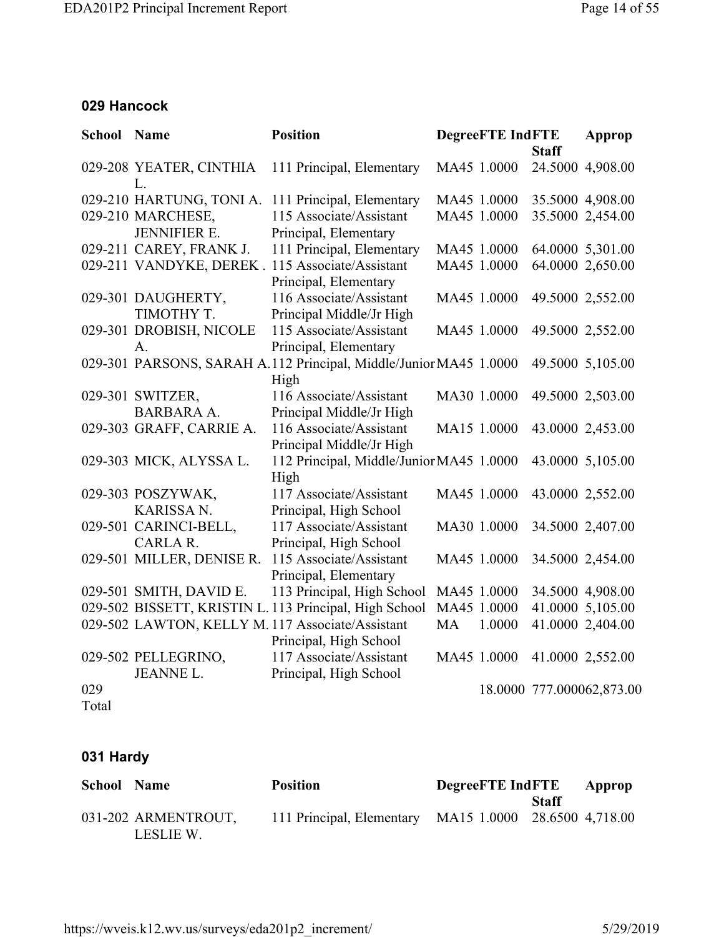#### **029 Hancock**

| <b>School Name</b> |                                                                      | <b>Position</b>                                                                                        |    | <b>DegreeFTE IndFTE</b>    |              | Approp                               |
|--------------------|----------------------------------------------------------------------|--------------------------------------------------------------------------------------------------------|----|----------------------------|--------------|--------------------------------------|
|                    | 029-208 YEATER, CINTHIA<br>L.                                        | 111 Principal, Elementary                                                                              |    | MA45 1.0000                | <b>Staff</b> | 24.5000 4,908.00                     |
|                    | 029-210 HARTUNG, TONI A.<br>029-210 MARCHESE,<br><b>JENNIFIER E.</b> | 111 Principal, Elementary<br>115 Associate/Assistant<br>Principal, Elementary                          |    | MA45 1.0000<br>MA45 1.0000 |              | 35.5000 4,908.00<br>35.5000 2,454.00 |
|                    | 029-211 CAREY, FRANK J.                                              | 111 Principal, Elementary<br>029-211 VANDYKE, DEREK . 115 Associate/Assistant<br>Principal, Elementary |    | MA45 1.0000<br>MA45 1.0000 |              | 64.0000 5,301.00<br>64.0000 2,650.00 |
|                    | 029-301 DAUGHERTY,<br>TIMOTHY T.                                     | 116 Associate/Assistant<br>Principal Middle/Jr High                                                    |    | MA45 1.0000                |              | 49.5000 2,552.00                     |
|                    | 029-301 DROBISH, NICOLE<br>A.                                        | 115 Associate/Assistant<br>Principal, Elementary                                                       |    | MA45 1.0000                |              | 49.5000 2,552.00                     |
|                    |                                                                      | 029-301 PARSONS, SARAH A.112 Principal, Middle/Junior MA45 1.0000<br>High                              |    |                            |              | 49.5000 5,105.00                     |
|                    | 029-301 SWITZER,<br><b>BARBARA A.</b>                                | 116 Associate/Assistant<br>Principal Middle/Jr High                                                    |    | MA30 1.0000                |              | 49.5000 2,503.00                     |
|                    | 029-303 GRAFF, CARRIE A.                                             | 116 Associate/Assistant<br>Principal Middle/Jr High                                                    |    | MA15 1.0000                |              | 43.0000 2,453.00                     |
|                    | 029-303 MICK, ALYSSA L.                                              | 112 Principal, Middle/Junior MA45 1.0000<br>High                                                       |    |                            |              | 43.0000 5,105.00                     |
|                    | 029-303 POSZYWAK,<br><b>KARISSA N.</b>                               | 117 Associate/Assistant<br>Principal, High School                                                      |    | MA45 1.0000                |              | 43.0000 2,552.00                     |
|                    | 029-501 CARINCI-BELL,<br>CARLA R.                                    | 117 Associate/Assistant<br>Principal, High School                                                      |    | MA30 1.0000                |              | 34.5000 2,407.00                     |
|                    | 029-501 MILLER, DENISE R.                                            | 115 Associate/Assistant<br>Principal, Elementary                                                       |    | MA45 1.0000                |              | 34.5000 2,454.00                     |
|                    | 029-501 SMITH, DAVID E.                                              | 113 Principal, High School                                                                             |    | MA45 1.0000                |              | 34.5000 4,908.00                     |
|                    |                                                                      | 029-502 BISSETT, KRISTIN L. 113 Principal, High School                                                 |    | MA45 1.0000                |              | 41.0000 5,105.00                     |
|                    |                                                                      | 029-502 LAWTON, KELLY M. 117 Associate/Assistant<br>Principal, High School                             | MA | 1.0000                     |              | 41.0000 2,404.00                     |
|                    | 029-502 PELLEGRINO,<br><b>JEANNEL.</b>                               | 117 Associate/Assistant<br>Principal, High School                                                      |    | MA45 1.0000                |              | 41.0000 2,552.00                     |
| 029<br>Total       |                                                                      |                                                                                                        |    |                            |              | 18.0000 777.000062,873.00            |

## **031 Hardy**

| <b>School Name</b> |                                  | <b>Position</b>                                        | <b>DegreeFTE</b> IndFTE |       | Approp |
|--------------------|----------------------------------|--------------------------------------------------------|-------------------------|-------|--------|
|                    |                                  |                                                        |                         | Staff |        |
|                    | 031-202 ARMENTROUT,<br>LESLIE W. | 111 Principal, Elementary MA15 1.0000 28.6500 4,718.00 |                         |       |        |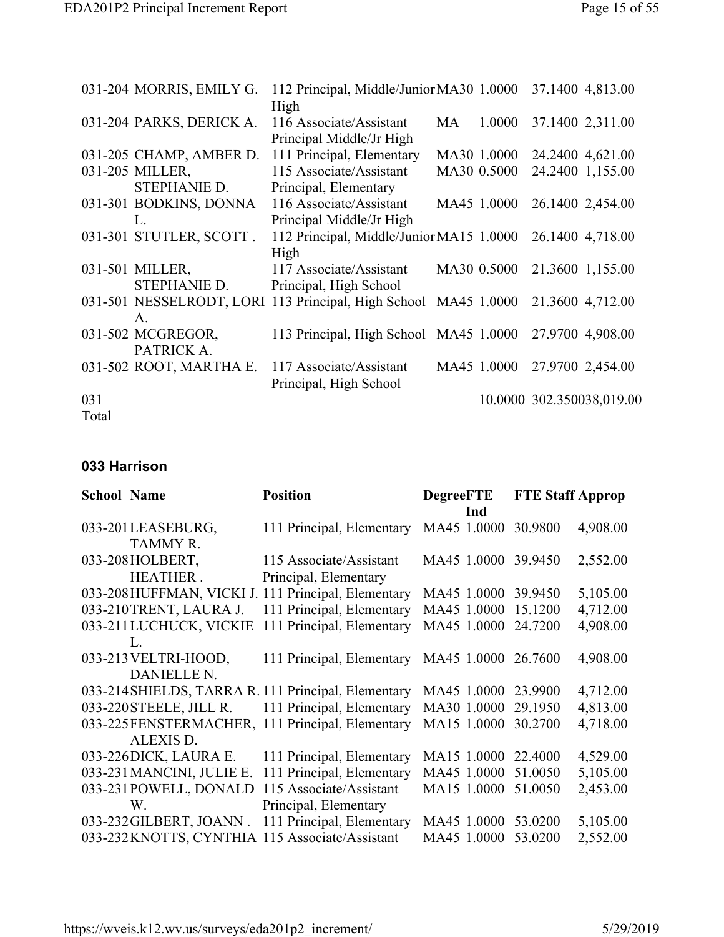|       | 031-204 MORRIS, EMILY G. | 112 Principal, Middle/Junior MA30 1.0000                        |    |             | 37.1400 4,813.00          |
|-------|--------------------------|-----------------------------------------------------------------|----|-------------|---------------------------|
|       |                          | High                                                            |    |             |                           |
|       | 031-204 PARKS, DERICK A. | 116 Associate/Assistant                                         | MA | 1.0000      | 37.1400 2,311.00          |
|       |                          | Principal Middle/Jr High                                        |    |             |                           |
|       | 031-205 CHAMP, AMBER D.  | 111 Principal, Elementary                                       |    | MA30 1.0000 | 24.2400 4,621.00          |
|       | 031-205 MILLER,          | 115 Associate/Assistant                                         |    | MA30 0.5000 | 24.2400 1,155.00          |
|       | STEPHANIE D.             | Principal, Elementary                                           |    |             |                           |
|       | 031-301 BODKINS, DONNA   | 116 Associate/Assistant                                         |    | MA45 1.0000 | 26.1400 2,454.00          |
|       | L.                       | Principal Middle/Jr High                                        |    |             |                           |
|       | 031-301 STUTLER, SCOTT.  | 112 Principal, Middle/Junior MA15 1.0000                        |    |             | 26.1400 4,718.00          |
|       |                          | High                                                            |    |             |                           |
|       | 031-501 MILLER,          | 117 Associate/Assistant                                         |    | MA30 0.5000 | 21.3600 1,155.00          |
|       | STEPHANIE D.             | Principal, High School                                          |    |             |                           |
|       |                          | 031-501 NESSELRODT, LORI 113 Principal, High School MA45 1.0000 |    |             | 21.3600 4,712.00          |
|       | A.                       |                                                                 |    |             |                           |
|       | 031-502 MCGREGOR,        | 113 Principal, High School MA45 1.0000                          |    |             | 27.9700 4,908.00          |
|       | PATRICK A.               |                                                                 |    |             |                           |
|       | 031-502 ROOT, MARTHA E.  | 117 Associate/Assistant                                         |    | MA45 1.0000 | 27.9700 2,454.00          |
|       |                          | Principal, High School                                          |    |             |                           |
| 031   |                          |                                                                 |    |             | 10.0000 302.350038,019.00 |
| Total |                          |                                                                 |    |             |                           |

#### **033 Harrison**

| <b>School Name</b> |                           | <b>Position</b><br><b>DegreeFTE</b>                 |                     | <b>FTE Staff Approp</b> |          |
|--------------------|---------------------------|-----------------------------------------------------|---------------------|-------------------------|----------|
|                    |                           |                                                     | Ind                 |                         |          |
|                    | 033-201LEASEBURG,         | 111 Principal, Elementary                           | MA45 1.0000         | 30.9800                 | 4,908.00 |
|                    | <b>TAMMY R.</b>           |                                                     |                     |                         |          |
|                    | 033-208HOLBERT,           | 115 Associate/Assistant                             | MA45 1.0000 39.9450 |                         | 2,552.00 |
|                    | <b>HEATHER.</b>           | Principal, Elementary                               |                     |                         |          |
|                    |                           | 033-208 HUFFMAN, VICKI J. 111 Principal, Elementary | MA45 1.0000         | 39.9450                 | 5,105.00 |
|                    | 033-210TRENT, LAURA J.    | 111 Principal, Elementary                           | MA45 1.0000         | 15.1200                 | 4,712.00 |
|                    | 033-211 LUCHUCK, VICKIE   | 111 Principal, Elementary                           | MA45 1.0000         | 24.7200                 | 4,908.00 |
|                    | L                         |                                                     |                     |                         |          |
|                    | 033-213 VELTRI-HOOD,      | 111 Principal, Elementary                           | MA45 1.0000         | 26.7600                 | 4,908.00 |
|                    | <b>DANIELLE N.</b>        |                                                     |                     |                         |          |
|                    |                           | 033-214 SHIELDS, TARRA R. 111 Principal, Elementary | MA45 1.0000         | 23.9900                 | 4,712.00 |
|                    | 033-220 STEELE, JILL R.   | 111 Principal, Elementary                           | MA30 1.0000         | 29.1950                 | 4,813.00 |
|                    | 033-225FENSTERMACHER,     | 111 Principal, Elementary                           | MA15 1.0000         | 30.2700                 | 4,718.00 |
|                    | <b>ALEXIS D.</b>          |                                                     |                     |                         |          |
|                    | 033-226DICK, LAURA E.     | 111 Principal, Elementary                           | MA15 1.0000         | 22,4000                 | 4,529.00 |
|                    | 033-231 MANCINI, JULIE E. | 111 Principal, Elementary                           | MA45 1.0000         | 51.0050                 | 5,105.00 |
|                    | 033-231 POWELL, DONALD    | 115 Associate/Assistant                             | MA15 1.0000         | 51.0050                 | 2,453.00 |
|                    | W.                        | Principal, Elementary                               |                     |                         |          |
|                    | 033-232 GILBERT, JOANN.   | 111 Principal, Elementary                           | MA45 1.0000 53.0200 |                         | 5,105.00 |
|                    | 033-232 KNOTTS, CYNTHIA   | 115 Associate/Assistant                             | MA45 1.0000         | 53.0200                 | 2,552.00 |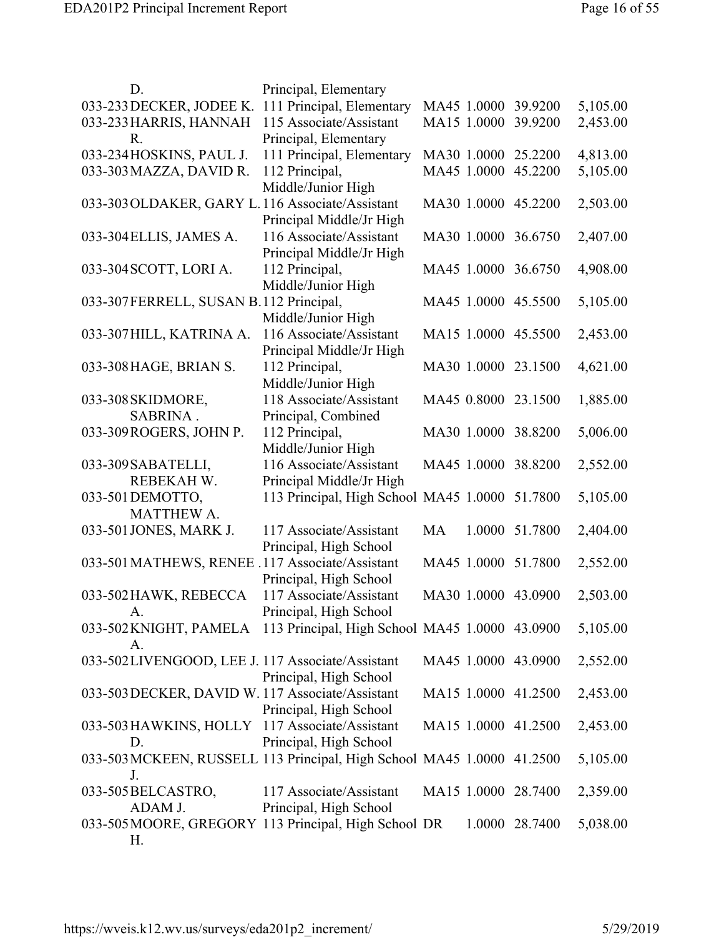| D.                                                                     | Principal, Elementary                          |                     |                |          |
|------------------------------------------------------------------------|------------------------------------------------|---------------------|----------------|----------|
| 033-233 DECKER, JODEE K.                                               | 111 Principal, Elementary                      | MA45 1.0000 39.9200 |                | 5,105.00 |
| 033-233 HARRIS, HANNAH                                                 | 115 Associate/Assistant                        | MA15 1.0000         | 39.9200        | 2,453.00 |
| $R_{\cdot}$                                                            | Principal, Elementary                          |                     |                |          |
| 033-234HOSKINS, PAUL J.                                                | 111 Principal, Elementary                      | MA30 1.0000         | 25.2200        | 4,813.00 |
| 033-303 MAZZA, DAVID R.                                                | 112 Principal,                                 | MA45 1.0000         | 45.2200        | 5,105.00 |
|                                                                        | Middle/Junior High                             |                     |                |          |
| 033-303 OLDAKER, GARY L. 116 Associate/Assistant                       |                                                | MA30 1.0000 45.2200 |                | 2,503.00 |
|                                                                        | Principal Middle/Jr High                       |                     |                |          |
| 033-304 ELLIS, JAMES A.                                                | 116 Associate/Assistant                        | MA30 1.0000 36.6750 |                | 2,407.00 |
|                                                                        | Principal Middle/Jr High                       |                     |                |          |
| 033-304 SCOTT, LORI A.                                                 | 112 Principal,                                 | MA45 1.0000 36.6750 |                | 4,908.00 |
|                                                                        | Middle/Junior High                             |                     |                |          |
| 033-307FERRELL, SUSAN B.112 Principal,                                 |                                                | MA45 1.0000 45.5500 |                | 5,105.00 |
|                                                                        | Middle/Junior High                             |                     |                |          |
|                                                                        |                                                |                     |                |          |
| 033-307 HILL, KATRINA A.                                               | 116 Associate/Assistant                        | MA15 1.0000 45.5500 |                | 2,453.00 |
|                                                                        | Principal Middle/Jr High                       |                     |                |          |
| 033-308 HAGE, BRIAN S.                                                 | 112 Principal,                                 | MA30 1.0000 23.1500 |                | 4,621.00 |
|                                                                        | Middle/Junior High                             |                     |                |          |
| 033-308 SKIDMORE,                                                      | 118 Associate/Assistant                        | MA45 0.8000 23.1500 |                | 1,885.00 |
| SABRINA.                                                               | Principal, Combined                            |                     |                |          |
| 033-309ROGERS, JOHN P.                                                 | 112 Principal,                                 | MA30 1.0000 38.8200 |                | 5,006.00 |
|                                                                        | Middle/Junior High                             |                     |                |          |
| 033-309 SABATELLI,                                                     | 116 Associate/Assistant                        | MA45 1.0000         | 38.8200        | 2,552.00 |
| REBEKAH W.                                                             | Principal Middle/Jr High                       |                     |                |          |
| 033-501 DEMOTTO,                                                       | 113 Principal, High School MA45 1.0000 51.7800 |                     |                | 5,105.00 |
| <b>MATTHEW A.</b>                                                      |                                                |                     |                |          |
| 033-501 JONES, MARK J.                                                 | 117 Associate/Assistant                        | MA                  | 1.0000 51.7800 | 2,404.00 |
|                                                                        | Principal, High School                         |                     |                |          |
| 033-501 MATHEWS, RENEE .117 Associate/Assistant                        |                                                | MA45 1.0000 51.7800 |                | 2,552.00 |
|                                                                        | Principal, High School                         |                     |                |          |
| 033-502 HAWK, REBECCA                                                  | 117 Associate/Assistant                        | MA30 1.0000 43.0900 |                | 2,503.00 |
|                                                                        | Principal, High School                         |                     |                |          |
| $A_{\cdot}$                                                            |                                                |                     |                |          |
| 033-502 KNIGHT, PAMELA 113 Principal, High School MA45 1.0000 43.0900  |                                                |                     |                | 5,105.00 |
| А.                                                                     |                                                |                     |                |          |
| 033-502LIVENGOOD, LEE J. 117 Associate/Assistant                       |                                                | MA45 1.0000 43.0900 |                | 2,552.00 |
|                                                                        | Principal, High School                         |                     |                |          |
| 033-503 DECKER, DAVID W. 117 Associate/Assistant                       |                                                | MA15 1.0000 41.2500 |                | 2,453.00 |
|                                                                        | Principal, High School                         |                     |                |          |
| 033-503 HAWKINS, HOLLY 117 Associate/Assistant                         |                                                | MA15 1.0000 41.2500 |                | 2,453.00 |
| D.                                                                     | Principal, High School                         |                     |                |          |
| 033-503 MCKEEN, RUSSELL 113 Principal, High School MA45 1.0000 41.2500 |                                                |                     |                | 5,105.00 |
| J.                                                                     |                                                |                     |                |          |
| 033-505 BELCASTRO,                                                     | 117 Associate/Assistant                        | MA15 1.0000 28.7400 |                | 2,359.00 |
| ADAM J.                                                                | Principal, High School                         |                     |                |          |
| 033-505 MOORE, GREGORY 113 Principal, High School DR                   |                                                |                     | 1.0000 28.7400 | 5,038.00 |
| Н.                                                                     |                                                |                     |                |          |
|                                                                        |                                                |                     |                |          |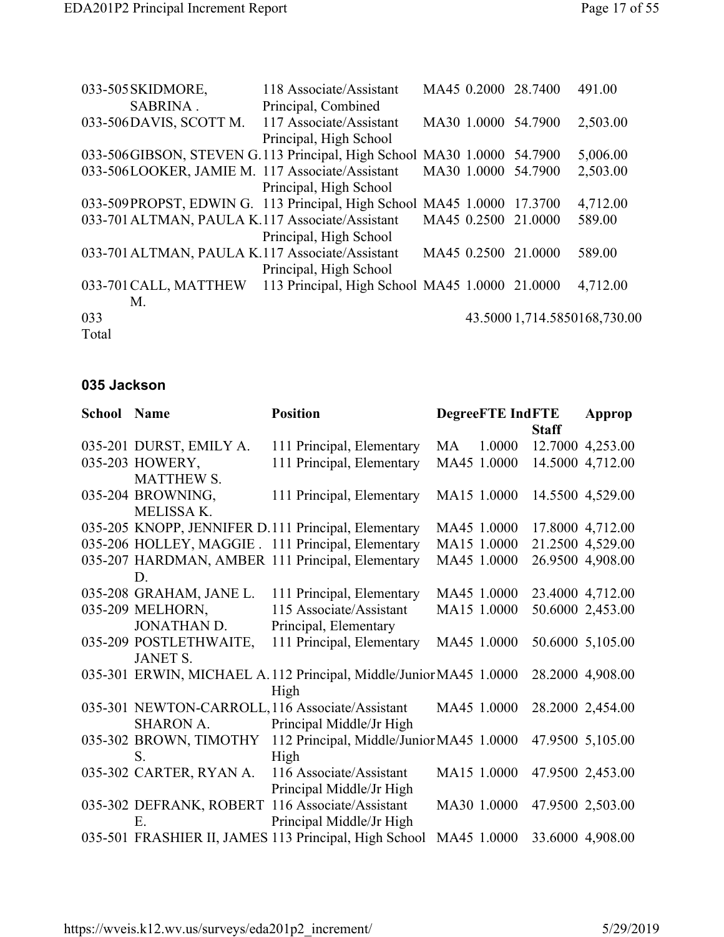| 033-505 SKIDMORE,                                                       | 118 Associate/Assistant                        |             | MA45 0.2000 28.7400 | 491.00                       |
|-------------------------------------------------------------------------|------------------------------------------------|-------------|---------------------|------------------------------|
| SABRINA.                                                                | Principal, Combined                            |             |                     |                              |
| 033-506DAVIS, SCOTT M.                                                  | 117 Associate/Assistant                        |             | MA30 1.0000 54.7900 | 2,503.00                     |
|                                                                         | Principal, High School                         |             |                     |                              |
| 033-506 GIBSON, STEVEN G.113 Principal, High School MA30 1.0000 54.7900 |                                                |             |                     | 5,006.00                     |
| 033-506LOOKER, JAMIE M. 117 Associate/Assistant                         |                                                |             | MA30 1.0000 54.7900 | 2,503.00                     |
|                                                                         | Principal, High School                         |             |                     |                              |
| 033-509PROPST, EDWIN G. 113 Principal, High School MA45 1.0000          |                                                |             | 17.3700             | 4,712.00                     |
| 033-701 ALTMAN, PAULA K.117 Associate/Assistant                         |                                                |             | MA45 0.2500 21.0000 | 589.00                       |
|                                                                         | Principal, High School                         |             |                     |                              |
| 033-701 ALTMAN, PAULA K.117 Associate/Assistant                         |                                                | MA45 0.2500 | 21.0000             | 589.00                       |
|                                                                         | Principal, High School                         |             |                     |                              |
| 033-701 CALL, MATTHEW                                                   | 113 Principal, High School MA45 1.0000 21.0000 |             |                     | 4,712.00                     |
| M.                                                                      |                                                |             |                     |                              |
| 033                                                                     |                                                |             |                     | 43.5000 1,714.5850168,730.00 |
| Total                                                                   |                                                |             |                     |                              |

#### **035 Jackson**

| <b>School Name</b> |                         | <b>Position</b>                                                   | <b>DegreeFTE</b> IndFTE |             | <b>Approp</b> |                  |
|--------------------|-------------------------|-------------------------------------------------------------------|-------------------------|-------------|---------------|------------------|
|                    |                         |                                                                   |                         |             | <b>Staff</b>  |                  |
|                    | 035-201 DURST, EMILY A. | 111 Principal, Elementary                                         | MA                      | 1.0000      |               | 12.7000 4,253.00 |
|                    | 035-203 HOWERY,         | 111 Principal, Elementary                                         |                         | MA45 1.0000 |               | 14.5000 4,712.00 |
|                    | <b>MATTHEW S.</b>       |                                                                   |                         |             |               |                  |
|                    | 035-204 BROWNING,       | 111 Principal, Elementary                                         |                         | MA15 1.0000 |               | 14.5500 4,529.00 |
|                    | MELISSA K.              |                                                                   |                         |             |               |                  |
|                    |                         | 035-205 KNOPP, JENNIFER D.111 Principal, Elementary               |                         | MA45 1.0000 |               | 17.8000 4,712.00 |
|                    |                         | 035-206 HOLLEY, MAGGIE . 111 Principal, Elementary                |                         | MA15 1.0000 |               | 21.2500 4,529.00 |
|                    |                         | 035-207 HARDMAN, AMBER 111 Principal, Elementary                  |                         | MA45 1.0000 |               | 26.9500 4,908.00 |
|                    | D.                      |                                                                   |                         |             |               |                  |
|                    | 035-208 GRAHAM, JANE L. | 111 Principal, Elementary                                         |                         | MA45 1.0000 |               | 23.4000 4,712.00 |
|                    | 035-209 MELHORN,        | 115 Associate/Assistant                                           |                         | MA15 1.0000 |               | 50.6000 2,453.00 |
|                    | <b>JONATHAN D.</b>      | Principal, Elementary                                             |                         |             |               |                  |
|                    | 035-209 POSTLETHWAITE,  | 111 Principal, Elementary                                         |                         | MA45 1.0000 |               | 50.6000 5,105.00 |
|                    | <b>JANET S.</b>         |                                                                   |                         |             |               |                  |
|                    |                         | 035-301 ERWIN, MICHAEL A.112 Principal, Middle/Junior MA45 1.0000 |                         |             |               | 28.2000 4,908.00 |
|                    |                         | High                                                              |                         |             |               |                  |
|                    |                         | 035-301 NEWTON-CARROLL, 116 Associate/Assistant                   |                         | MA45 1.0000 |               | 28.2000 2,454.00 |
|                    |                         | SHARON A. Principal Middle/Jr High                                |                         |             |               |                  |
|                    |                         | 035-302 BROWN, TIMOTHY 112 Principal, Middle/Junior MA45 1.0000   |                         |             |               | 47.9500 5,105.00 |
|                    | S.                      | High                                                              |                         |             |               |                  |
|                    | 035-302 CARTER, RYAN A. | 116 Associate/Assistant                                           |                         | MA15 1.0000 |               | 47.9500 2,453.00 |
|                    |                         | Principal Middle/Jr High                                          |                         |             |               |                  |
|                    |                         | 035-302 DEFRANK, ROBERT 116 Associate/Assistant                   |                         | MA30 1.0000 |               | 47.9500 2,503.00 |
|                    | Е.                      | Principal Middle/Jr High                                          |                         |             |               |                  |
|                    |                         | 035-501 FRASHIER II, JAMES 113 Principal, High School             |                         | MA45 1.0000 |               | 33.6000 4,908.00 |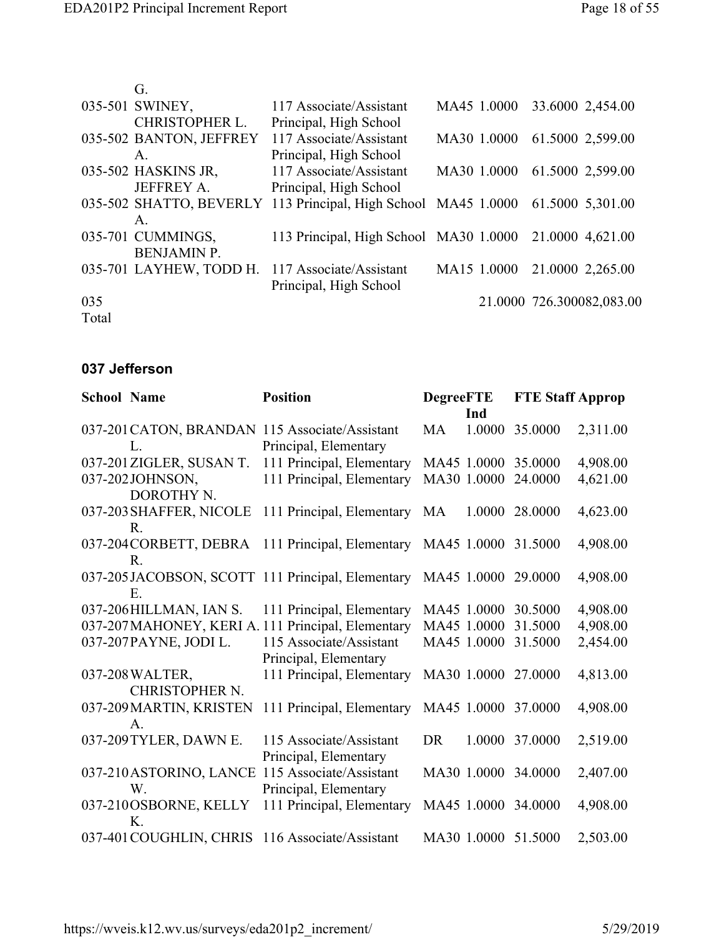|       | G                       |                                                                                 |             |                           |
|-------|-------------------------|---------------------------------------------------------------------------------|-------------|---------------------------|
|       | 035-501 SWINEY,         | 117 Associate/Assistant                                                         | MA45 1.0000 | 33.6000 2,454.00          |
|       | <b>CHRISTOPHER L.</b>   | Principal, High School                                                          |             |                           |
|       | 035-502 BANTON, JEFFREY | 117 Associate/Assistant                                                         | MA30 1.0000 | 61.5000 2,599.00          |
|       | $A_{-}$                 | Principal, High School                                                          |             |                           |
|       | 035-502 HASKINS JR,     | 117 Associate/Assistant                                                         | MA30 1.0000 | 61.5000 2,599.00          |
|       | <b>JEFFREY A.</b>       | Principal, High School                                                          |             |                           |
|       |                         | 035-502 SHATTO, BEVERLY 113 Principal, High School MA45 1.0000 61.5000 5,301.00 |             |                           |
|       | $A_{\cdot}$             |                                                                                 |             |                           |
|       | 035-701 CUMMINGS,       | 113 Principal, High School MA30 1.0000 21.0000 4,621.00                         |             |                           |
|       | <b>BENJAMIN P.</b>      |                                                                                 |             |                           |
|       |                         | 035-701 LAYHEW, TODD H. 117 Associate/Assistant                                 | MA15 1.0000 | 21.0000 2,265.00          |
|       |                         | Principal, High School                                                          |             |                           |
| 035   |                         |                                                                                 |             | 21.0000 726.300082,083.00 |
| Total |                         |                                                                                 |             |                           |

### **037 Jefferson**

| <b>School Name</b> |                          | <b>Position</b>                                                         | <b>DegreeFTE</b> |             | <b>FTE Staff Approp</b> |          |
|--------------------|--------------------------|-------------------------------------------------------------------------|------------------|-------------|-------------------------|----------|
|                    |                          |                                                                         |                  | Ind         |                         |          |
|                    | L                        | 037-201 CATON, BRANDAN 115 Associate/Assistant<br>Principal, Elementary | MA               | 1.0000      | 35.0000                 | 2,311.00 |
|                    | 037-201 ZIGLER, SUSAN T. | 111 Principal, Elementary                                               |                  |             | MA45 1.0000 35.0000     | 4,908.00 |
|                    | 037-202JOHNSON,          | 111 Principal, Elementary                                               |                  | MA30 1.0000 | 24.0000                 | 4,621.00 |
|                    | DOROTHY N.               |                                                                         |                  |             |                         |          |
|                    |                          | 037-203 SHAFFER, NICOLE 111 Principal, Elementary                       | MA               |             | 1.0000 28.0000          | 4,623.00 |
|                    | R.                       |                                                                         |                  |             |                         |          |
|                    |                          | 037-204 CORBETT, DEBRA 111 Principal, Elementary                        |                  |             | MA45 1.0000 31.5000     | 4,908.00 |
|                    | R.                       |                                                                         |                  |             |                         |          |
|                    |                          | 037-205JACOBSON, SCOTT 111 Principal, Elementary                        |                  | MA45 1.0000 | 29.0000                 | 4,908.00 |
|                    | E                        |                                                                         |                  |             |                         |          |
|                    | 037-206HILLMAN, IAN S.   | 111 Principal, Elementary                                               |                  | MA45 1.0000 | 30.5000                 | 4,908.00 |
|                    |                          | 037-207 MAHONEY, KERI A. 111 Principal, Elementary                      |                  | MA45 1.0000 | 31.5000                 | 4,908.00 |
|                    | 037-207PAYNE, JODI L.    | 115 Associate/Assistant                                                 |                  | MA45 1.0000 | 31.5000                 | 2,454.00 |
|                    |                          | Principal, Elementary                                                   |                  |             |                         |          |
|                    | 037-208 WALTER,          | 111 Principal, Elementary                                               |                  |             | MA30 1.0000 27.0000     | 4,813.00 |
|                    | CHRISTOPHER N.           |                                                                         |                  |             |                         |          |
|                    | 037-209 MARTIN, KRISTEN  | 111 Principal, Elementary                                               |                  |             | MA45 1.0000 37.0000     | 4,908.00 |
|                    | $\mathsf{A}$ .           |                                                                         |                  |             |                         |          |
|                    | 037-209 TYLER, DAWN E.   | 115 Associate/Assistant                                                 | <b>DR</b>        |             | 1.0000 37.0000          | 2,519.00 |
|                    |                          | Principal, Elementary                                                   |                  |             |                         |          |
|                    | 037-210 ASTORINO, LANCE  | 115 Associate/Assistant                                                 |                  |             | MA30 1.0000 34.0000     | 2,407.00 |
|                    | W.                       | Principal, Elementary                                                   |                  |             |                         |          |
|                    | 037-210OSBORNE, KELLY    | 111 Principal, Elementary                                               |                  |             | MA45 1.0000 34.0000     | 4,908.00 |
|                    | $K_{1}$                  |                                                                         |                  |             |                         |          |
|                    |                          | 037-401 COUGHLIN, CHRIS 116 Associate/Assistant                         |                  |             | MA30 1.0000 51.5000     | 2,503.00 |
|                    |                          |                                                                         |                  |             |                         |          |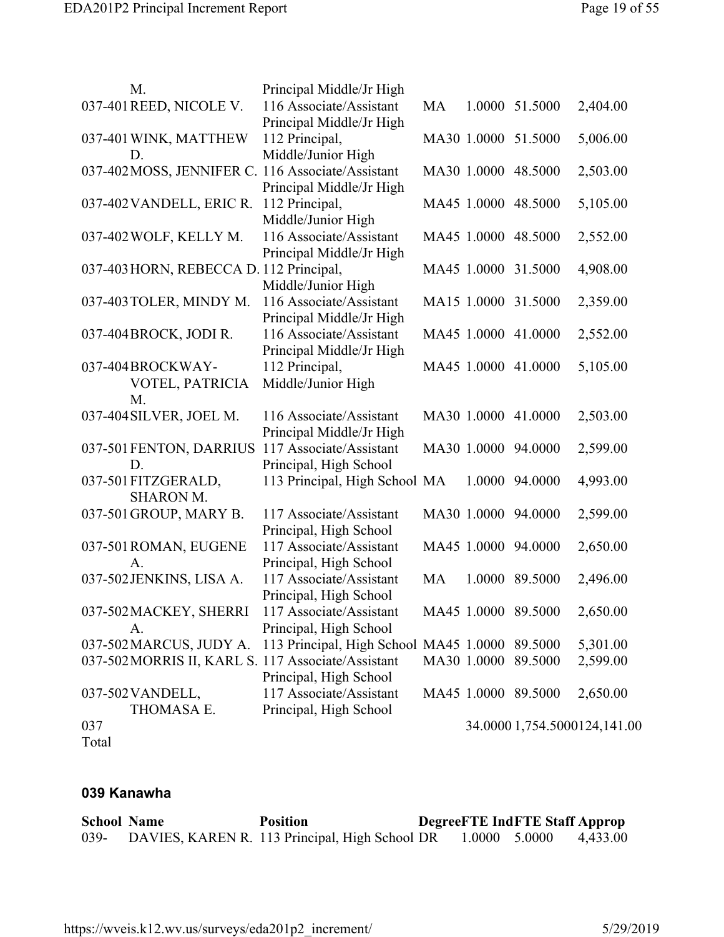| M.                                                 | Principal Middle/Jr High                       |           |             |                     |                              |
|----------------------------------------------------|------------------------------------------------|-----------|-------------|---------------------|------------------------------|
| 037-401 REED, NICOLE V.                            | 116 Associate/Assistant                        | MA        |             | 1.0000 51.5000      | 2,404.00                     |
|                                                    | Principal Middle/Jr High                       |           |             |                     |                              |
| 037-401 WINK, MATTHEW                              | 112 Principal,                                 |           |             | MA30 1.0000 51.5000 | 5,006.00                     |
| D.                                                 | Middle/Junior High                             |           |             |                     |                              |
| 037-402MOSS, JENNIFER C. 116 Associate/Assistant   |                                                |           |             | MA30 1.0000 48.5000 | 2,503.00                     |
|                                                    | Principal Middle/Jr High                       |           |             |                     |                              |
| 037-402 VANDELL, ERIC R.                           | 112 Principal,                                 |           |             | MA45 1.0000 48.5000 | 5,105.00                     |
|                                                    | Middle/Junior High                             |           |             |                     |                              |
| 037-402 WOLF, KELLY M.                             | 116 Associate/Assistant                        |           |             | MA45 1.0000 48.5000 | 2,552.00                     |
|                                                    | Principal Middle/Jr High                       |           |             |                     |                              |
| 037-403 HORN, REBECCA D. 112 Principal,            |                                                |           |             | MA45 1.0000 31.5000 | 4,908.00                     |
|                                                    | Middle/Junior High                             |           |             |                     |                              |
| 037-403 TOLER, MINDY M.                            | 116 Associate/Assistant                        |           |             | MA15 1.0000 31.5000 | 2,359.00                     |
|                                                    | Principal Middle/Jr High                       |           |             |                     |                              |
| 037-404 BROCK, JODI R.                             | 116 Associate/Assistant                        |           |             | MA45 1.0000 41.0000 | 2,552.00                     |
|                                                    | Principal Middle/Jr High                       |           |             |                     |                              |
| 037-404BROCKWAY-                                   | 112 Principal,                                 |           |             | MA45 1.0000 41.0000 | 5,105.00                     |
| VOTEL, PATRICIA                                    | Middle/Junior High                             |           |             |                     |                              |
| M.                                                 |                                                |           |             |                     |                              |
| 037-404 SILVER, JOEL M.                            | 116 Associate/Assistant                        |           |             | MA30 1.0000 41.0000 | 2,503.00                     |
|                                                    | Principal Middle/Jr High                       |           |             |                     |                              |
| 037-501 FENTON, DARRIUS                            | 117 Associate/Assistant                        |           |             | MA30 1.0000 94.0000 | 2,599.00                     |
| D.                                                 | Principal, High School                         |           |             |                     |                              |
| 037-501 FITZGERALD,                                | 113 Principal, High School MA                  |           |             | 1.0000 94.0000      | 4,993.00                     |
| <b>SHARON M.</b>                                   |                                                |           |             |                     |                              |
| 037-501 GROUP, MARY B.                             | 117 Associate/Assistant                        |           |             | MA30 1.0000 94.0000 | 2,599.00                     |
|                                                    | Principal, High School                         |           |             |                     |                              |
| 037-501 ROMAN, EUGENE                              | 117 Associate/Assistant                        |           |             | MA45 1.0000 94.0000 | 2,650.00                     |
| A.                                                 | Principal, High School                         |           |             |                     |                              |
| 037-502 JENKINS, LISA A.                           | 117 Associate/Assistant                        | <b>MA</b> |             | 1.0000 89.5000      | 2,496.00                     |
|                                                    | Principal, High School                         |           |             |                     |                              |
| 037-502 MACKEY, SHERRI                             | 117 Associate/Assistant                        |           |             | MA45 1.0000 89.5000 | 2,650.00                     |
| A.<br>037-502 MARCUS, JUDY A.                      | Principal, High School                         |           |             |                     |                              |
| 037-502 MORRIS II, KARL S. 117 Associate/Assistant | 113 Principal, High School MA45 1.0000 89.5000 |           | MA30 1.0000 | 89.5000             | 5,301.00<br>2,599.00         |
|                                                    | Principal, High School                         |           |             |                     |                              |
| 037-502 VANDELL,                                   | 117 Associate/Assistant                        |           |             | MA45 1.0000 89.5000 | 2,650.00                     |
| THOMASA E.                                         | Principal, High School                         |           |             |                     |                              |
| 037                                                |                                                |           |             |                     | 34.0000 1,754.5000124,141.00 |
| Total                                              |                                                |           |             |                     |                              |
|                                                    |                                                |           |             |                     |                              |

### **039 Kanawha**

| <b>School Name</b> | <b>Position</b>                                |               | <b>DegreeFTE IndFTE Staff Approp</b> |          |
|--------------------|------------------------------------------------|---------------|--------------------------------------|----------|
| $039 -$            | DAVIES, KAREN R. 113 Principal, High School DR | 1.0000 5.0000 |                                      | 4,433.00 |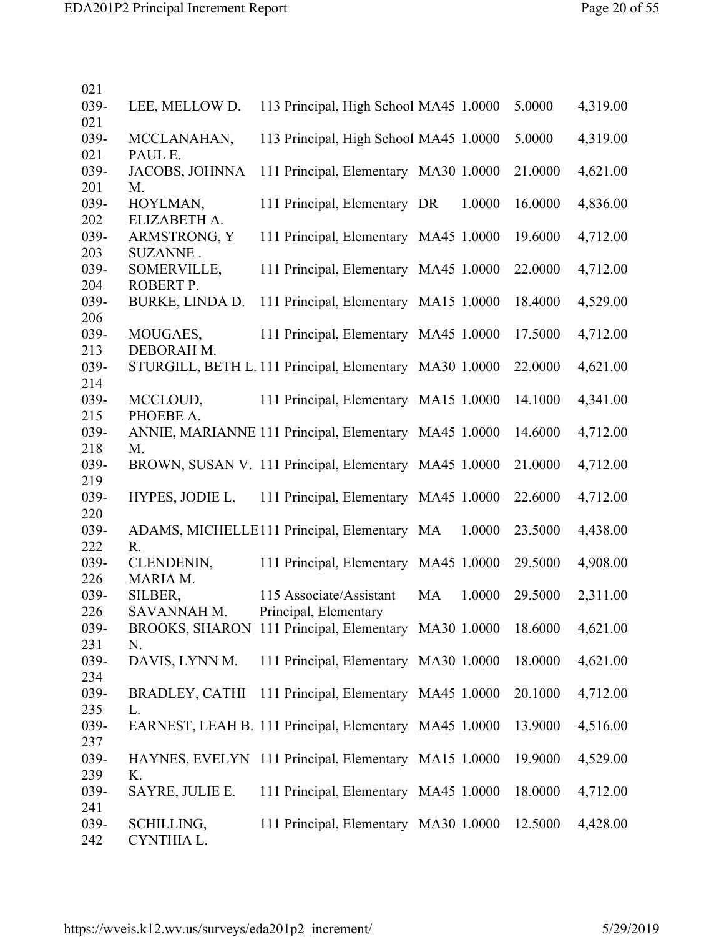| 021         |                                                              |                                        |           |        |         |          |
|-------------|--------------------------------------------------------------|----------------------------------------|-----------|--------|---------|----------|
| 039-        | LEE, MELLOW D.                                               | 113 Principal, High School MA45 1.0000 |           |        | 5.0000  | 4,319.00 |
| 021<br>039- | MCCLANAHAN,                                                  | 113 Principal, High School MA45 1.0000 |           |        | 5.0000  | 4,319.00 |
| 021         | PAUL E.                                                      |                                        |           |        |         |          |
| 039-        | <b>JACOBS, JOHNNA</b>                                        | 111 Principal, Elementary MA30 1.0000  |           |        | 21.0000 | 4,621.00 |
| 201<br>039- | M.<br>HOYLMAN,                                               | 111 Principal, Elementary DR           |           | 1.0000 | 16.0000 | 4,836.00 |
| 202         | ELIZABETH A.                                                 |                                        |           |        |         |          |
| 039-        | ARMSTRONG, Y                                                 | 111 Principal, Elementary MA45 1.0000  |           |        | 19.6000 | 4,712.00 |
| 203<br>039- | SUZANNE.<br>SOMERVILLE,                                      | 111 Principal, Elementary MA45 1.0000  |           |        | 22.0000 | 4,712.00 |
| 204         | ROBERT P.                                                    |                                        |           |        |         |          |
| 039-<br>206 | BURKE, LINDA D.                                              | 111 Principal, Elementary MA15 1.0000  |           |        | 18.4000 | 4,529.00 |
| 039-        | MOUGAES,                                                     | 111 Principal, Elementary MA45 1.0000  |           |        | 17.5000 | 4,712.00 |
| 213         | DEBORAH M.                                                   |                                        |           |        |         |          |
| 039-<br>214 | STURGILL, BETH L. 111 Principal, Elementary MA30 1.0000      |                                        |           |        | 22.0000 | 4,621.00 |
| 039-        | MCCLOUD,                                                     | 111 Principal, Elementary MA15 1.0000  |           |        | 14.1000 | 4,341.00 |
| 215         | PHOEBE A.                                                    |                                        |           |        |         |          |
| 039-        | ANNIE, MARIANNE 111 Principal, Elementary MA45 1.0000        |                                        |           |        | 14.6000 | 4,712.00 |
| 218<br>039- | M.<br>BROWN, SUSAN V. 111 Principal, Elementary MA45 1.0000  |                                        |           |        | 21.0000 | 4,712.00 |
| 219         |                                                              |                                        |           |        |         |          |
| 039-        | HYPES, JODIE L.                                              | 111 Principal, Elementary MA45 1.0000  |           |        | 22.6000 | 4,712.00 |
| 220<br>039- | ADAMS, MICHELLE111 Principal, Elementary MA                  |                                        |           | 1.0000 | 23.5000 | 4,438.00 |
| 222         | R.                                                           |                                        |           |        |         |          |
| 039-        | CLENDENIN,                                                   | 111 Principal, Elementary MA45 1.0000  |           |        | 29.5000 | 4,908.00 |
| 226<br>039- | MARIA M.<br>SILBER,                                          | 115 Associate/Assistant                | <b>MA</b> | 1.0000 | 29.5000 | 2,311.00 |
| 226         | SAVANNAH M.                                                  | Principal, Elementary                  |           |        |         |          |
| 039-        | BROOKS, SHARON 111 Principal, Elementary MA30 1.0000         |                                        |           |        | 18.6000 | 4,621.00 |
| 231<br>039- | N.<br>DAVIS, LYNN M.                                         | 111 Principal, Elementary MA30 1.0000  |           |        | 18.0000 | 4,621.00 |
| 234         |                                                              |                                        |           |        |         |          |
| 039-        | <b>BRADLEY, CATHI</b>                                        | 111 Principal, Elementary MA45 1.0000  |           |        | 20.1000 | 4,712.00 |
| 235<br>039- | L.<br>EARNEST, LEAH B. 111 Principal, Elementary MA45 1.0000 |                                        |           |        | 13.9000 | 4,516.00 |
| 237         |                                                              |                                        |           |        |         |          |
| 039-        | HAYNES, EVELYN 111 Principal, Elementary MA15 1.0000         |                                        |           |        | 19.9000 | 4,529.00 |
| 239<br>039- | K.<br>SAYRE, JULIE E.                                        | 111 Principal, Elementary MA45 1.0000  |           |        | 18.0000 |          |
| 241         |                                                              |                                        |           |        |         | 4,712.00 |
| 039-        | SCHILLING,                                                   | 111 Principal, Elementary MA30 1.0000  |           |        | 12.5000 | 4,428.00 |
| 242         | CYNTHIA L.                                                   |                                        |           |        |         |          |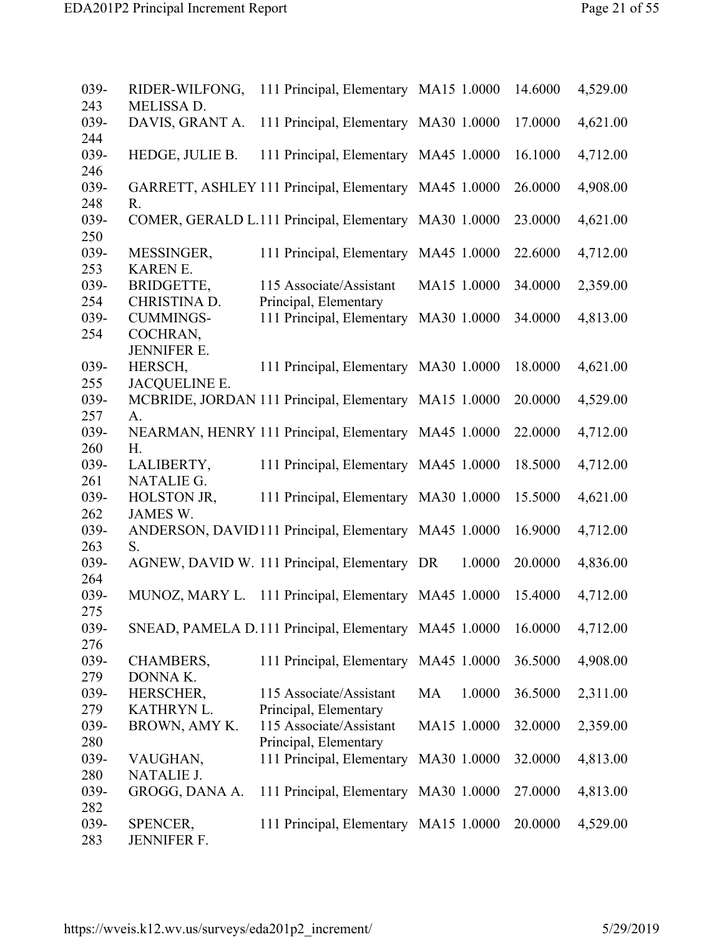| 039- | RIDER-WILFONG,     | 111 Principal, Elementary MA15 1.0000                 |              | 14.6000 | 4,529.00 |
|------|--------------------|-------------------------------------------------------|--------------|---------|----------|
| 243  | MELISSA D.         |                                                       |              |         |          |
| 039- | DAVIS, GRANT A.    | 111 Principal, Elementary MA30 1.0000                 |              | 17.0000 | 4,621.00 |
| 244  |                    |                                                       |              |         |          |
| 039- | HEDGE, JULIE B.    | 111 Principal, Elementary MA45 1.0000                 |              | 16.1000 | 4,712.00 |
| 246  |                    |                                                       |              |         |          |
| 039- |                    | GARRETT, ASHLEY 111 Principal, Elementary MA45 1.0000 |              | 26.0000 | 4,908.00 |
| 248  | R.                 |                                                       |              |         |          |
| 039- |                    | COMER, GERALD L.111 Principal, Elementary MA30 1.0000 |              | 23.0000 | 4,621.00 |
| 250  |                    |                                                       |              |         |          |
| 039- | MESSINGER,         | 111 Principal, Elementary MA45 1.0000                 |              | 22.6000 | 4,712.00 |
| 253  | <b>KAREN E.</b>    |                                                       |              |         |          |
| 039- | BRIDGETTE,         | 115 Associate/Assistant                               | MA15 1.0000  | 34.0000 | 2,359.00 |
| 254  | CHRISTINA D.       | Principal, Elementary                                 |              |         |          |
| 039- | <b>CUMMINGS-</b>   | 111 Principal, Elementary                             | MA30 1.0000  | 34.0000 | 4,813.00 |
| 254  | COCHRAN,           |                                                       |              |         |          |
|      | <b>JENNIFER E.</b> |                                                       |              |         |          |
| 039- | HERSCH,            | 111 Principal, Elementary MA30 1.0000                 |              | 18.0000 | 4,621.00 |
| 255  | JACQUELINE E.      |                                                       |              |         |          |
| 039- |                    | MCBRIDE, JORDAN 111 Principal, Elementary MA15 1.0000 |              | 20.0000 | 4,529.00 |
| 257  | A.                 |                                                       |              |         |          |
| 039- |                    | NEARMAN, HENRY 111 Principal, Elementary MA45 1.0000  |              | 22.0000 | 4,712.00 |
| 260  | H.                 |                                                       |              |         |          |
| 039- | LALIBERTY,         | 111 Principal, Elementary MA45 1.0000                 |              | 18.5000 | 4,712.00 |
| 261  | <b>NATALIE G.</b>  |                                                       |              |         |          |
| 039- | HOLSTON JR,        | 111 Principal, Elementary MA30 1.0000                 |              | 15.5000 | 4,621.00 |
| 262  | <b>JAMES W.</b>    |                                                       |              |         |          |
| 039- |                    | ANDERSON, DAVID111 Principal, Elementary MA45 1.0000  |              | 16.9000 | 4,712.00 |
| 263  | S.                 |                                                       |              |         |          |
| 039- |                    | AGNEW, DAVID W. 111 Principal, Elementary DR          | 1.0000       | 20.0000 | 4,836.00 |
| 264  |                    |                                                       |              |         |          |
| 039- | MUNOZ, MARY L.     | 111 Principal, Elementary MA45 1.0000                 |              | 15.4000 | 4,712.00 |
| 275  |                    |                                                       |              |         |          |
| 039- |                    | SNEAD, PAMELA D.111 Principal, Elementary MA45 1.0000 |              | 16.0000 | 4,712.00 |
| 276  |                    |                                                       |              |         |          |
| 039- | CHAMBERS,          | 111 Principal, Elementary MA45 1.0000                 |              | 36.5000 | 4,908.00 |
| 279  | DONNA K.           |                                                       |              |         |          |
| 039- | HERSCHER,          | 115 Associate/Assistant                               | MA<br>1.0000 | 36.5000 | 2,311.00 |
| 279  | KATHRYN L.         | Principal, Elementary                                 |              |         |          |
| 039- | BROWN, AMY K.      | 115 Associate/Assistant                               | MA15 1.0000  | 32.0000 | 2,359.00 |
| 280  |                    | Principal, Elementary                                 |              |         |          |
| 039- | VAUGHAN,           | 111 Principal, Elementary                             | MA30 1.0000  | 32.0000 | 4,813.00 |
| 280  | <b>NATALIE J.</b>  |                                                       |              |         |          |
| 039- | GROGG, DANA A.     | 111 Principal, Elementary MA30 1.0000                 |              | 27.0000 | 4,813.00 |
| 282  |                    |                                                       |              |         |          |
| 039- | SPENCER,           | 111 Principal, Elementary MA15 1.0000                 |              | 20.0000 | 4,529.00 |
| 283  | <b>JENNIFER F.</b> |                                                       |              |         |          |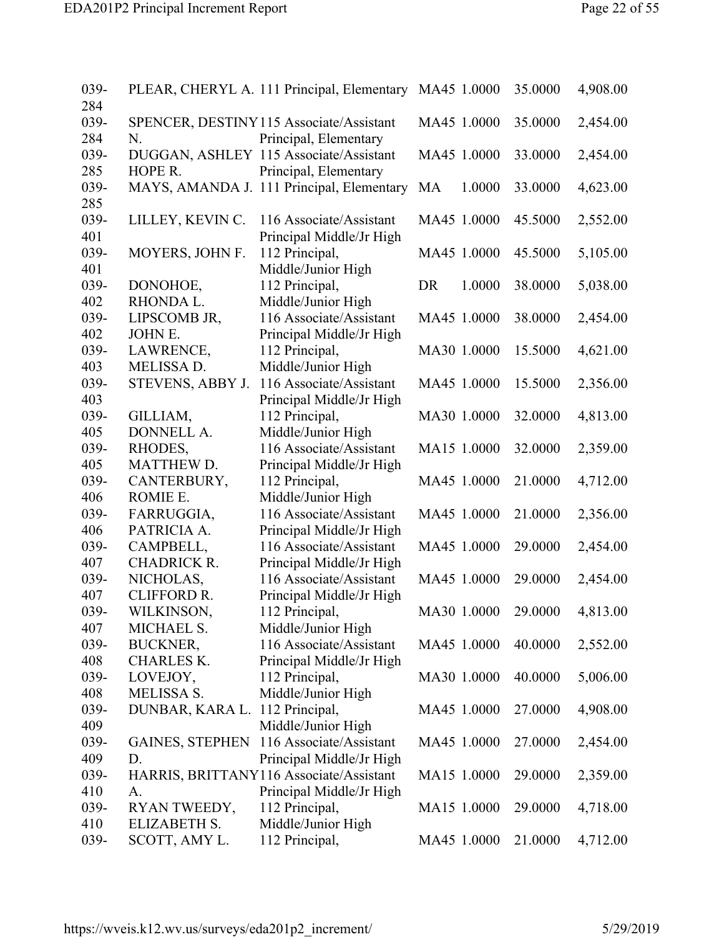| 039-<br>284 |                     | PLEAR, CHERYL A. 111 Principal, Elementary MA45 1.0000 |                     | 35.0000 | 4,908.00 |
|-------------|---------------------|--------------------------------------------------------|---------------------|---------|----------|
| 039-        |                     | SPENCER, DESTINY 115 Associate/Assistant               | MA45 1.0000         | 35.0000 | 2,454.00 |
| 284         | N.                  | Principal, Elementary                                  |                     |         |          |
| 039-        |                     | DUGGAN, ASHLEY 115 Associate/Assistant                 | MA45 1.0000         | 33.0000 | 2,454.00 |
| 285         | HOPE R.             | Principal, Elementary                                  |                     |         |          |
| 039-<br>285 |                     | MAYS, AMANDA J. 111 Principal, Elementary              | <b>MA</b><br>1.0000 | 33.0000 | 4,623.00 |
| 039-        | LILLEY, KEVIN C.    | 116 Associate/Assistant                                | MA45 1.0000         | 45.5000 | 2,552.00 |
| 401         |                     | Principal Middle/Jr High                               |                     |         |          |
| 039-        | MOYERS, JOHN F.     | 112 Principal,                                         | MA45 1.0000         | 45.5000 | 5,105.00 |
| 401         |                     | Middle/Junior High                                     |                     |         |          |
| 039-        | DONOHOE,            | 112 Principal,                                         | DR<br>1.0000        | 38.0000 | 5,038.00 |
| 402         | RHONDA L.           | Middle/Junior High                                     |                     |         |          |
| 039-        | LIPSCOMB JR,        | 116 Associate/Assistant                                | MA45 1.0000         | 38.0000 | 2,454.00 |
| 402         | <b>JOHN E.</b>      | Principal Middle/Jr High                               |                     |         |          |
| 039-        | LAWRENCE,           | 112 Principal,                                         | MA30 1.0000         | 15.5000 | 4,621.00 |
| 403         | <b>MELISSA D.</b>   | Middle/Junior High                                     |                     |         |          |
| 039-        | STEVENS, ABBY J.    | 116 Associate/Assistant                                | MA45 1.0000         | 15.5000 | 2,356.00 |
| 403         |                     | Principal Middle/Jr High                               |                     |         |          |
| 039-        | GILLIAM,            | 112 Principal,                                         | MA30 1.0000         | 32.0000 | 4,813.00 |
| 405         | DONNELL A.          | Middle/Junior High                                     |                     |         |          |
| 039-        | RHODES,             | 116 Associate/Assistant                                | MA15 1.0000         | 32.0000 | 2,359.00 |
| 405         | <b>MATTHEW D.</b>   | Principal Middle/Jr High                               |                     |         |          |
| 039-        | CANTERBURY,         | 112 Principal,                                         | MA45 1.0000         | 21.0000 | 4,712.00 |
| 406         | ROMIE E.            | Middle/Junior High                                     |                     |         |          |
| 039-        | FARRUGGIA,          | 116 Associate/Assistant                                | MA45 1.0000         | 21.0000 | 2,356.00 |
| 406         | PATRICIA A.         | Principal Middle/Jr High                               |                     |         |          |
| 039-        | CAMPBELL,           | 116 Associate/Assistant                                | MA45 1.0000         | 29.0000 | 2,454.00 |
| 407         | <b>CHADRICK R.</b>  | Principal Middle/Jr High                               |                     |         |          |
| 039-        | NICHOLAS,           | 116 Associate/Assistant                                | MA45 1.0000         | 29.0000 | 2,454.00 |
| 407         | <b>CLIFFORD R.</b>  | Principal Middle/Jr High                               |                     |         |          |
| 039-        | WILKINSON,          | 112 Principal,                                         | MA30 1.0000         | 29.0000 | 4,813.00 |
| 407         | MICHAEL S.          | Middle/Junior High                                     |                     |         |          |
| 039-        | <b>BUCKNER,</b>     | 116 Associate/Assistant                                | MA45 1.0000         | 40.0000 | 2,552.00 |
| 408         | <b>CHARLES K.</b>   | Principal Middle/Jr High                               |                     |         |          |
| 039-        | LOVEJOY,            | 112 Principal,                                         | MA30 1.0000         | 40.0000 | 5,006.00 |
| 408         | <b>MELISSA S.</b>   | Middle/Junior High                                     |                     |         |          |
| 039-        | DUNBAR, KARA L.     | 112 Principal,                                         | MA45 1.0000         | 27.0000 | 4,908.00 |
| 409         |                     | Middle/Junior High                                     |                     |         |          |
| 039-        |                     | GAINES, STEPHEN 116 Associate/Assistant                | MA45 1.0000         | 27.0000 | 2,454.00 |
| 409         | D.                  | Principal Middle/Jr High                               |                     |         |          |
| 039-        |                     | HARRIS, BRITTANY116 Associate/Assistant                | MA15 1.0000         | 29.0000 | 2,359.00 |
| 410         | A.                  | Principal Middle/Jr High                               |                     |         |          |
| 039-        | RYAN TWEEDY,        | 112 Principal,                                         | MA15 1.0000         | 29.0000 | 4,718.00 |
| 410         | <b>ELIZABETH S.</b> | Middle/Junior High                                     |                     |         |          |
| 039-        | SCOTT, AMY L.       | 112 Principal,                                         | MA45 1.0000         | 21.0000 | 4,712.00 |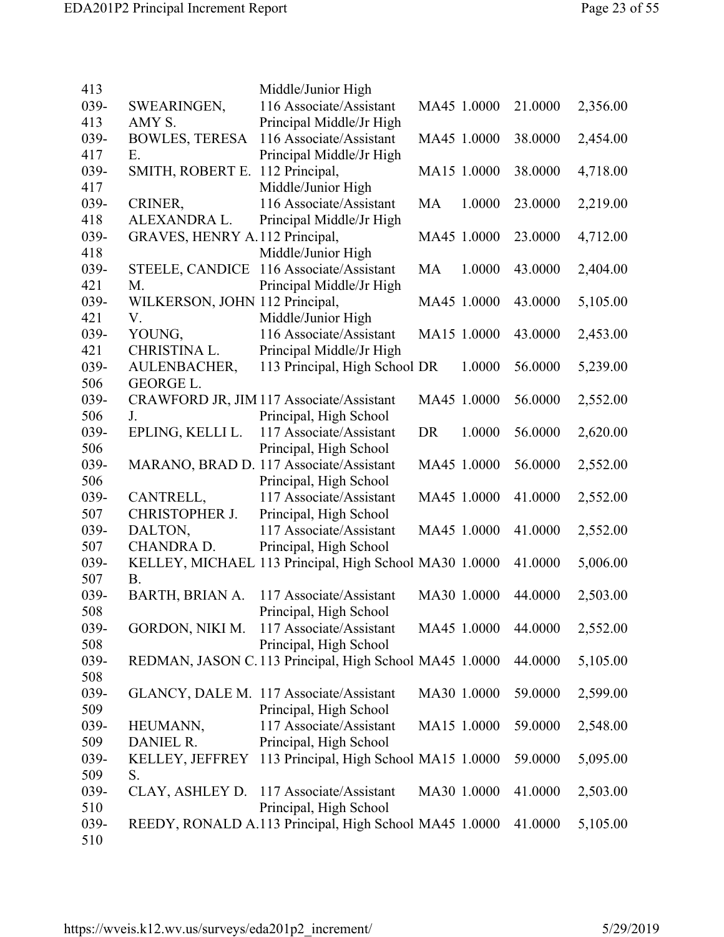| 413         |                                | Middle/Junior High                                                               |    |             |         |          |
|-------------|--------------------------------|----------------------------------------------------------------------------------|----|-------------|---------|----------|
| 039-        | SWEARINGEN,                    | 116 Associate/Assistant                                                          |    | MA45 1.0000 | 21.0000 | 2,356.00 |
| 413         | AMY S.                         | Principal Middle/Jr High                                                         |    |             |         |          |
| 039-        | <b>BOWLES, TERESA</b>          | 116 Associate/Assistant                                                          |    | MA45 1.0000 | 38.0000 | 2,454.00 |
| 417         | E.                             | Principal Middle/Jr High                                                         |    |             |         |          |
| 039-        | SMITH, ROBERT E.               | 112 Principal,                                                                   |    | MA15 1.0000 | 38.0000 | 4,718.00 |
| 417         |                                | Middle/Junior High                                                               |    |             |         |          |
| 039-        | CRINER,                        | 116 Associate/Assistant                                                          | MA | 1.0000      | 23.0000 | 2,219.00 |
| 418         | ALEXANDRA L.                   | Principal Middle/Jr High                                                         |    |             |         |          |
| 039-        | GRAVES, HENRY A.112 Principal, |                                                                                  |    | MA45 1.0000 | 23.0000 | 4,712.00 |
| 418         |                                | Middle/Junior High                                                               |    |             |         |          |
| 039-        | STEELE, CANDICE                | 116 Associate/Assistant                                                          | MA | 1.0000      | 43.0000 | 2,404.00 |
| 421         | M.                             | Principal Middle/Jr High                                                         |    |             |         |          |
| 039-        | WILKERSON, JOHN 112 Principal, |                                                                                  |    | MA45 1.0000 | 43.0000 | 5,105.00 |
| 421         | V.                             | Middle/Junior High                                                               |    |             |         |          |
| 039-        | YOUNG,                         | 116 Associate/Assistant                                                          |    | MA15 1.0000 | 43.0000 | 2,453.00 |
| 421         | CHRISTINA L.                   | Principal Middle/Jr High                                                         |    |             |         |          |
| 039-        | AULENBACHER,                   | 113 Principal, High School DR                                                    |    | 1.0000      | 56.0000 | 5,239.00 |
| 506         | <b>GEORGE L.</b>               |                                                                                  |    |             |         |          |
| 039-        |                                | CRAWFORD JR, JIM 117 Associate/Assistant                                         |    | MA45 1.0000 | 56.0000 | 2,552.00 |
| 506         | J.                             | Principal, High School                                                           |    |             |         |          |
| 039-        | EPLING, KELLI L.               | 117 Associate/Assistant                                                          | DR | 1.0000      | 56.0000 | 2,620.00 |
| 506         |                                | Principal, High School                                                           |    |             |         |          |
| 039-        |                                | MARANO, BRAD D. 117 Associate/Assistant                                          |    | MA45 1.0000 | 56.0000 | 2,552.00 |
| 506         |                                | Principal, High School                                                           |    |             |         |          |
| 039-        | CANTRELL,                      | 117 Associate/Assistant                                                          |    | MA45 1.0000 | 41.0000 | 2,552.00 |
| 507         | CHRISTOPHER J.                 | Principal, High School                                                           |    |             |         |          |
| 039-        | DALTON,                        | 117 Associate/Assistant                                                          |    | MA45 1.0000 | 41.0000 | 2,552.00 |
| 507         | <b>CHANDRA D.</b>              | Principal, High School                                                           |    |             |         |          |
| 039-        |                                | KELLEY, MICHAEL 113 Principal, High School MA30 1.0000                           |    |             | 41.0000 | 5,006.00 |
| 507         | <b>B.</b>                      |                                                                                  |    |             |         |          |
| 039-        | <b>BARTH, BRIAN A.</b>         | 117 Associate/Assistant                                                          |    | MA30 1.0000 | 44.0000 | 2,503.00 |
| 508         |                                | Principal, High School                                                           |    |             |         |          |
| 039-        | GORDON, NIKI M.                | 117 Associate/Assistant                                                          |    | MA45 1.0000 | 44.0000 | 2,552.00 |
| 508<br>039- |                                | Principal, High School<br>REDMAN, JASON C.113 Principal, High School MA45 1.0000 |    |             | 44.0000 |          |
| 508         |                                |                                                                                  |    |             |         | 5,105.00 |
| 039-        |                                | GLANCY, DALE M. 117 Associate/Assistant                                          |    | MA30 1.0000 | 59.0000 | 2,599.00 |
| 509         |                                | Principal, High School                                                           |    |             |         |          |
| 039-        | HEUMANN,                       | 117 Associate/Assistant                                                          |    | MA15 1.0000 | 59.0000 | 2,548.00 |
| 509         | DANIEL R.                      | Principal, High School                                                           |    |             |         |          |
| 039-        | KELLEY, JEFFREY                | 113 Principal, High School MA15 1.0000                                           |    |             | 59.0000 | 5,095.00 |
| 509         | S.                             |                                                                                  |    |             |         |          |
| 039-        | CLAY, ASHLEY D.                | 117 Associate/Assistant                                                          |    | MA30 1.0000 | 41.0000 | 2,503.00 |
| 510         |                                | Principal, High School                                                           |    |             |         |          |
| 039-        |                                | REEDY, RONALD A.113 Principal, High School MA45 1.0000                           |    |             | 41.0000 | 5,105.00 |
| 510         |                                |                                                                                  |    |             |         |          |
|             |                                |                                                                                  |    |             |         |          |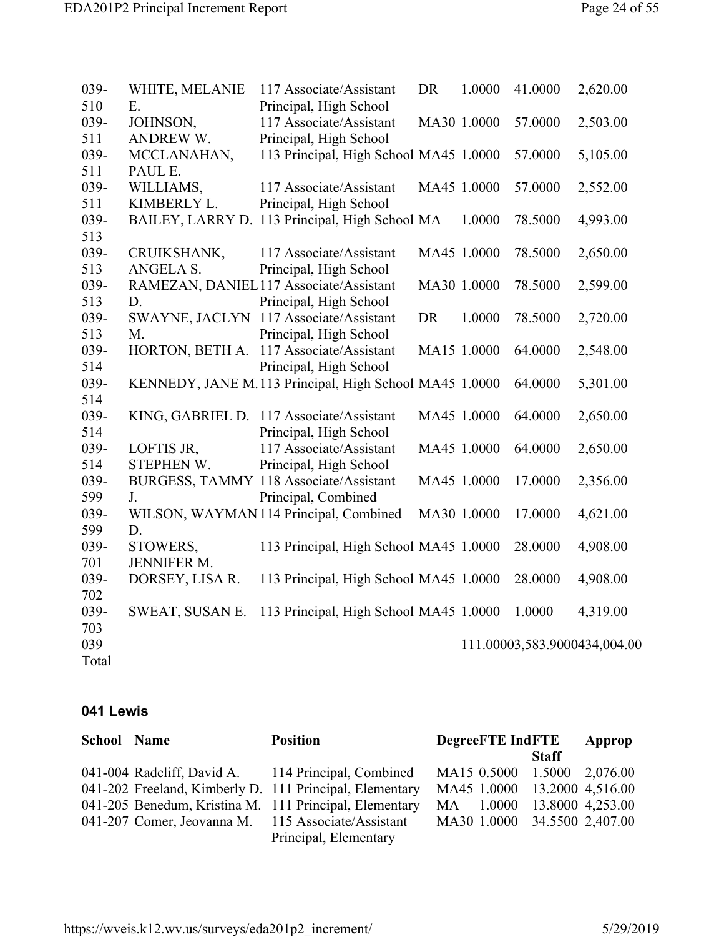| WHITE, MELANIE   | 117 Associate/Assistant | <b>DR</b>                                                                                                                                                                                                                                                            | 1.0000                                         | 41.0000                                                                                                                                                                                                                                                                                                                                                               | 2,620.00                     |
|------------------|-------------------------|----------------------------------------------------------------------------------------------------------------------------------------------------------------------------------------------------------------------------------------------------------------------|------------------------------------------------|-----------------------------------------------------------------------------------------------------------------------------------------------------------------------------------------------------------------------------------------------------------------------------------------------------------------------------------------------------------------------|------------------------------|
| E.               | Principal, High School  |                                                                                                                                                                                                                                                                      |                                                |                                                                                                                                                                                                                                                                                                                                                                       |                              |
| JOHNSON,         | 117 Associate/Assistant |                                                                                                                                                                                                                                                                      |                                                | 57.0000                                                                                                                                                                                                                                                                                                                                                               | 2,503.00                     |
| <b>ANDREW W.</b> | Principal, High School  |                                                                                                                                                                                                                                                                      |                                                |                                                                                                                                                                                                                                                                                                                                                                       |                              |
| MCCLANAHAN,      |                         |                                                                                                                                                                                                                                                                      |                                                | 57.0000                                                                                                                                                                                                                                                                                                                                                               | 5,105.00                     |
| PAUL E.          |                         |                                                                                                                                                                                                                                                                      |                                                |                                                                                                                                                                                                                                                                                                                                                                       |                              |
| WILLIAMS,        | 117 Associate/Assistant |                                                                                                                                                                                                                                                                      |                                                | 57.0000                                                                                                                                                                                                                                                                                                                                                               | 2,552.00                     |
| KIMBERLY L.      | Principal, High School  |                                                                                                                                                                                                                                                                      |                                                |                                                                                                                                                                                                                                                                                                                                                                       |                              |
|                  |                         |                                                                                                                                                                                                                                                                      | 1.0000                                         | 78.5000                                                                                                                                                                                                                                                                                                                                                               | 4,993.00                     |
|                  |                         |                                                                                                                                                                                                                                                                      |                                                |                                                                                                                                                                                                                                                                                                                                                                       |                              |
| CRUIKSHANK,      | 117 Associate/Assistant |                                                                                                                                                                                                                                                                      |                                                | 78.5000                                                                                                                                                                                                                                                                                                                                                               | 2,650.00                     |
| ANGELA S.        |                         |                                                                                                                                                                                                                                                                      |                                                |                                                                                                                                                                                                                                                                                                                                                                       |                              |
|                  |                         |                                                                                                                                                                                                                                                                      |                                                | 78.5000                                                                                                                                                                                                                                                                                                                                                               | 2,599.00                     |
| D.               |                         |                                                                                                                                                                                                                                                                      |                                                |                                                                                                                                                                                                                                                                                                                                                                       |                              |
|                  |                         | <b>DR</b>                                                                                                                                                                                                                                                            | 1.0000                                         | 78.5000                                                                                                                                                                                                                                                                                                                                                               | 2,720.00                     |
| M.               | Principal, High School  |                                                                                                                                                                                                                                                                      |                                                |                                                                                                                                                                                                                                                                                                                                                                       |                              |
| HORTON, BETH A.  | 117 Associate/Assistant |                                                                                                                                                                                                                                                                      |                                                | 64.0000                                                                                                                                                                                                                                                                                                                                                               | 2,548.00                     |
|                  | Principal, High School  |                                                                                                                                                                                                                                                                      |                                                |                                                                                                                                                                                                                                                                                                                                                                       |                              |
|                  |                         |                                                                                                                                                                                                                                                                      |                                                | 64.0000                                                                                                                                                                                                                                                                                                                                                               | 5,301.00                     |
|                  |                         |                                                                                                                                                                                                                                                                      |                                                |                                                                                                                                                                                                                                                                                                                                                                       |                              |
|                  |                         |                                                                                                                                                                                                                                                                      |                                                | 64.0000                                                                                                                                                                                                                                                                                                                                                               | 2,650.00                     |
|                  | Principal, High School  |                                                                                                                                                                                                                                                                      |                                                |                                                                                                                                                                                                                                                                                                                                                                       |                              |
| LOFTIS JR,       | 117 Associate/Assistant |                                                                                                                                                                                                                                                                      |                                                | 64.0000                                                                                                                                                                                                                                                                                                                                                               | 2,650.00                     |
| STEPHEN W.       | Principal, High School  |                                                                                                                                                                                                                                                                      |                                                |                                                                                                                                                                                                                                                                                                                                                                       |                              |
|                  |                         |                                                                                                                                                                                                                                                                      |                                                | 17.0000                                                                                                                                                                                                                                                                                                                                                               | 2,356.00                     |
| J.               | Principal, Combined     |                                                                                                                                                                                                                                                                      |                                                |                                                                                                                                                                                                                                                                                                                                                                       |                              |
|                  |                         |                                                                                                                                                                                                                                                                      |                                                | 17.0000                                                                                                                                                                                                                                                                                                                                                               | 4,621.00                     |
| D.               |                         |                                                                                                                                                                                                                                                                      |                                                |                                                                                                                                                                                                                                                                                                                                                                       |                              |
| STOWERS,         |                         |                                                                                                                                                                                                                                                                      |                                                | 28.0000                                                                                                                                                                                                                                                                                                                                                               | 4,908.00                     |
| JENNIFER M.      |                         |                                                                                                                                                                                                                                                                      |                                                |                                                                                                                                                                                                                                                                                                                                                                       |                              |
| DORSEY, LISA R.  |                         |                                                                                                                                                                                                                                                                      |                                                | 28.0000                                                                                                                                                                                                                                                                                                                                                               | 4,908.00                     |
|                  |                         |                                                                                                                                                                                                                                                                      |                                                |                                                                                                                                                                                                                                                                                                                                                                       |                              |
| SWEAT, SUSAN E.  |                         |                                                                                                                                                                                                                                                                      |                                                | 1.0000                                                                                                                                                                                                                                                                                                                                                                | 4,319.00                     |
|                  |                         |                                                                                                                                                                                                                                                                      |                                                |                                                                                                                                                                                                                                                                                                                                                                       |                              |
|                  |                         |                                                                                                                                                                                                                                                                      |                                                |                                                                                                                                                                                                                                                                                                                                                                       |                              |
|                  |                         |                                                                                                                                                                                                                                                                      |                                                |                                                                                                                                                                                                                                                                                                                                                                       |                              |
|                  |                         | Principal, High School<br>RAMEZAN, DANIEL117 Associate/Assistant<br>Principal, High School<br>SWAYNE, JACLYN 117 Associate/Assistant<br>KING, GABRIEL D. 117 Associate/Assistant<br>BURGESS, TAMMY 118 Associate/Assistant<br>WILSON, WAYMAN 114 Principal, Combined | BAILEY, LARRY D. 113 Principal, High School MA | MA30 1.0000<br>113 Principal, High School MA45 1.0000<br>MA45 1.0000<br>MA45 1.0000<br>MA30 1.0000<br>MA15 1.0000<br>KENNEDY, JANE M.113 Principal, High School MA45 1.0000<br>MA45 1.0000<br>MA45 1.0000<br>MA45 1.0000<br>MA30 1.0000<br>113 Principal, High School MA45 1.0000<br>113 Principal, High School MA45 1.0000<br>113 Principal, High School MA45 1.0000 | 111.00003,583.9000434,004.00 |

#### **041 Lewis**

| <b>School Name</b> | <b>Position</b>                                         | <b>DegreeFTE IndFTE</b>      |              | Approp |
|--------------------|---------------------------------------------------------|------------------------------|--------------|--------|
|                    |                                                         |                              | <b>Staff</b> |        |
|                    | 041-004 Radcliff, David A. 114 Principal, Combined      | MA15 0.5000 1.5000 2,076.00  |              |        |
|                    | 041-202 Freeland, Kimberly D. 111 Principal, Elementary | MA45 1.0000 13.2000 4,516.00 |              |        |
|                    | 041-205 Benedum, Kristina M. 111 Principal, Elementary  | MA 1.0000 13.8000 4,253.00   |              |        |
|                    | 041-207 Comer, Jeovanna M. 115 Associate/Assistant      | MA30 1.0000 34.5500 2,407.00 |              |        |
|                    | Principal, Elementary                                   |                              |              |        |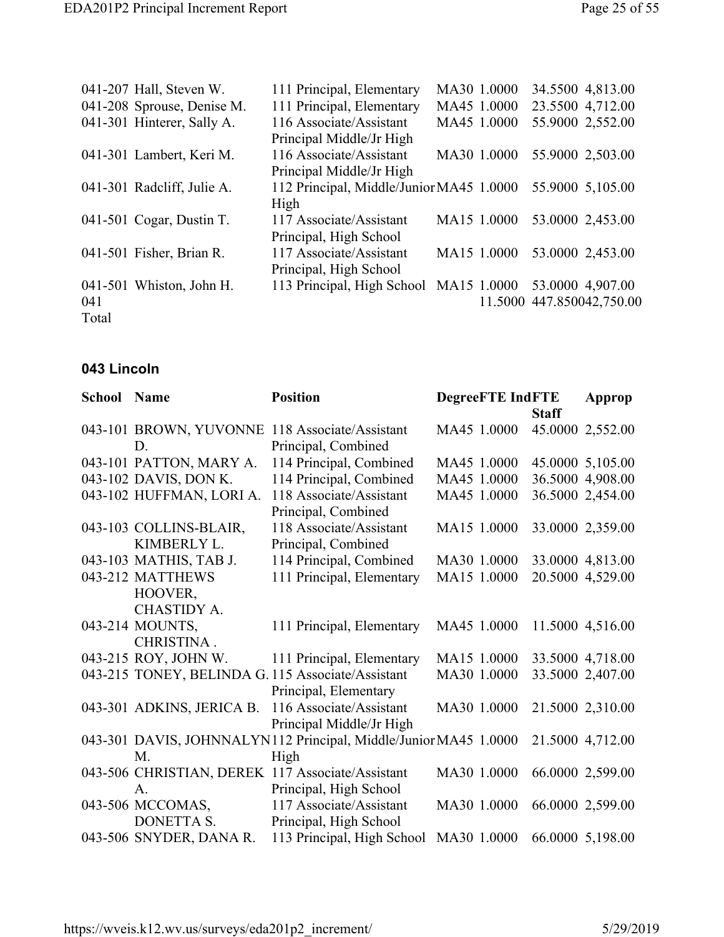|       | 041-207 Hall, Steven W.    | 111 Principal, Elementary                | MA30 1.0000 |             | 34.5500 4,813.00          |
|-------|----------------------------|------------------------------------------|-------------|-------------|---------------------------|
|       | 041-208 Sprouse, Denise M. | 111 Principal, Elementary                |             | MA45 1.0000 | 23.5500 4,712.00          |
|       | 041-301 Hinterer, Sally A. | 116 Associate/Assistant                  |             | MA45 1.0000 | 55.9000 2,552.00          |
|       |                            | Principal Middle/Jr High                 |             |             |                           |
|       | 041-301 Lambert, Keri M.   | 116 Associate/Assistant                  |             | MA30 1.0000 | 55.9000 2,503.00          |
|       |                            | Principal Middle/Jr High                 |             |             |                           |
|       | 041-301 Radcliff, Julie A. | 112 Principal, Middle/Junior MA45 1.0000 |             |             | 55.9000 5,105.00          |
|       |                            | High                                     |             |             |                           |
|       | 041-501 Cogar, Dustin T.   | 117 Associate/Assistant                  |             | MA15 1.0000 | 53.0000 2,453.00          |
|       |                            | Principal, High School                   |             |             |                           |
|       | 041-501 Fisher, Brian R.   | 117 Associate/Assistant                  |             | MA15 1.0000 | 53.0000 2,453.00          |
|       |                            | Principal, High School                   |             |             |                           |
|       | 041-501 Whiston, John H.   | 113 Principal, High School MA15 1.0000   |             |             | 53.0000 4,907.00          |
| 041   |                            |                                          |             |             | 11.5000 447.850042,750.00 |
| Total |                            |                                          |             |             |                           |

### **043 Lincoln**

| <b>School Name</b> |                           | <b>Position</b>                                                  | <b>DegreeFTE IndFTE</b> |              | Approp           |
|--------------------|---------------------------|------------------------------------------------------------------|-------------------------|--------------|------------------|
|                    |                           |                                                                  |                         | <b>Staff</b> |                  |
|                    | 043-101 BROWN, YUVONNE    | 118 Associate/Assistant                                          | MA45 1.0000             |              | 45.0000 2,552.00 |
|                    | D.                        | Principal, Combined                                              |                         |              |                  |
|                    | 043-101 PATTON, MARY A.   | 114 Principal, Combined                                          | MA45 1.0000             |              | 45.0000 5,105.00 |
|                    | 043-102 DAVIS, DON K.     | 114 Principal, Combined                                          | MA45 1.0000             |              | 36.5000 4,908.00 |
|                    | 043-102 HUFFMAN, LORI A.  | 118 Associate/Assistant                                          | MA45 1.0000             |              | 36.5000 2,454.00 |
|                    |                           | Principal, Combined                                              |                         |              |                  |
|                    | 043-103 COLLINS-BLAIR,    | 118 Associate/Assistant                                          | MA15 1.0000             |              | 33.0000 2,359.00 |
|                    | KIMBERLY L.               | Principal, Combined                                              |                         |              |                  |
|                    | 043-103 MATHIS, TAB J.    | 114 Principal, Combined                                          | MA30 1.0000             |              | 33.0000 4,813.00 |
|                    | 043-212 MATTHEWS          | 111 Principal, Elementary                                        | MA15 1.0000             |              | 20.5000 4,529.00 |
|                    | HOOVER,                   |                                                                  |                         |              |                  |
|                    | CHASTIDY A.               |                                                                  |                         |              |                  |
|                    | 043-214 MOUNTS,           | 111 Principal, Elementary                                        | MA45 1.0000             |              | 11.5000 4,516.00 |
|                    | CHRISTINA.                |                                                                  |                         |              |                  |
|                    | 043-215 ROY, JOHN W.      | 111 Principal, Elementary                                        | MA15 1.0000             |              | 33.5000 4,718.00 |
|                    |                           | 043-215 TONEY, BELINDA G. 115 Associate/Assistant                | MA30 1.0000             |              | 33.5000 2,407.00 |
|                    |                           | Principal, Elementary                                            |                         |              |                  |
|                    | 043-301 ADKINS, JERICA B. | 116 Associate/Assistant                                          | MA30 1.0000             |              | 21.5000 2,310.00 |
|                    |                           | Principal Middle/Jr High                                         |                         |              |                  |
|                    |                           | 043-301 DAVIS, JOHNNALYN112 Principal, Middle/Junior MA45 1.0000 |                         |              | 21.5000 4,712.00 |
|                    | M.                        | High                                                             |                         |              |                  |
|                    |                           | 043-506 CHRISTIAN, DEREK 117 Associate/Assistant                 | MA30 1.0000             |              | 66.0000 2,599.00 |
|                    | A.                        | Principal, High School                                           |                         |              |                  |
|                    | 043-506 MCCOMAS,          | 117 Associate/Assistant                                          | MA30 1.0000             |              | 66.0000 2,599.00 |
|                    | <b>DONETTA S.</b>         | Principal, High School                                           |                         |              |                  |
|                    | 043-506 SNYDER, DANA R.   | 113 Principal, High School                                       | MA30 1.0000             |              | 66.0000 5,198.00 |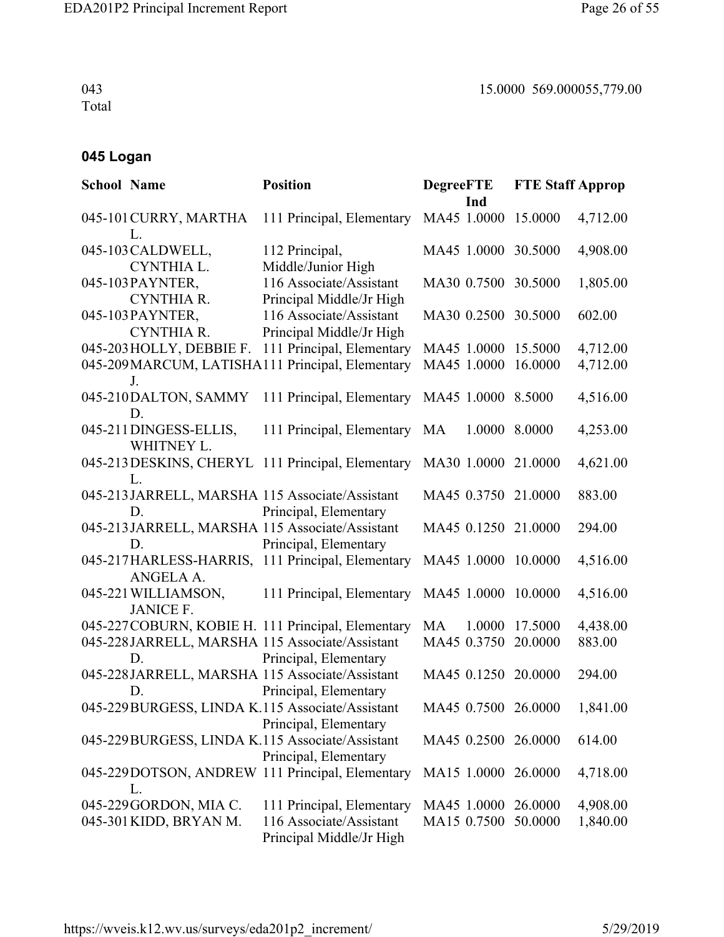043 Total

## **045 Logan**

| <b>School Name</b> |                                                  | <b>Position</b>                                                                                                               | <b>DegreeFTE</b><br>Ind                    | <b>FTE Staff Approp</b> |                      |
|--------------------|--------------------------------------------------|-------------------------------------------------------------------------------------------------------------------------------|--------------------------------------------|-------------------------|----------------------|
|                    | 045-101 CURRY, MARTHA<br>L.                      | 111 Principal, Elementary                                                                                                     | MA45 1.0000 15.0000                        |                         | 4,712.00             |
|                    | 045-103 CALDWELL,<br>CYNTHIA L.                  | 112 Principal,<br>Middle/Junior High                                                                                          | MA45 1.0000 30.5000                        |                         | 4,908.00             |
|                    | 045-103 PAYNTER,<br><b>CYNTHIA R.</b>            | 116 Associate/Assistant<br>Principal Middle/Jr High                                                                           | MA30 0.7500 30.5000                        |                         | 1,805.00             |
|                    | 045-103 PAYNTER,<br><b>CYNTHIA R.</b>            | 116 Associate/Assistant<br>Principal Middle/Jr High                                                                           | MA30 0.2500 30.5000                        |                         | 602.00               |
|                    | 045-203 HOLLY, DEBBIE F.<br>J.                   | 111 Principal, Elementary<br>045-209 MARCUM, LATISHA111 Principal, Elementary                                                 | MA45 1.0000 15.5000<br>MA45 1.0000         | 16.0000                 | 4,712.00<br>4,712.00 |
|                    | 045-210DALTON, SAMMY<br>D.                       | 111 Principal, Elementary                                                                                                     | MA45 1.0000 8.5000                         |                         | 4,516.00             |
|                    | 045-211 DINGESS-ELLIS,<br>WHITNEY L.             | 111 Principal, Elementary MA                                                                                                  | 1.0000 8.0000                              |                         | 4,253.00             |
|                    | L.                                               | 045-213 DESKINS, CHERYL 111 Principal, Elementary                                                                             | MA30 1.0000 21.0000                        |                         | 4,621.00             |
|                    | D.                                               | 045-213 JARRELL, MARSHA 115 Associate/Assistant<br>Principal, Elementary                                                      | MA45 0.3750 21.0000                        |                         | 883.00               |
|                    | D.                                               | 045-213JARRELL, MARSHA 115 Associate/Assistant<br>Principal, Elementary                                                       | MA45 0.1250 21.0000                        |                         | 294.00               |
|                    | ANGELA A.                                        | 045-217 HARLESS-HARRIS, 111 Principal, Elementary                                                                             | MA45 1.0000 10.0000                        |                         | 4,516.00             |
|                    | 045-221 WILLIAMSON,<br><b>JANICE F.</b>          | 111 Principal, Elementary                                                                                                     | MA45 1.0000 10.0000                        |                         | 4,516.00             |
|                    | D.                                               | 045-227 COBURN, KOBIE H. 111 Principal, Elementary<br>045-228JARRELL, MARSHA 115 Associate/Assistant<br>Principal, Elementary | MA<br>MA45 0.3750 20.0000                  | 1.0000 17.5000          | 4,438.00<br>883.00   |
|                    | D.                                               | 045-228JARRELL, MARSHA 115 Associate/Assistant<br>Principal, Elementary                                                       | MA45 0.1250 20.0000                        |                         | 294.00               |
|                    |                                                  | 045-229 BURGESS, LINDA K.115 Associate/Assistant<br>Principal, Elementary                                                     | MA45 0.7500 26.0000                        |                         | 1,841.00             |
|                    |                                                  | 045-229 BURGESS, LINDA K.115 Associate/Assistant<br>Principal, Elementary                                                     | MA45 0.2500 26.0000                        |                         | 614.00               |
|                    | L.                                               | 045-229DOTSON, ANDREW 111 Principal, Elementary                                                                               | MA15 1.0000 26.0000                        |                         | 4,718.00             |
|                    | 045-229 GORDON, MIA C.<br>045-301 KIDD, BRYAN M. | 111 Principal, Elementary<br>116 Associate/Assistant<br>Principal Middle/Jr High                                              | MA45 1.0000 26.0000<br>MA15 0.7500 50.0000 |                         | 4,908.00<br>1,840.00 |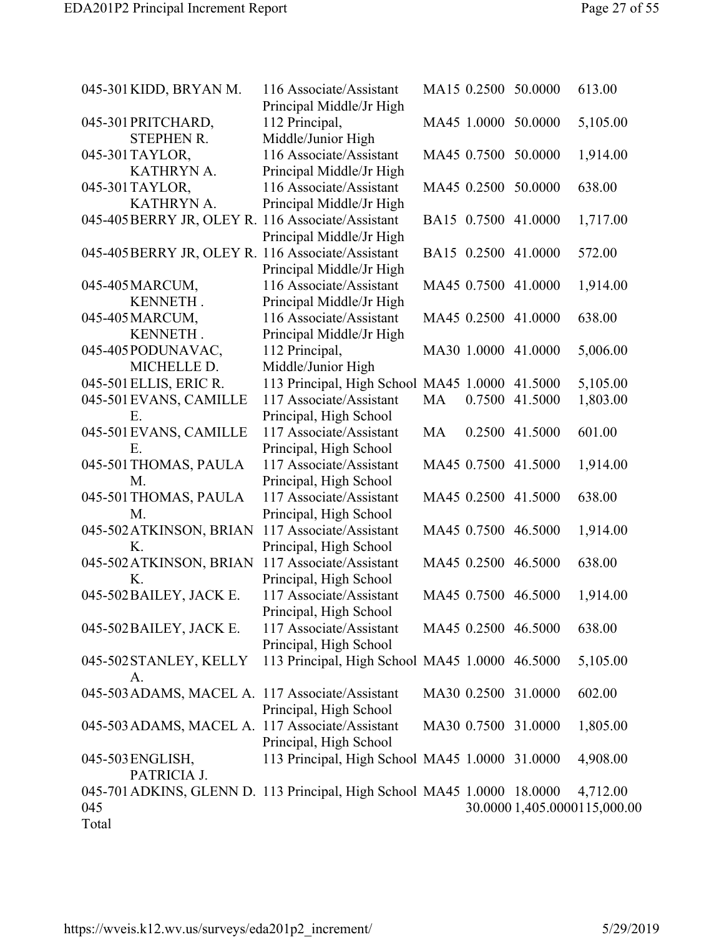| 045-301 KIDD, BRYAN M.                                                  | 116 Associate/Assistant                        |    | MA15 0.2500 50.0000 |                     | 613.00                       |
|-------------------------------------------------------------------------|------------------------------------------------|----|---------------------|---------------------|------------------------------|
|                                                                         | Principal Middle/Jr High                       |    |                     |                     |                              |
| 045-301 PRITCHARD,                                                      | 112 Principal,                                 |    |                     | MA45 1.0000 50.0000 | 5,105.00                     |
| <b>STEPHEN R.</b>                                                       | Middle/Junior High                             |    |                     |                     |                              |
| 045-301 TAYLOR,                                                         | 116 Associate/Assistant                        |    | MA45 0.7500 50.0000 |                     | 1,914.00                     |
| KATHRYN A.                                                              | Principal Middle/Jr High                       |    |                     |                     |                              |
| 045-301 TAYLOR,                                                         | 116 Associate/Assistant                        |    |                     | MA45 0.2500 50.0000 | 638.00                       |
| KATHRYN A.                                                              | Principal Middle/Jr High                       |    |                     |                     |                              |
| 045-405 BERRY JR, OLEY R. 116 Associate/Assistant                       |                                                |    |                     | BA15 0.7500 41.0000 | 1,717.00                     |
|                                                                         | Principal Middle/Jr High                       |    |                     |                     |                              |
| 045-405 BERRY JR, OLEY R. 116 Associate/Assistant                       |                                                |    |                     | BA15 0.2500 41.0000 | 572.00                       |
|                                                                         | Principal Middle/Jr High                       |    |                     |                     |                              |
| 045-405 MARCUM,                                                         | 116 Associate/Assistant                        |    |                     | MA45 0.7500 41.0000 | 1,914.00                     |
| KENNETH.                                                                | Principal Middle/Jr High                       |    |                     |                     |                              |
| 045-405 MARCUM,                                                         | 116 Associate/Assistant                        |    |                     | MA45 0.2500 41.0000 | 638.00                       |
| KENNETH.                                                                | Principal Middle/Jr High                       |    |                     |                     |                              |
| 045-405 PODUNAVAC,                                                      | 112 Principal,                                 |    |                     | MA30 1.0000 41.0000 | 5,006.00                     |
| MICHELLE D.                                                             | Middle/Junior High                             |    |                     |                     |                              |
| 045-501 ELLIS, ERIC R.                                                  | 113 Principal, High School MA45 1.0000         |    |                     | 41.5000             | 5,105.00                     |
| 045-501 EVANS, CAMILLE                                                  | 117 Associate/Assistant                        | MA | 0.7500              | 41.5000             | 1,803.00                     |
| Ε.                                                                      | Principal, High School                         |    |                     |                     |                              |
| 045-501 EVANS, CAMILLE                                                  | 117 Associate/Assistant                        | MA |                     | 0.2500 41.5000      | 601.00                       |
| Ε.                                                                      |                                                |    |                     |                     |                              |
|                                                                         | Principal, High School                         |    |                     |                     |                              |
| 045-501 THOMAS, PAULA                                                   | 117 Associate/Assistant                        |    |                     | MA45 0.7500 41.5000 | 1,914.00                     |
| M.                                                                      | Principal, High School                         |    |                     |                     |                              |
| 045-501 THOMAS, PAULA                                                   | 117 Associate/Assistant                        |    |                     | MA45 0.2500 41.5000 | 638.00                       |
| M.                                                                      | Principal, High School                         |    |                     |                     |                              |
| 045-502 ATKINSON, BRIAN                                                 | 117 Associate/Assistant                        |    |                     | MA45 0.7500 46.5000 | 1,914.00                     |
| Κ.                                                                      | Principal, High School                         |    |                     |                     |                              |
| 045-502 ATKINSON, BRIAN                                                 | 117 Associate/Assistant                        |    |                     | MA45 0.2500 46.5000 | 638.00                       |
| K.                                                                      | Principal, High School                         |    |                     |                     |                              |
| 045-502 BAILEY, JACK E.                                                 | 117 Associate/Assistant                        |    | MA45 0.7500 46.5000 |                     | 1,914.00                     |
|                                                                         | Principal, High School                         |    |                     |                     |                              |
| 045-502 BAILEY, JACK E.                                                 | 117 Associate/Assistant                        |    | MA45 0.2500 46.5000 |                     | 638.00                       |
|                                                                         | Principal, High School                         |    |                     |                     |                              |
| 045-502 STANLEY, KELLY                                                  | 113 Principal, High School MA45 1.0000 46.5000 |    |                     |                     | 5,105.00                     |
| A <sub>1</sub>                                                          |                                                |    |                     |                     |                              |
| 045-503 ADAMS, MACEL A. 117 Associate/Assistant                         |                                                |    | MA30 0.2500 31.0000 |                     | 602.00                       |
|                                                                         | Principal, High School                         |    |                     |                     |                              |
| 045-503 ADAMS, MACEL A. 117 Associate/Assistant                         |                                                |    | MA30 0.7500 31.0000 |                     | 1,805.00                     |
|                                                                         | Principal, High School                         |    |                     |                     |                              |
| 045-503 ENGLISH,                                                        | 113 Principal, High School MA45 1.0000 31.0000 |    |                     |                     | 4,908.00                     |
| PATRICIA J.                                                             |                                                |    |                     |                     |                              |
| 045-701 ADKINS, GLENN D. 113 Principal, High School MA45 1.0000 18.0000 |                                                |    |                     |                     | 4,712.00                     |
| 045                                                                     |                                                |    |                     |                     | 30.0000 1,405.0000115,000.00 |
| Total                                                                   |                                                |    |                     |                     |                              |
|                                                                         |                                                |    |                     |                     |                              |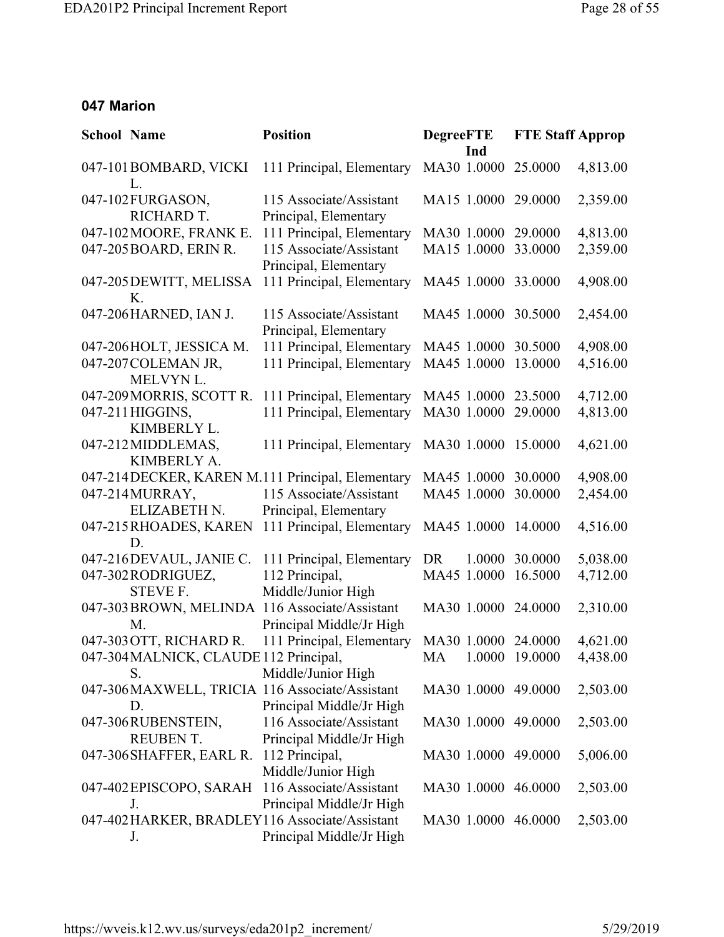#### **047 Marion**

| <b>School Name</b> |                                       | <b>Position</b>                                                            | <b>DegreeFTE</b><br>Ind | <b>FTE Staff Approp</b> |          |
|--------------------|---------------------------------------|----------------------------------------------------------------------------|-------------------------|-------------------------|----------|
|                    | 047-101BOMBARD, VICKI<br>L.           | 111 Principal, Elementary                                                  | MA30 1.0000             | 25.0000                 | 4,813.00 |
|                    | 047-102FURGASON,<br>RICHARD T.        | 115 Associate/Assistant<br>Principal, Elementary                           | MA15 1.0000 29.0000     |                         | 2,359.00 |
|                    | 047-102 MOORE, FRANK E.               | 111 Principal, Elementary                                                  | MA30 1.0000 29.0000     |                         | 4,813.00 |
|                    | 047-205 BOARD, ERIN R.                | 115 Associate/Assistant<br>Principal, Elementary                           | MA15 1.0000             | 33.0000                 | 2,359.00 |
|                    | 047-205 DEWITT, MELISSA<br>Κ.         | 111 Principal, Elementary                                                  | MA45 1.0000 33.0000     |                         | 4,908.00 |
|                    | 047-206HARNED, IAN J.                 | 115 Associate/Assistant<br>Principal, Elementary                           | MA45 1.0000 30.5000     |                         | 2,454.00 |
|                    | 047-206HOLT, JESSICA M.               | 111 Principal, Elementary                                                  | MA45 1.0000 30.5000     |                         | 4,908.00 |
|                    | 047-207 COLEMAN JR,<br>MELVYN L.      | 111 Principal, Elementary                                                  | MA45 1.0000             | 13.0000                 | 4,516.00 |
|                    | 047-209 MORRIS, SCOTT R.              | 111 Principal, Elementary                                                  | MA45 1.0000             | 23.5000                 | 4,712.00 |
|                    | 047-211 HIGGINS,<br>KIMBERLY L.       | 111 Principal, Elementary                                                  | MA30 1.0000             | 29.0000                 | 4,813.00 |
|                    | 047-212MIDDLEMAS,<br>KIMBERLY A.      | 111 Principal, Elementary                                                  | MA30 1.0000 15.0000     |                         | 4,621.00 |
|                    |                                       | 047-214DECKER, KAREN M.111 Principal, Elementary                           | MA45 1.0000 30.0000     |                         | 4,908.00 |
|                    | 047-214MURRAY,<br>ELIZABETH N.        | 115 Associate/Assistant<br>Principal, Elementary                           | MA45 1.0000             | 30.0000                 | 2,454.00 |
|                    | 047-215RHOADES, KAREN<br>D.           | 111 Principal, Elementary                                                  | MA45 1.0000 14.0000     |                         | 4,516.00 |
|                    | 047-216DEVAUL, JANIE C.               | 111 Principal, Elementary                                                  | DR.<br>1.0000           | 30.0000                 | 5,038.00 |
|                    | 047-302 RODRIGUEZ,                    | 112 Principal,                                                             | MA45 1.0000             | 16.5000                 | 4,712.00 |
|                    | STEVE F.                              | Middle/Junior High                                                         |                         |                         |          |
|                    | 047-303 BROWN, MELINDA<br>M.          | 116 Associate/Assistant<br>Principal Middle/Jr High                        | MA30 1.0000 24.0000     |                         | 2,310.00 |
|                    | 047-303 OTT, RICHARD R.               | 111 Principal, Elementary                                                  | MA30 1.0000 24.0000     |                         | 4,621.00 |
|                    | S.                                    | 047-304 MALNICK, CLAUDE 112 Principal,<br>Middle/Junior High               | MA 1.0000 19.0000       |                         | 4,438.00 |
|                    | D.                                    | 047-306MAXWELL, TRICIA 116 Associate/Assistant<br>Principal Middle/Jr High | MA30 1.0000 49.0000     |                         | 2,503.00 |
|                    | 047-306RUBENSTEIN,<br><b>REUBENT.</b> | 116 Associate/Assistant<br>Principal Middle/Jr High                        | MA30 1.0000 49.0000     |                         | 2,503.00 |
|                    | 047-306 SHAFFER, EARL R.              | 112 Principal,<br>Middle/Junior High                                       | MA30 1.0000 49.0000     |                         | 5,006.00 |
|                    | 047-402 EPISCOPO, SARAH<br>J.         | 116 Associate/Assistant<br>Principal Middle/Jr High                        | MA30 1.0000 46.0000     |                         | 2,503.00 |
|                    | J.                                    | 047-402 HARKER, BRADLEY116 Associate/Assistant<br>Principal Middle/Jr High | MA30 1.0000 46.0000     |                         | 2,503.00 |
|                    |                                       |                                                                            |                         |                         |          |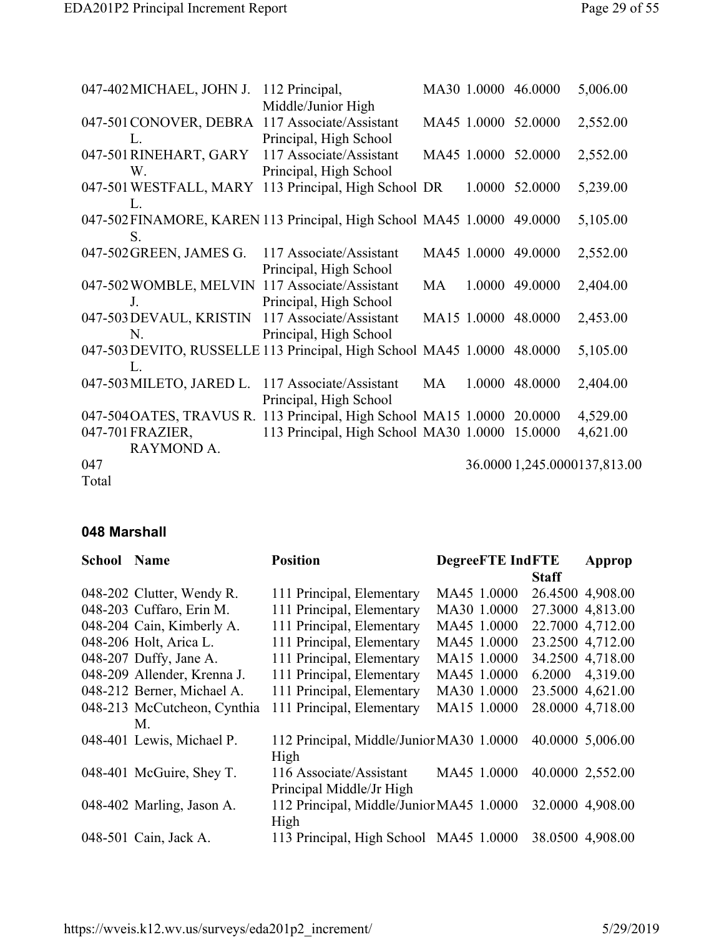| 047-402 MICHAEL, JOHN J.                                                | 112 Principal,                                 |    | MA30 1.0000 46.0000 | 5,006.00                     |
|-------------------------------------------------------------------------|------------------------------------------------|----|---------------------|------------------------------|
|                                                                         | Middle/Junior High                             |    |                     |                              |
| 047-501 CONOVER, DEBRA 117 Associate/Assistant                          |                                                |    | MA45 1.0000 52.0000 | 2,552.00                     |
| L.                                                                      | Principal, High School                         |    |                     |                              |
| 047-501 RINEHART, GARY                                                  | 117 Associate/Assistant                        |    | MA45 1.0000 52.0000 | 2,552.00                     |
| W.                                                                      | Principal, High School                         |    |                     |                              |
| 047-501 WESTFALL, MARY 113 Principal, High School DR                    |                                                |    | 1.0000 52.0000      | 5,239.00                     |
| L.                                                                      |                                                |    |                     |                              |
| 047-502 FINAMORE, KAREN 113 Principal, High School MA45 1.0000 49.0000  |                                                |    |                     | 5,105.00                     |
| S.                                                                      |                                                |    |                     |                              |
| 047-502 GREEN, JAMES G.                                                 | 117 Associate/Assistant                        |    | MA45 1.0000 49.0000 | 2,552.00                     |
|                                                                         | Principal, High School                         |    |                     |                              |
| 047-502 WOMBLE, MELVIN 117 Associate/Assistant                          |                                                | MA | 1.0000 49.0000      | 2,404.00                     |
| $J_{\cdot}$                                                             | Principal, High School                         |    |                     |                              |
| 047-503 DEVAUL, KRISTIN                                                 | 117 Associate/Assistant                        |    | MA15 1.0000 48.0000 | 2,453.00                     |
| N.                                                                      | Principal, High School                         |    |                     |                              |
| 047-503 DEVITO, RUSSELLE 113 Principal, High School MA45 1.0000 48.0000 |                                                |    |                     | 5,105.00                     |
| L.                                                                      |                                                |    |                     |                              |
| 047-503 MILETO, JARED L.                                                | 117 Associate/Assistant                        | MA | 1.0000 48.0000      | 2,404.00                     |
|                                                                         | Principal, High School                         |    |                     |                              |
| 047-504 OATES, TRAVUS R. 113 Principal, High School MA15 1.0000 20.0000 |                                                |    |                     | 4,529.00                     |
| 047-701 FRAZIER,                                                        | 113 Principal, High School MA30 1.0000 15.0000 |    |                     | 4,621.00                     |
| RAYMOND A.                                                              |                                                |    |                     |                              |
| 047                                                                     |                                                |    |                     | 36.0000 1,245.0000137,813.00 |
| Total                                                                   |                                                |    |                     |                              |

### **048 Marshall**

| <b>School Name</b> |                                   | <b>Position</b>                                     | <b>DegreeFTE IndFTE</b> |              | Approp           |
|--------------------|-----------------------------------|-----------------------------------------------------|-------------------------|--------------|------------------|
|                    |                                   |                                                     |                         | <b>Staff</b> |                  |
|                    | 048-202 Clutter, Wendy R.         | 111 Principal, Elementary                           | MA45 1.0000             |              | 26.4500 4,908.00 |
|                    | 048-203 Cuffaro, Erin M.          | 111 Principal, Elementary                           | MA30 1.0000             |              | 27.3000 4,813.00 |
|                    | 048-204 Cain, Kimberly A.         | 111 Principal, Elementary                           | MA45 1.0000             |              | 22.7000 4,712.00 |
|                    | 048-206 Holt, Arica L.            | 111 Principal, Elementary                           | MA45 1.0000             |              | 23.2500 4.712.00 |
|                    | 048-207 Duffy, Jane A.            | 111 Principal, Elementary                           | MA15 1.0000             |              | 34.2500 4,718.00 |
|                    | 048-209 Allender, Krenna J.       | 111 Principal, Elementary                           | MA45 1.0000             |              | 6.2000 4,319.00  |
|                    | 048-212 Berner, Michael A.        | 111 Principal, Elementary                           | MA30 1.0000             |              | 23.5000 4,621.00 |
|                    | 048-213 McCutcheon, Cynthia<br>M. | 111 Principal, Elementary                           | MA15 1.0000             |              | 28.0000 4,718.00 |
|                    | 048-401 Lewis, Michael P.         | 112 Principal, Middle/Junior MA30 1.0000<br>High    |                         |              | 40.0000 5,006.00 |
|                    | 048-401 McGuire, Shey T.          | 116 Associate/Assistant<br>Principal Middle/Jr High | MA45 1.0000             |              | 40.0000 2,552.00 |
|                    | 048-402 Marling, Jason A.         | 112 Principal, Middle/Junior MA45 1.0000<br>High    |                         |              | 32.0000 4,908.00 |
|                    | 048-501 Cain, Jack A.             | 113 Principal, High School MA45 1.0000              |                         |              | 38.0500 4,908.00 |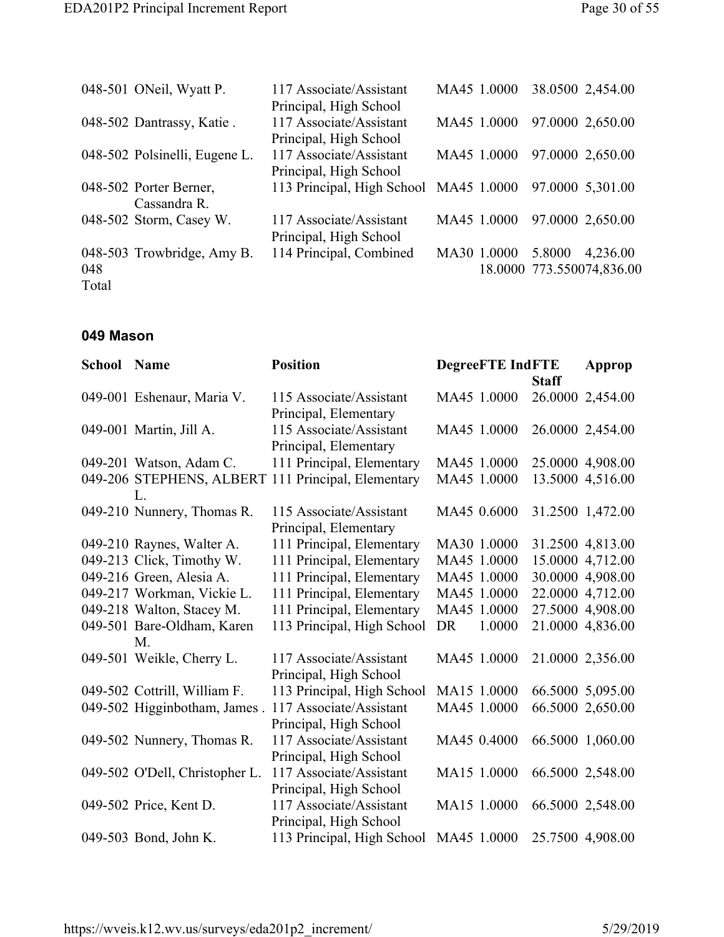|      | 048-501 ONeil, Wyatt P.       | 117 Associate/Assistant                                 | MA45 1.0000 | 38.0500 2,454.00 |                              |
|------|-------------------------------|---------------------------------------------------------|-------------|------------------|------------------------------|
|      |                               | Principal, High School                                  |             |                  |                              |
|      | 048-502 Dantrassy, Katie.     | 117 Associate/Assistant                                 |             |                  | MA45 1.0000 97.0000 2,650.00 |
|      |                               | Principal, High School                                  |             |                  |                              |
|      | 048-502 Polsinelli, Eugene L. | 117 Associate/Assistant                                 |             |                  | MA45 1.0000 97.0000 2,650.00 |
|      |                               | Principal, High School                                  |             |                  |                              |
|      | 048-502 Porter Berner,        | 113 Principal, High School MA45 1.0000 97.0000 5,301.00 |             |                  |                              |
|      | Cassandra R.                  |                                                         |             |                  |                              |
|      | 048-502 Storm, Casey W.       | 117 Associate/Assistant                                 | MA45 1.0000 |                  | 97.0000 2,650.00             |
|      |                               | Principal, High School                                  |             |                  |                              |
|      | 048-503 Trowbridge, Amy B.    | 114 Principal, Combined                                 | MA30 1.0000 | 5.8000           | 4,236.00                     |
| 048  |                               |                                                         |             |                  | 18.0000 773.550074,836.00    |
| -- 1 |                               |                                                         |             |                  |                              |

Total

#### **049 Mason**

| <b>School Name</b> |                                | <b>Position</b>                                    | <b>DegreeFTE IndFTE</b> |              | Approp           |
|--------------------|--------------------------------|----------------------------------------------------|-------------------------|--------------|------------------|
|                    |                                |                                                    |                         | <b>Staff</b> |                  |
|                    | 049-001 Eshenaur, Maria V.     | 115 Associate/Assistant                            | MA45 1.0000             |              | 26.0000 2,454.00 |
|                    |                                | Principal, Elementary                              |                         |              |                  |
|                    | 049-001 Martin, Jill A.        | 115 Associate/Assistant                            | MA45 1.0000             |              | 26.0000 2,454.00 |
|                    |                                | Principal, Elementary                              |                         |              |                  |
|                    | 049-201 Watson, Adam C.        | 111 Principal, Elementary                          | MA45 1.0000             |              | 25.0000 4,908.00 |
|                    |                                | 049-206 STEPHENS, ALBERT 111 Principal, Elementary | MA45 1.0000             |              | 13.5000 4,516.00 |
|                    | L.                             |                                                    |                         |              |                  |
|                    | 049-210 Nunnery, Thomas R.     | 115 Associate/Assistant                            | MA45 0.6000             |              | 31.2500 1,472.00 |
|                    |                                | Principal, Elementary                              |                         |              |                  |
|                    | 049-210 Raynes, Walter A.      | 111 Principal, Elementary                          | MA30 1.0000             |              | 31.2500 4,813.00 |
|                    | 049-213 Click, Timothy W.      | 111 Principal, Elementary                          | MA45 1.0000             |              | 15.0000 4,712.00 |
|                    | 049-216 Green, Alesia A.       | 111 Principal, Elementary                          | MA45 1.0000             |              | 30.0000 4,908.00 |
|                    | 049-217 Workman, Vickie L.     | 111 Principal, Elementary                          | MA45 1.0000             |              | 22.0000 4,712.00 |
|                    | 049-218 Walton, Stacey M.      | 111 Principal, Elementary                          | MA45 1.0000             |              | 27.5000 4,908.00 |
|                    | 049-501 Bare-Oldham, Karen     | 113 Principal, High School                         | 1.0000<br>DR            |              | 21.0000 4,836.00 |
|                    | $M_{\cdot}$                    |                                                    |                         |              |                  |
|                    | 049-501 Weikle, Cherry L.      | 117 Associate/Assistant                            | MA45 1.0000             |              | 21.0000 2,356.00 |
|                    |                                | Principal, High School                             |                         |              |                  |
|                    | 049-502 Cottrill, William F.   | 113 Principal, High School                         | MA15 1.0000             |              | 66.5000 5,095.00 |
|                    | 049-502 Higginbotham, James.   | 117 Associate/Assistant                            | MA45 1.0000             |              | 66.5000 2,650.00 |
|                    |                                | Principal, High School                             |                         |              |                  |
|                    | 049-502 Nunnery, Thomas R.     | 117 Associate/Assistant                            | MA45 0.4000             |              | 66.5000 1,060.00 |
|                    |                                | Principal, High School                             |                         |              |                  |
|                    | 049-502 O'Dell, Christopher L. | 117 Associate/Assistant                            | MA15 1.0000             |              | 66.5000 2,548.00 |
|                    |                                | Principal, High School                             |                         |              |                  |
|                    | 049-502 Price, Kent D.         | 117 Associate/Assistant                            | MA15 1.0000             |              | 66.5000 2,548.00 |
|                    |                                | Principal, High School                             |                         |              |                  |
|                    | 049-503 Bond, John K.          | 113 Principal, High School                         | MA45 1.0000             |              | 25.7500 4,908.00 |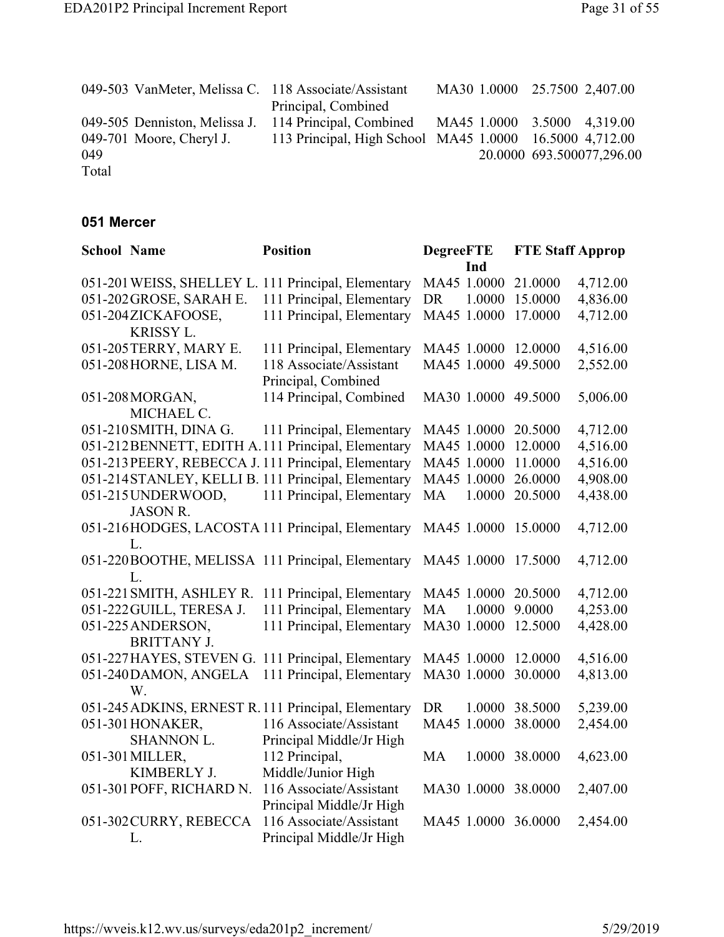|       |                               | 049-503 VanMeter, Melissa C. 118 Associate/Assistant    |  | MA30 1.0000 25.7500 2,407.00 |
|-------|-------------------------------|---------------------------------------------------------|--|------------------------------|
|       |                               | Principal, Combined                                     |  |                              |
|       | 049-505 Denniston, Melissa J. | 114 Principal, Combined                                 |  | MA45 1.0000 3.5000 4,319.00  |
|       | 049-701 Moore, Cheryl J.      | 113 Principal, High School MA45 1.0000 16.5000 4,712.00 |  |                              |
| 049   |                               |                                                         |  | 20.0000 693.500077,296.00    |
| Total |                               |                                                         |  |                              |

#### **051 Mercer**

| <b>School Name</b> |                          | <b>Position</b>                                     | <b>DegreeFTE</b>    | <b>FTE Staff Approp</b> |          |
|--------------------|--------------------------|-----------------------------------------------------|---------------------|-------------------------|----------|
|                    |                          |                                                     | Ind                 |                         |          |
|                    |                          | 051-201 WEISS, SHELLEY L. 111 Principal, Elementary | MA45 1.0000         | 21.0000                 | 4,712.00 |
|                    | 051-202 GROSE, SARAH E.  | 111 Principal, Elementary                           | <b>DR</b><br>1.0000 | 15.0000                 | 4,836.00 |
|                    | 051-204ZICKAFOOSE,       | 111 Principal, Elementary                           | MA45 1.0000         | 17.0000                 | 4,712.00 |
|                    | KRISSY L.                |                                                     |                     |                         |          |
|                    | 051-205TERRY, MARY E.    | 111 Principal, Elementary                           | MA45 1.0000         | 12.0000                 | 4,516.00 |
|                    | 051-208 HORNE, LISA M.   | 118 Associate/Assistant                             | MA45 1.0000         | 49.5000                 | 2,552.00 |
|                    |                          | Principal, Combined                                 |                     |                         |          |
|                    | 051-208 MORGAN,          | 114 Principal, Combined                             | MA30 1.0000 49.5000 |                         | 5,006.00 |
|                    | MICHAEL C.               |                                                     |                     |                         |          |
|                    | 051-210 SMITH, DINA G.   | 111 Principal, Elementary                           | MA45 1.0000         | 20.5000                 | 4,712.00 |
|                    |                          | 051-212BENNETT, EDITH A.111 Principal, Elementary   | MA45 1.0000         | 12.0000                 | 4,516.00 |
|                    |                          | 051-213 PEERY, REBECCA J. 111 Principal, Elementary | MA45 1.0000         | 11.0000                 | 4,516.00 |
|                    |                          | 051-214 STANLEY, KELLI B. 111 Principal, Elementary | MA45 1.0000         | 26.0000                 | 4,908.00 |
|                    | 051-215UNDERWOOD,        | 111 Principal, Elementary                           | MA<br>1.0000        | 20.5000                 | 4,438.00 |
|                    | <b>JASON R.</b>          |                                                     |                     |                         |          |
|                    |                          | 051-216HODGES, LACOSTA 111 Principal, Elementary    | MA45 1.0000         | 15.0000                 | 4,712.00 |
|                    | L.                       |                                                     |                     |                         |          |
|                    |                          | 051-220BOOTHE, MELISSA 111 Principal, Elementary    | MA45 1.0000         | 17.5000                 | 4,712.00 |
|                    | L.                       |                                                     |                     |                         |          |
|                    |                          | 051-221 SMITH, ASHLEY R. 111 Principal, Elementary  | MA45 1.0000         | 20.5000                 | 4,712.00 |
|                    | 051-222 GUILL, TERESA J. | 111 Principal, Elementary                           | MA<br>1.0000        | 9.0000                  | 4,253.00 |
|                    | 051-225 ANDERSON,        | 111 Principal, Elementary                           | MA30 1.0000         | 12.5000                 | 4,428.00 |
|                    | <b>BRITTANY J.</b>       |                                                     |                     |                         |          |
|                    |                          | 051-227HAYES, STEVEN G. 111 Principal, Elementary   | MA45 1.0000         | 12.0000                 | 4,516.00 |
|                    | 051-240DAMON, ANGELA     | 111 Principal, Elementary                           | MA30 1.0000         | 30.0000                 | 4,813.00 |
|                    | W.                       |                                                     |                     |                         |          |
|                    |                          | 051-245 ADKINS, ERNEST R. 111 Principal, Elementary | <b>DR</b><br>1.0000 | 38.5000                 | 5,239.00 |
|                    | 051-301 HONAKER,         | 116 Associate/Assistant                             | MA45 1.0000         | 38.0000                 | 2,454.00 |
|                    | SHANNON L.               | Principal Middle/Jr High                            |                     |                         |          |
|                    | 051-301 MILLER,          | 112 Principal,                                      | <b>MA</b>           | 1.0000 38.0000          | 4,623.00 |
|                    | KIMBERLY J.              | Middle/Junior High                                  |                     |                         |          |
|                    | 051-301 POFF, RICHARD N. | 116 Associate/Assistant                             | MA30 1.0000 38.0000 |                         | 2,407.00 |
|                    |                          | Principal Middle/Jr High                            |                     |                         |          |
|                    | 051-302 CURRY, REBECCA   | 116 Associate/Assistant                             | MA45 1.0000 36.0000 |                         | 2,454.00 |
|                    | L.                       | Principal Middle/Jr High                            |                     |                         |          |
|                    |                          |                                                     |                     |                         |          |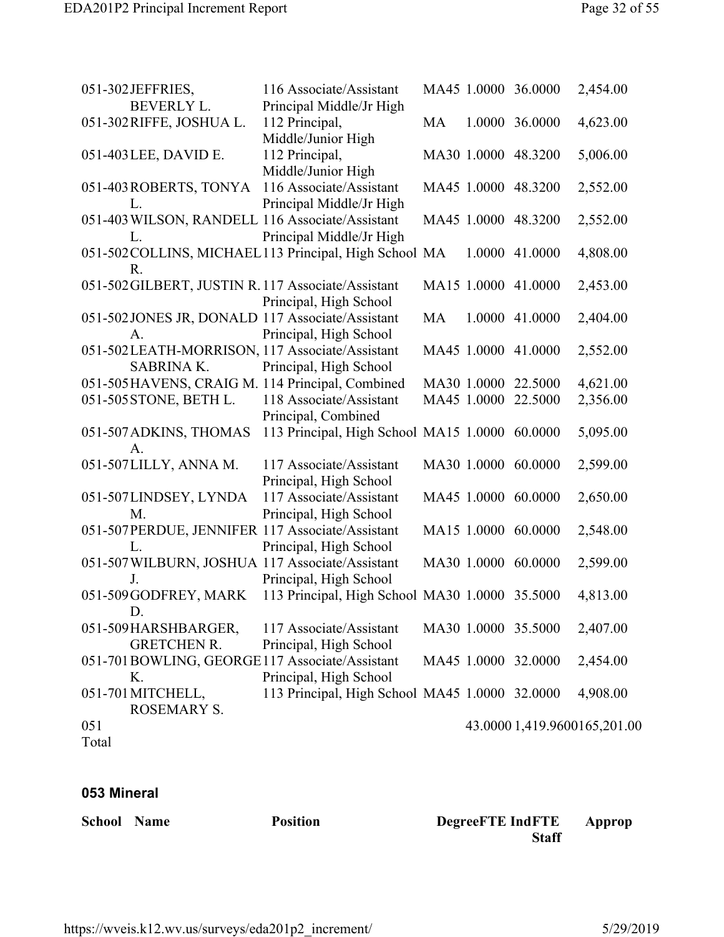| 051-302JEFFRIES,                                       | 116 Associate/Assistant                        |    |        | MA45 1.0000 36.0000 | 2,454.00                     |
|--------------------------------------------------------|------------------------------------------------|----|--------|---------------------|------------------------------|
| <b>BEVERLY L.</b>                                      | Principal Middle/Jr High                       |    |        |                     |                              |
| 051-302 RIFFE, JOSHUA L.                               | 112 Principal,                                 | MA |        | 1.0000 36.0000      | 4,623.00                     |
|                                                        | Middle/Junior High                             |    |        |                     |                              |
| 051-403 LEE, DAVID E.                                  | 112 Principal,                                 |    |        | MA30 1.0000 48.3200 | 5,006.00                     |
|                                                        | Middle/Junior High                             |    |        |                     |                              |
| 051-403ROBERTS, TONYA 116 Associate/Assistant          |                                                |    |        | MA45 1.0000 48.3200 | 2,552.00                     |
| L.                                                     | Principal Middle/Jr High                       |    |        |                     |                              |
| 051-403 WILSON, RANDELL 116 Associate/Assistant        |                                                |    |        | MA45 1.0000 48.3200 | 2,552.00                     |
| L.                                                     | Principal Middle/Jr High                       |    |        |                     |                              |
| 051-502 COLLINS, MICHAEL 113 Principal, High School MA |                                                |    | 1.0000 | 41.0000             | 4,808.00                     |
| $R_{\cdot}$                                            |                                                |    |        |                     |                              |
| 051-502GILBERT, JUSTIN R. 117 Associate/Assistant      |                                                |    |        | MA15 1.0000 41.0000 | 2,453.00                     |
|                                                        | Principal, High School                         |    |        |                     |                              |
| 051-502 JONES JR, DONALD 117 Associate/Assistant       |                                                | MA |        | 1.0000 41.0000      | 2,404.00                     |
| A.                                                     | Principal, High School                         |    |        |                     |                              |
| 051-502LEATH-MORRISON, 117 Associate/Assistant         |                                                |    |        | MA45 1.0000 41.0000 | 2,552.00                     |
| <b>SABRINA K.</b>                                      | Principal, High School                         |    |        |                     |                              |
| 051-505 HAVENS, CRAIG M. 114 Principal, Combined       |                                                |    |        | MA30 1.0000 22.5000 | 4,621.00                     |
| 051-505 STONE, BETH L.                                 | 118 Associate/Assistant                        |    |        | MA45 1.0000 22.5000 | 2,356.00                     |
|                                                        | Principal, Combined                            |    |        |                     |                              |
| 051-507 ADKINS, THOMAS                                 | 113 Principal, High School MA15 1.0000 60.0000 |    |        |                     | 5,095.00                     |
| A.                                                     |                                                |    |        |                     |                              |
| 051-507LILLY, ANNA M.                                  | 117 Associate/Assistant                        |    |        | MA30 1.0000 60.0000 | 2,599.00                     |
|                                                        | Principal, High School                         |    |        |                     |                              |
| 051-507LINDSEY, LYNDA                                  | 117 Associate/Assistant                        |    |        | MA45 1.0000 60.0000 | 2,650.00                     |
| M.                                                     | Principal, High School                         |    |        |                     |                              |
| 051-507PERDUE, JENNIFER 117 Associate/Assistant        |                                                |    |        | MA15 1.0000 60.0000 | 2,548.00                     |
| L.                                                     | Principal, High School                         |    |        |                     |                              |
| 051-507 WILBURN, JOSHUA 117 Associate/Assistant        |                                                |    |        | MA30 1.0000 60.0000 | 2,599.00                     |
| J.                                                     | Principal, High School                         |    |        |                     |                              |
| 051-509GODFREY, MARK                                   | 113 Principal, High School MA30 1.0000 35.5000 |    |        |                     | 4,813.00                     |
| $D$ .                                                  |                                                |    |        |                     |                              |
| 051-509 HARSHBARGER,                                   | 117 Associate/Assistant                        |    |        | MA30 1.0000 35.5000 | 2,407.00                     |
| <b>GRETCHEN R.</b>                                     | Principal, High School                         |    |        |                     |                              |
| 051-701BOWLING, GEORGE117 Associate/Assistant          |                                                |    |        | MA45 1.0000 32.0000 | 2,454.00                     |
| Κ.                                                     | Principal, High School                         |    |        |                     |                              |
| 051-701 MITCHELL,                                      | 113 Principal, High School MA45 1.0000 32.0000 |    |        |                     | 4,908.00                     |
| <b>ROSEMARY S.</b>                                     |                                                |    |        |                     |                              |
| 051                                                    |                                                |    |        |                     | 43.0000 1,419.9600165,201.00 |
| Total                                                  |                                                |    |        |                     |                              |

#### **053 Mineral**

**School Name Position DegreeFTE IndFTE Staff Approp**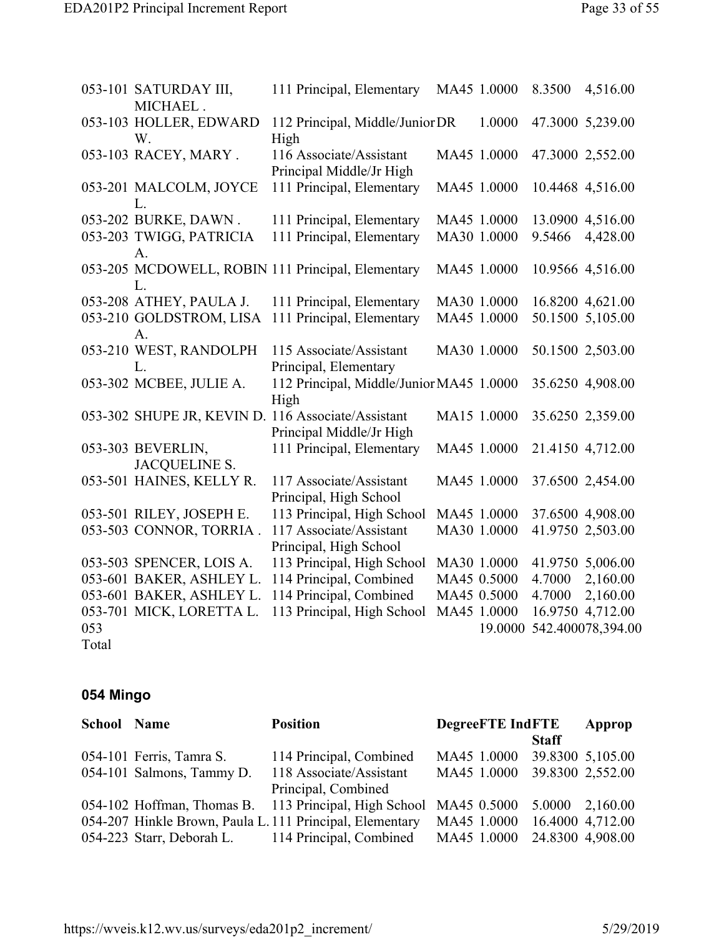| 112 Principal, Middle/Junior DR                      | 1.0000  |                                                                                                                                                                                                                                                                                                         |                   |
|------------------------------------------------------|---------|---------------------------------------------------------------------------------------------------------------------------------------------------------------------------------------------------------------------------------------------------------------------------------------------------------|-------------------|
|                                                      |         |                                                                                                                                                                                                                                                                                                         | 47.3000 5,239.00  |
|                                                      |         |                                                                                                                                                                                                                                                                                                         | 47.3000 2,552.00  |
| 111 Principal, Elementary                            |         |                                                                                                                                                                                                                                                                                                         | 10.4468 4,516.00  |
| 111 Principal, Elementary                            |         |                                                                                                                                                                                                                                                                                                         | 13.0900 4,516.00  |
| 111 Principal, Elementary                            |         | 9.5466                                                                                                                                                                                                                                                                                                  | 4,428.00          |
| 053-205 MCDOWELL, ROBIN 111 Principal, Elementary    |         |                                                                                                                                                                                                                                                                                                         | 10.9566 4,516.00  |
| 111 Principal, Elementary                            |         |                                                                                                                                                                                                                                                                                                         | 16.8200 4,621.00  |
| 111 Principal, Elementary                            |         |                                                                                                                                                                                                                                                                                                         | 50.1500 5,105.00  |
|                                                      |         |                                                                                                                                                                                                                                                                                                         | 50.1500 2,503.00  |
|                                                      |         |                                                                                                                                                                                                                                                                                                         | 35.6250 4,908.00  |
|                                                      |         |                                                                                                                                                                                                                                                                                                         | 35.6250 2,359.00  |
| 111 Principal, Elementary                            |         |                                                                                                                                                                                                                                                                                                         | 21.4150 4,712.00  |
|                                                      |         |                                                                                                                                                                                                                                                                                                         | 37.6500 2,454.00  |
| 113 Principal, High School                           |         |                                                                                                                                                                                                                                                                                                         | 37.6500 4,908.00  |
|                                                      |         |                                                                                                                                                                                                                                                                                                         | 41.9750 2,503.00  |
| 113 Principal, High School                           |         |                                                                                                                                                                                                                                                                                                         | 41.9750 5,006.00  |
| 114 Principal, Combined                              |         | 4.7000                                                                                                                                                                                                                                                                                                  | 2,160.00          |
| 114 Principal, Combined                              |         | 4.7000                                                                                                                                                                                                                                                                                                  | 2,160.00          |
| 113 Principal, High School                           |         |                                                                                                                                                                                                                                                                                                         | 16.9750 4,712.00  |
|                                                      | 19.0000 |                                                                                                                                                                                                                                                                                                         | 542.400078,394.00 |
| Principal Middle/Jr High<br>Principal Middle/Jr High |         | MA45 1.0000<br>MA45 1.0000<br>MA45 1.0000<br>MA30 1.0000<br>MA45 1.0000<br>MA30 1.0000<br>MA45 1.0000<br>MA30 1.0000<br>112 Principal, Middle/Junior MA45 1.0000<br>MA15 1.0000<br>MA45 1.0000<br>MA45 1.0000<br>MA45 1.0000<br>MA30 1.0000<br>MA30 1.0000<br>MA45 0.5000<br>MA45 0.5000<br>MA45 1.0000 |                   |

## **054 Mingo**

| <b>School Name</b> |                           | <b>Position</b>                                                   | <b>DegreeFTE IndFTE</b> | Approp       |                         |
|--------------------|---------------------------|-------------------------------------------------------------------|-------------------------|--------------|-------------------------|
|                    |                           |                                                                   |                         | <b>Staff</b> |                         |
|                    | 054-101 Ferris, Tamra S.  | 114 Principal, Combined                                           | MA45 1.0000             |              | 39.8300 5,105.00        |
|                    | 054-101 Salmons, Tammy D. | 118 Associate/Assistant                                           | MA45 1.0000             |              | 39.8300 2,552.00        |
|                    |                           | Principal, Combined                                               |                         |              |                         |
|                    |                           | 054-102 Hoffman, Thomas B. 113 Principal, High School MA45 0.5000 |                         |              | $5.0000 \quad 2,160.00$ |
|                    |                           | 054-207 Hinkle Brown, Paula L. 111 Principal, Elementary          | MA45 1.0000             |              | 16.4000 4,712.00        |
|                    |                           | 054-223 Starr, Deborah L. 114 Principal, Combined                 | MA45 1.0000             |              | 24.8300 4,908.00        |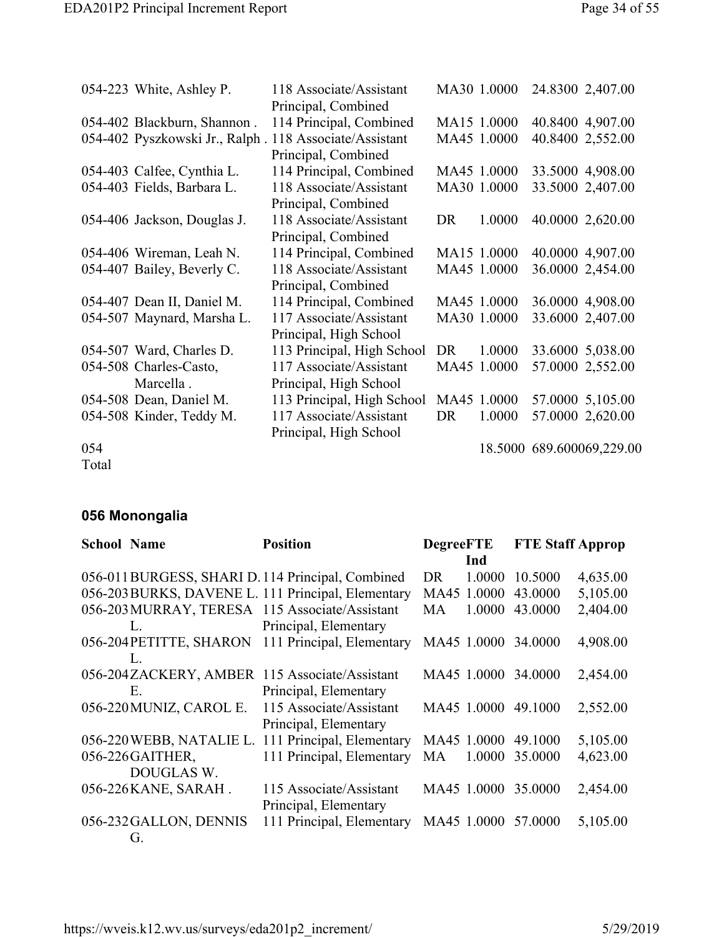|       | 054-223 White, Ashley P.    | 118 Associate/Assistant                                 |    | MA30 1.0000 | 24.8300 2,407.00          |
|-------|-----------------------------|---------------------------------------------------------|----|-------------|---------------------------|
|       |                             | Principal, Combined                                     |    |             |                           |
|       | 054-402 Blackburn, Shannon. | 114 Principal, Combined                                 |    | MA15 1.0000 | 40.8400 4,907.00          |
|       |                             | 054-402 Pyszkowski Jr., Ralph . 118 Associate/Assistant |    | MA45 1.0000 | 40.8400 2,552.00          |
|       |                             | Principal, Combined                                     |    |             |                           |
|       | 054-403 Calfee, Cynthia L.  | 114 Principal, Combined                                 |    | MA45 1.0000 | 33.5000 4,908.00          |
|       | 054-403 Fields, Barbara L.  | 118 Associate/Assistant                                 |    | MA30 1.0000 | 33.5000 2,407.00          |
|       |                             | Principal, Combined                                     |    |             |                           |
|       | 054-406 Jackson, Douglas J. | 118 Associate/Assistant                                 | DR | 1.0000      | 40.0000 2,620.00          |
|       |                             | Principal, Combined                                     |    |             |                           |
|       | 054-406 Wireman, Leah N.    | 114 Principal, Combined                                 |    | MA15 1.0000 | 40.0000 4,907.00          |
|       | 054-407 Bailey, Beverly C.  | 118 Associate/Assistant                                 |    | MA45 1.0000 | 36.0000 2,454.00          |
|       |                             | Principal, Combined                                     |    |             |                           |
|       | 054-407 Dean II, Daniel M.  | 114 Principal, Combined                                 |    | MA45 1.0000 | 36.0000 4,908.00          |
|       | 054-507 Maynard, Marsha L.  | 117 Associate/Assistant                                 |    | MA30 1.0000 | 33.6000 2,407.00          |
|       |                             | Principal, High School                                  |    |             |                           |
|       | 054-507 Ward, Charles D.    | 113 Principal, High School                              | DR | 1.0000      | 33.6000 5,038.00          |
|       | 054-508 Charles-Casto,      | 117 Associate/Assistant                                 |    | MA45 1.0000 | 57.0000 2,552.00          |
|       | Marcella.                   | Principal, High School                                  |    |             |                           |
|       | 054-508 Dean, Daniel M.     | 113 Principal, High School                              |    | MA45 1.0000 | 57.0000 5,105.00          |
|       | 054-508 Kinder, Teddy M.    | 117 Associate/Assistant                                 | DR | 1.0000      | 57.0000 2,620.00          |
|       |                             | Principal, High School                                  |    |             |                           |
| 054   |                             |                                                         |    |             | 18.5000 689.600069,229.00 |
| Total |                             |                                                         |    |             |                           |

## **056 Monongalia**

| <b>School Name</b> |                          | <b>Position</b>                                    | <b>DegreeFTE</b>    | <b>FTE Staff Approp</b> |          |
|--------------------|--------------------------|----------------------------------------------------|---------------------|-------------------------|----------|
|                    |                          |                                                    | Ind                 |                         |          |
|                    |                          | 056-011 BURGESS, SHARI D. 114 Principal, Combined  | 1.0000<br>DR.       | 10.5000                 | 4,635.00 |
|                    |                          | 056-203 BURKS, DAVENE L. 111 Principal, Elementary | MA45 1.0000         | 43.0000                 | 5,105.00 |
|                    |                          | 056-203 MURRAY, TERESA 115 Associate/Assistant     | 1.0000<br>MA        | 43.0000                 | 2,404.00 |
|                    | L.                       | Principal, Elementary                              |                     |                         |          |
|                    |                          | 056-204PETITTE, SHARON 111 Principal, Elementary   | MA45 1.0000         | 34,0000                 | 4,908.00 |
|                    | L.                       |                                                    |                     |                         |          |
|                    |                          | 056-204ZACKERY, AMBER 115 Associate/Assistant      | MA45 1.0000         | 34,0000                 | 2,454.00 |
|                    | Е.                       | Principal, Elementary                              |                     |                         |          |
|                    | 056-220 MUNIZ, CAROL E.  | 115 Associate/Assistant                            | MA45 1.0000 49.1000 |                         | 2,552.00 |
|                    |                          | Principal, Elementary                              |                     |                         |          |
|                    | 056-220 WEBB, NATALIE L. | 111 Principal, Elementary                          | MA45 1.0000         | 49.1000                 | 5,105.00 |
|                    | 056-226 GAITHER,         | 111 Principal, Elementary                          | 1.0000<br><b>MA</b> | 35.0000                 | 4,623.00 |
|                    | DOUGLAS W.               |                                                    |                     |                         |          |
|                    | 056-226 KANE, SARAH.     | 115 Associate/Assistant                            | MA45 1.0000         | 35,0000                 | 2,454.00 |
|                    |                          | Principal, Elementary                              |                     |                         |          |
|                    | 056-232 GALLON, DENNIS   | 111 Principal, Elementary                          | MA45 1.0000 57.0000 |                         | 5,105.00 |
|                    | Gì.                      |                                                    |                     |                         |          |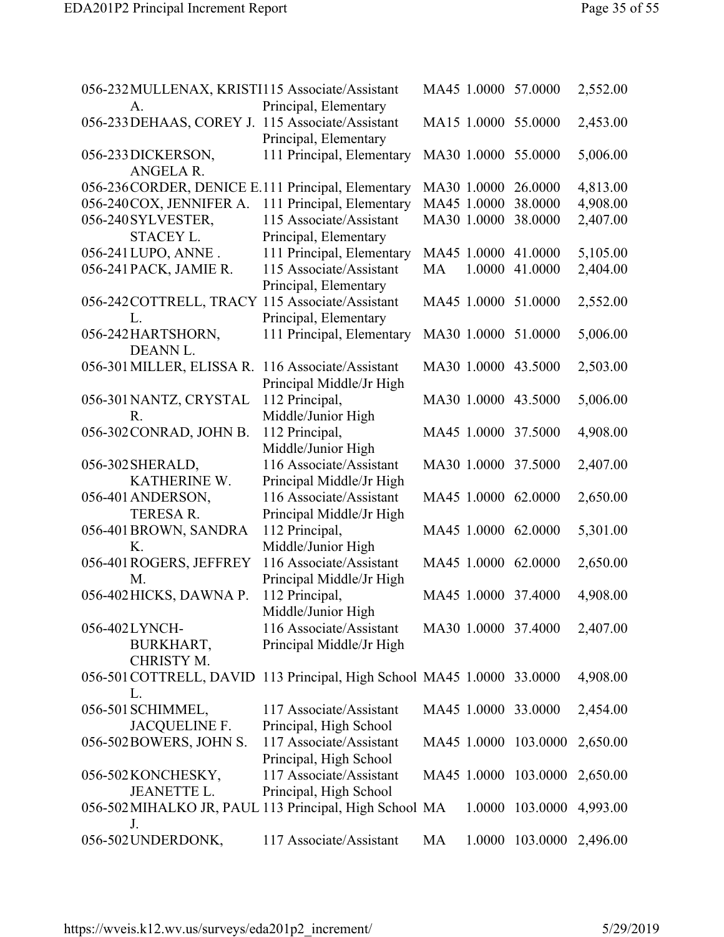| 056-232 MULLENAX, KRISTI115 Associate/Assistant<br>A.                        | Principal, Elementary                              |    |             | MA45 1.0000 57.0000      | 2,552.00 |
|------------------------------------------------------------------------------|----------------------------------------------------|----|-------------|--------------------------|----------|
| 056-233 DEHAAS, COREY J. 115 Associate/Assistant                             | Principal, Elementary                              |    |             | MA15 1.0000 55.0000      | 2,453.00 |
| 056-233 DICKERSON,<br>ANGELA R.                                              | 111 Principal, Elementary                          |    |             | MA30 1.0000 55.0000      | 5,006.00 |
| 056-236 CORDER, DENICE E.111 Principal, Elementary                           |                                                    |    |             | MA30 1.0000 26.0000      | 4,813.00 |
| 056-240COX, JENNIFER A.                                                      | 111 Principal, Elementary                          |    | MA45 1.0000 | 38.0000                  | 4,908.00 |
| 056-240 SYLVESTER,                                                           | 115 Associate/Assistant                            |    | MA30 1.0000 | 38.0000                  | 2,407.00 |
| <b>STACEY L.</b>                                                             | Principal, Elementary                              |    |             |                          |          |
| 056-241 LUPO, ANNE.                                                          | 111 Principal, Elementary                          |    |             | MA45 1.0000 41.0000      | 5,105.00 |
| 056-241 PACK, JAMIE R.                                                       | 115 Associate/Assistant                            | MA | 1.0000      | 41.0000                  | 2,404.00 |
|                                                                              | Principal, Elementary                              |    |             |                          |          |
| 056-242COTTRELL, TRACY 115 Associate/Assistant                               |                                                    |    |             | MA45 1.0000 51.0000      | 2,552.00 |
| L.                                                                           |                                                    |    |             |                          |          |
| 056-242HARTSHORN,                                                            | Principal, Elementary<br>111 Principal, Elementary |    |             | MA30 1.0000 51.0000      | 5,006.00 |
| DEANN L.                                                                     |                                                    |    |             |                          |          |
|                                                                              |                                                    |    |             |                          |          |
| 056-301 MILLER, ELISSA R.                                                    | 116 Associate/Assistant                            |    |             | MA30 1.0000 43.5000      | 2,503.00 |
|                                                                              | Principal Middle/Jr High                           |    |             |                          |          |
| 056-301 NANTZ, CRYSTAL                                                       | 112 Principal,                                     |    |             | MA30 1.0000 43.5000      | 5,006.00 |
| R.                                                                           | Middle/Junior High                                 |    |             |                          |          |
| 056-302 CONRAD, JOHN B.                                                      | 112 Principal,                                     |    |             | MA45 1.0000 37.5000      | 4,908.00 |
|                                                                              | Middle/Junior High                                 |    |             |                          |          |
| 056-302 SHERALD,                                                             | 116 Associate/Assistant                            |    |             | MA30 1.0000 37.5000      | 2,407.00 |
| KATHERINE W.                                                                 | Principal Middle/Jr High                           |    |             |                          |          |
| 056-401 ANDERSON,                                                            | 116 Associate/Assistant                            |    |             | MA45 1.0000 62.0000      | 2,650.00 |
| <b>TERESA R.</b>                                                             | Principal Middle/Jr High                           |    |             |                          |          |
| 056-401 BROWN, SANDRA                                                        | 112 Principal,                                     |    |             | MA45 1.0000 62.0000      | 5,301.00 |
| K.                                                                           | Middle/Junior High                                 |    |             |                          |          |
| 056-401 ROGERS, JEFFREY                                                      | 116 Associate/Assistant                            |    |             | MA45 1.0000 62.0000      | 2,650.00 |
| M.                                                                           | Principal Middle/Jr High                           |    |             |                          |          |
| 056-402 HICKS, DAWNA P.                                                      | 112 Principal,                                     |    |             | MA45 1.0000 37.4000      | 4,908.00 |
|                                                                              | Middle/Junior High                                 |    |             |                          |          |
| 056-402LYNCH-                                                                | 116 Associate/Assistant                            |    |             | MA30 1.0000 37.4000      | 2,407.00 |
| BURKHART,                                                                    | Principal Middle/Jr High                           |    |             |                          |          |
| CHRISTY M.                                                                   |                                                    |    |             |                          |          |
| 056-501 COTTRELL, DAVID 113 Principal, High School MA45 1.0000 33.0000<br>L. |                                                    |    |             |                          | 4,908.00 |
| 056-501 SCHIMMEL,                                                            | 117 Associate/Assistant                            |    |             | MA45 1.0000 33.0000      | 2,454.00 |
| JACQUELINE F.                                                                | Principal, High School                             |    |             |                          |          |
| 056-502 BOWERS, JOHN S.                                                      | 117 Associate/Assistant                            |    |             | MA45 1.0000 103.0000     | 2,650.00 |
|                                                                              | Principal, High School                             |    |             |                          |          |
| 056-502 KONCHESKY,                                                           | 117 Associate/Assistant                            |    |             | MA45 1.0000 103.0000     | 2,650.00 |
| <b>JEANETTE L.</b>                                                           | Principal, High School                             |    |             |                          |          |
|                                                                              |                                                    |    |             |                          |          |
| 056-502 MIHALKO JR, PAUL 113 Principal, High School MA<br>J.                 |                                                    |    |             | 1.0000 103.0000 4,993.00 |          |
| 056-502 UNDERDONK,                                                           | 117 Associate/Assistant                            | MA |             | 1.0000 103.0000 2,496.00 |          |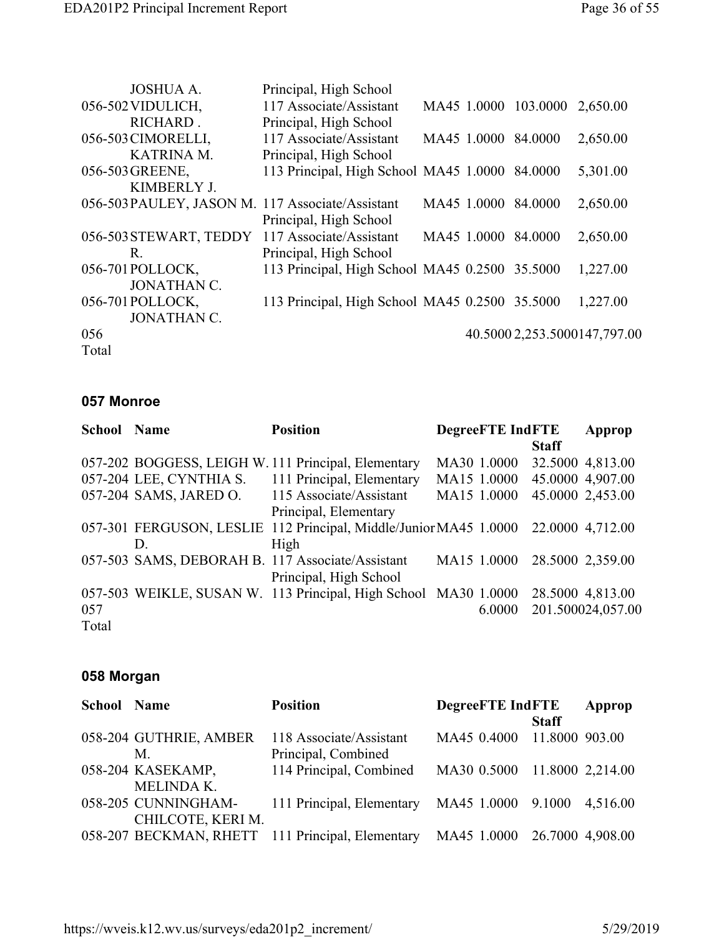| <b>JOSHUA A.</b>                                 | Principal, High School                         |             |                      |                              |
|--------------------------------------------------|------------------------------------------------|-------------|----------------------|------------------------------|
| 056-502 VIDULICH,                                | 117 Associate/Assistant                        |             | MA45 1.0000 103.0000 | 2,650.00                     |
| RICHARD.                                         | Principal, High School                         |             |                      |                              |
| 056-503 CIMORELLI,                               | 117 Associate/Assistant                        |             | MA45 1.0000 84.0000  | 2,650.00                     |
| <b>KATRINA M.</b>                                | Principal, High School                         |             |                      |                              |
| 056-503 GREENE,                                  | 113 Principal, High School MA45 1.0000 84.0000 |             |                      | 5,301.00                     |
| KIMBERLY J.                                      |                                                |             |                      |                              |
| 056-503 PAULEY, JASON M. 117 Associate/Assistant |                                                | MA45 1.0000 | 84.0000              | 2,650.00                     |
|                                                  | Principal, High School                         |             |                      |                              |
| 056-503 STEWART, TEDDY 117 Associate/Assistant   |                                                | MA45 1.0000 | 84.0000              | 2,650.00                     |
| R.                                               | Principal, High School                         |             |                      |                              |
| 056-701 POLLOCK,                                 | 113 Principal, High School MA45 0.2500 35.5000 |             |                      | 1,227.00                     |
| <b>JONATHAN C.</b>                               |                                                |             |                      |                              |
| 056-701 POLLOCK,                                 | 113 Principal, High School MA45 0.2500 35.5000 |             |                      | 1,227.00                     |
| <b>JONATHAN C.</b>                               |                                                |             |                      |                              |
| 056                                              |                                                |             |                      | 40.5000 2,253.5000147,797.00 |
| Total                                            |                                                |             |                      |                              |

#### **057 Monroe**

| <b>School Name</b> |                         | <b>Position</b>                                                   | <b>DegreeFTE IndFTE</b> |              | Approp            |
|--------------------|-------------------------|-------------------------------------------------------------------|-------------------------|--------------|-------------------|
|                    |                         |                                                                   |                         | <b>Staff</b> |                   |
|                    |                         | 057-202 BOGGESS, LEIGH W. 111 Principal, Elementary               | MA30 1.0000             |              | 32.5000 4,813.00  |
|                    | 057-204 LEE, CYNTHIA S. | 111 Principal, Elementary                                         | MA15 1.0000             |              | 45.0000 4,907.00  |
|                    | 057-204 SAMS, JARED O.  | 115 Associate/Assistant                                           | MA15 1.0000             |              | 45.0000 2,453.00  |
|                    |                         | Principal, Elementary                                             |                         |              |                   |
|                    |                         | 057-301 FERGUSON, LESLIE 112 Principal, Middle/Junior MA45 1.0000 |                         |              | 22,0000 4,712.00  |
|                    | D.                      | High                                                              |                         |              |                   |
|                    |                         | 057-503 SAMS, DEBORAH B. 117 Associate/Assistant                  | MA15 1.0000             |              | 28.5000 2,359.00  |
|                    |                         | Principal, High School                                            |                         |              |                   |
|                    |                         | 057-503 WEIKLE, SUSAN W. 113 Principal, High School MA30 1.0000   |                         |              | 28.5000 4,813.00  |
| 057                |                         |                                                                   | 6.0000                  |              | 201.500024,057.00 |
| Total              |                         |                                                                   |                         |              |                   |

#### **058 Morgan**

| <b>School Name</b> |                        | <b>Position</b>                                       | <b>DegreeFTE IndFTE</b>      |                | Approp |
|--------------------|------------------------|-------------------------------------------------------|------------------------------|----------------|--------|
|                    |                        |                                                       |                              | <b>Staff</b>   |        |
|                    | 058-204 GUTHRIE, AMBER | 118 Associate/Assistant                               | MA45 0.4000                  | 11.8000 903.00 |        |
|                    | M.                     | Principal, Combined                                   |                              |                |        |
|                    | 058-204 KASEKAMP,      | 114 Principal, Combined                               | MA30 0.5000 11.8000 2,214.00 |                |        |
|                    | <b>MELINDA K.</b>      |                                                       |                              |                |        |
|                    | 058-205 CUNNINGHAM-    | 111 Principal, Elementary MA45 1.0000 9.1000 4,516.00 |                              |                |        |
|                    | CHILCOTE, KERI M.      |                                                       |                              |                |        |
|                    |                        | 058-207 BECKMAN, RHETT 111 Principal, Elementary      | MA45 1.0000 26.7000 4,908.00 |                |        |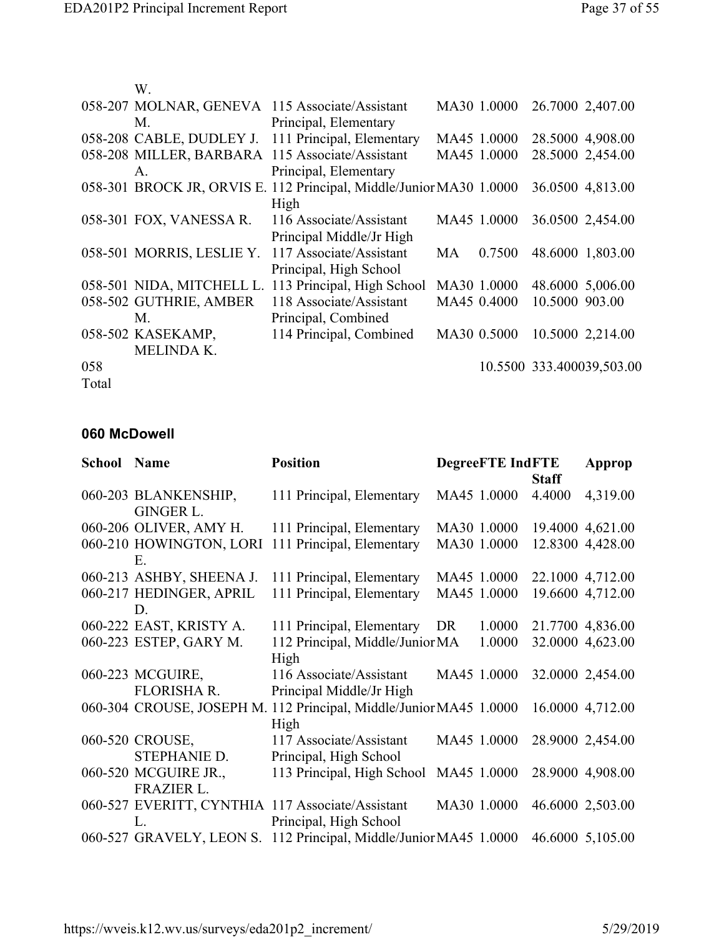|       | W.                        |                                                                     |           |             |                |                           |
|-------|---------------------------|---------------------------------------------------------------------|-----------|-------------|----------------|---------------------------|
|       |                           | 058-207 MOLNAR, GENEVA 115 Associate/Assistant                      |           | MA30 1.0000 |                | 26.7000 2,407.00          |
|       | M.                        | Principal, Elementary                                               |           |             |                |                           |
|       | 058-208 CABLE, DUDLEY J.  | 111 Principal, Elementary                                           |           | MA45 1.0000 |                | 28.5000 4,908.00          |
|       | 058-208 MILLER, BARBARA   | 115 Associate/Assistant                                             |           | MA45 1.0000 |                | 28.5000 2,454.00          |
|       | $A_{-}$                   | Principal, Elementary                                               |           |             |                |                           |
|       |                           | 058-301 BROCK JR, ORVIS E. 112 Principal, Middle/Junior MA30 1.0000 |           |             |                | 36.0500 4,813.00          |
|       |                           | High                                                                |           |             |                |                           |
|       | 058-301 FOX, VANESSA R.   | 116 Associate/Assistant                                             |           | MA45 1.0000 |                | 36.0500 2,454.00          |
|       |                           | Principal Middle/Jr High                                            |           |             |                |                           |
|       | 058-501 MORRIS, LESLIE Y. | 117 Associate/Assistant                                             | <b>MA</b> | 0.7500      |                | 48.6000 1,803.00          |
|       |                           | Principal, High School                                              |           |             |                |                           |
|       | 058-501 NIDA, MITCHELL L. | 113 Principal, High School                                          |           | MA30 1.0000 |                | 48.6000 5,006.00          |
|       | 058-502 GUTHRIE, AMBER    | 118 Associate/Assistant                                             |           | MA45 0.4000 | 10.5000 903.00 |                           |
|       | M.                        | Principal, Combined                                                 |           |             |                |                           |
|       | 058-502 KASEKAMP,         | 114 Principal, Combined                                             |           | MA30 0.5000 |                | 10.5000 2,214.00          |
|       | MELINDA K.                |                                                                     |           |             |                |                           |
| 058   |                           |                                                                     |           |             |                | 10.5500 333.400039,503.00 |
| Total |                           |                                                                     |           |             |                |                           |

#### **060 McDowell**

| <b>School Name</b> |                          | <b>Position</b>                                                    |             | <b>DegreeFTE IndFTE</b> |              | Approp           |
|--------------------|--------------------------|--------------------------------------------------------------------|-------------|-------------------------|--------------|------------------|
|                    |                          |                                                                    |             |                         | <b>Staff</b> |                  |
|                    | 060-203 BLANKENSHIP,     | 111 Principal, Elementary                                          | MA45 1.0000 |                         | 4.4000       | 4,319.00         |
|                    | <b>GINGER L.</b>         |                                                                    |             |                         |              |                  |
|                    | 060-206 OLIVER, AMY H.   | 111 Principal, Elementary                                          | MA30 1.0000 |                         |              | 19.4000 4,621.00 |
|                    | 060-210 HOWINGTON, LORI  | 111 Principal, Elementary                                          | MA30 1.0000 |                         |              | 12.8300 4,428.00 |
|                    | Ε.                       |                                                                    |             |                         |              |                  |
|                    | 060-213 ASHBY, SHEENA J. | 111 Principal, Elementary                                          | MA45 1.0000 |                         |              | 22.1000 4,712.00 |
|                    | 060-217 HEDINGER, APRIL  | 111 Principal, Elementary                                          | MA45 1.0000 |                         |              | 19.6600 4,712.00 |
|                    | D.                       |                                                                    |             |                         |              |                  |
|                    | 060-222 EAST, KRISTY A.  | 111 Principal, Elementary DR                                       |             | 1.0000                  |              | 21.7700 4,836.00 |
|                    | 060-223 ESTEP, GARY M.   | 112 Principal, Middle/Junior MA                                    |             | 1.0000                  |              | 32.0000 4,623.00 |
|                    |                          | High                                                               |             |                         |              |                  |
|                    | 060-223 MCGUIRE,         | 116 Associate/Assistant                                            | MA45 1.0000 |                         |              | 32.0000 2,454.00 |
|                    | <b>FLORISHA R.</b>       | Principal Middle/Jr High                                           |             |                         |              |                  |
|                    |                          | 060-304 CROUSE, JOSEPH M. 112 Principal, Middle/Junior MA45 1.0000 |             |                         |              | 16.0000 4,712.00 |
|                    |                          | High                                                               |             |                         |              |                  |
|                    | 060-520 CROUSE,          | 117 Associate/Assistant                                            | MA45 1.0000 |                         |              | 28.9000 2,454.00 |
|                    | STEPHANIE D.             | Principal, High School                                             |             |                         |              |                  |
|                    | 060-520 MCGUIRE JR.,     | 113 Principal, High School                                         | MA45 1.0000 |                         |              | 28.9000 4,908.00 |
|                    | <b>FRAZIER L.</b>        |                                                                    |             |                         |              |                  |
|                    |                          | 060-527 EVERITT, CYNTHIA 117 Associate/Assistant                   | MA30 1.0000 |                         |              | 46.6000 2,503.00 |
|                    | L.                       | Principal, High School                                             |             |                         |              |                  |
|                    | 060-527 GRAVELY, LEON S. | 112 Principal, Middle/Junior MA45 1.0000                           |             |                         |              | 46.6000 5,105.00 |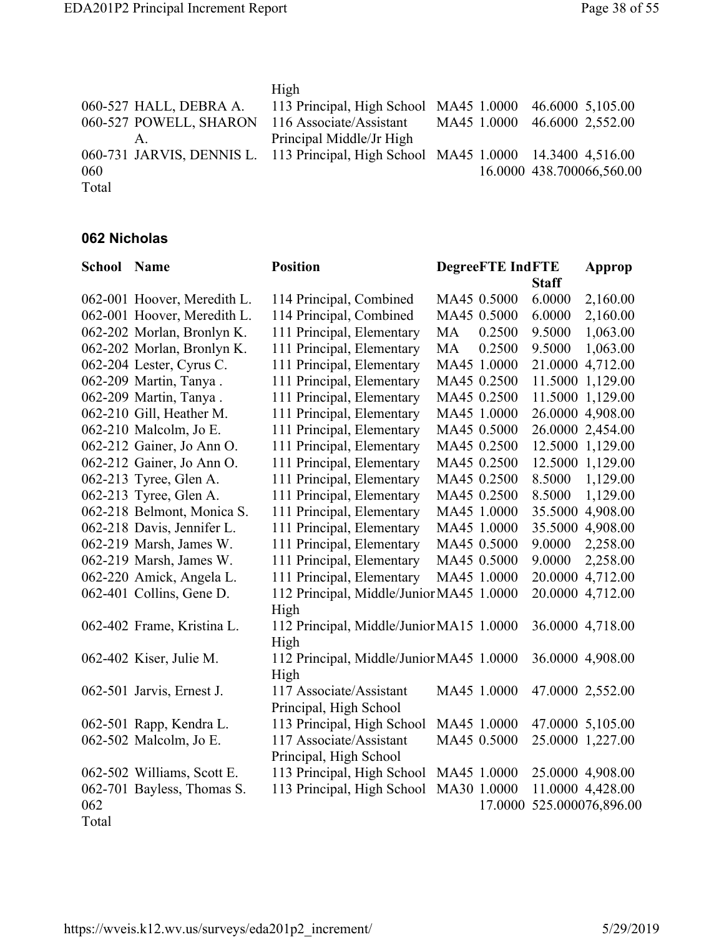|                                                                                   | High                                                    |                              |
|-----------------------------------------------------------------------------------|---------------------------------------------------------|------------------------------|
| 060-527 HALL, DEBRA A.                                                            | 113 Principal, High School MA45 1.0000 46.6000 5,105.00 |                              |
| 060-527 POWELL, SHARON                                                            | 116 Associate/Assistant                                 | MA45 1.0000 46.6000 2,552.00 |
| А.                                                                                | Principal Middle/Jr High                                |                              |
| 060-731 JARVIS, DENNIS L. 113 Principal, High School MA45 1.0000 14.3400 4,516.00 |                                                         |                              |
| 060                                                                               |                                                         | 16.0000 438.700066,560.00    |
| Total                                                                             |                                                         |                              |

### **062 Nicholas**

| <b>School Name</b> |                             | <b>Position</b>                          |    | <b>DegreeFTE IndFTE</b> |              | Approp            |
|--------------------|-----------------------------|------------------------------------------|----|-------------------------|--------------|-------------------|
|                    |                             |                                          |    |                         | <b>Staff</b> |                   |
|                    | 062-001 Hoover, Meredith L. | 114 Principal, Combined                  |    | MA45 0.5000             | 6.0000       | 2,160.00          |
|                    | 062-001 Hoover, Meredith L. | 114 Principal, Combined                  |    | MA45 0.5000             | 6.0000       | 2,160.00          |
|                    | 062-202 Morlan, Bronlyn K.  | 111 Principal, Elementary                | MA | 0.2500                  | 9.5000       | 1,063.00          |
|                    | 062-202 Morlan, Bronlyn K.  | 111 Principal, Elementary                | MA | 0.2500                  | 9.5000       | 1,063.00          |
|                    | 062-204 Lester, Cyrus C.    | 111 Principal, Elementary                |    | MA45 1.0000             |              | 21.0000 4,712.00  |
|                    | 062-209 Martin, Tanya.      | 111 Principal, Elementary                |    | MA45 0.2500             |              | 11.5000 1,129.00  |
|                    | 062-209 Martin, Tanya.      | 111 Principal, Elementary                |    | MA45 0.2500             |              | 11.5000 1,129.00  |
|                    | 062-210 Gill, Heather M.    | 111 Principal, Elementary                |    | MA45 1.0000             |              | 26.0000 4,908.00  |
|                    | 062-210 Malcolm, Jo E.      | 111 Principal, Elementary                |    | MA45 0.5000             |              | 26.0000 2,454.00  |
|                    | 062-212 Gainer, Jo Ann O.   | 111 Principal, Elementary                |    | MA45 0.2500             |              | 12.5000 1,129.00  |
|                    | 062-212 Gainer, Jo Ann O.   | 111 Principal, Elementary                |    | MA45 0.2500             |              | 12.5000 1,129.00  |
|                    | 062-213 Tyree, Glen A.      | 111 Principal, Elementary                |    | MA45 0.2500             | 8.5000       | 1,129.00          |
|                    | 062-213 Tyree, Glen A.      | 111 Principal, Elementary                |    | MA45 0.2500             | 8.5000       | 1,129.00          |
|                    | 062-218 Belmont, Monica S.  | 111 Principal, Elementary                |    | MA45 1.0000             |              | 35.5000 4,908.00  |
|                    | 062-218 Davis, Jennifer L.  | 111 Principal, Elementary                |    | MA45 1.0000             |              | 35.5000 4,908.00  |
|                    | 062-219 Marsh, James W.     | 111 Principal, Elementary                |    | MA45 0.5000             | 9.0000       | 2,258.00          |
|                    | 062-219 Marsh, James W.     | 111 Principal, Elementary                |    | MA45 0.5000             | 9.0000       | 2,258.00          |
|                    | 062-220 Amick, Angela L.    | 111 Principal, Elementary                |    | MA45 1.0000             |              | 20.0000 4,712.00  |
|                    | 062-401 Collins, Gene D.    | 112 Principal, Middle/Junior MA45 1.0000 |    |                         |              | 20.0000 4,712.00  |
|                    |                             | High                                     |    |                         |              |                   |
|                    | 062-402 Frame, Kristina L.  | 112 Principal, Middle/Junior MA15 1.0000 |    |                         |              | 36.0000 4,718.00  |
|                    |                             | High                                     |    |                         |              |                   |
|                    | 062-402 Kiser, Julie M.     | 112 Principal, Middle/Junior MA45 1.0000 |    |                         |              | 36.0000 4,908.00  |
|                    |                             | High                                     |    |                         |              |                   |
|                    | 062-501 Jarvis, Ernest J.   | 117 Associate/Assistant                  |    | MA45 1.0000             |              | 47.0000 2,552.00  |
|                    |                             | Principal, High School                   |    |                         |              |                   |
|                    | 062-501 Rapp, Kendra L.     | 113 Principal, High School               |    | MA45 1.0000             |              | 47.0000 5,105.00  |
|                    | 062-502 Malcolm, Jo E.      | 117 Associate/Assistant                  |    | MA45 0.5000             |              | 25.0000 1,227.00  |
|                    |                             | Principal, High School                   |    |                         |              |                   |
|                    | 062-502 Williams, Scott E.  | 113 Principal, High School               |    | MA45 1.0000             |              | 25.0000 4,908.00  |
|                    | 062-701 Bayless, Thomas S.  | 113 Principal, High School               |    | MA30 1.0000             |              | 11.0000 4,428.00  |
| 062                |                             |                                          |    | 17.0000                 |              | 525.000076,896.00 |
| Total              |                             |                                          |    |                         |              |                   |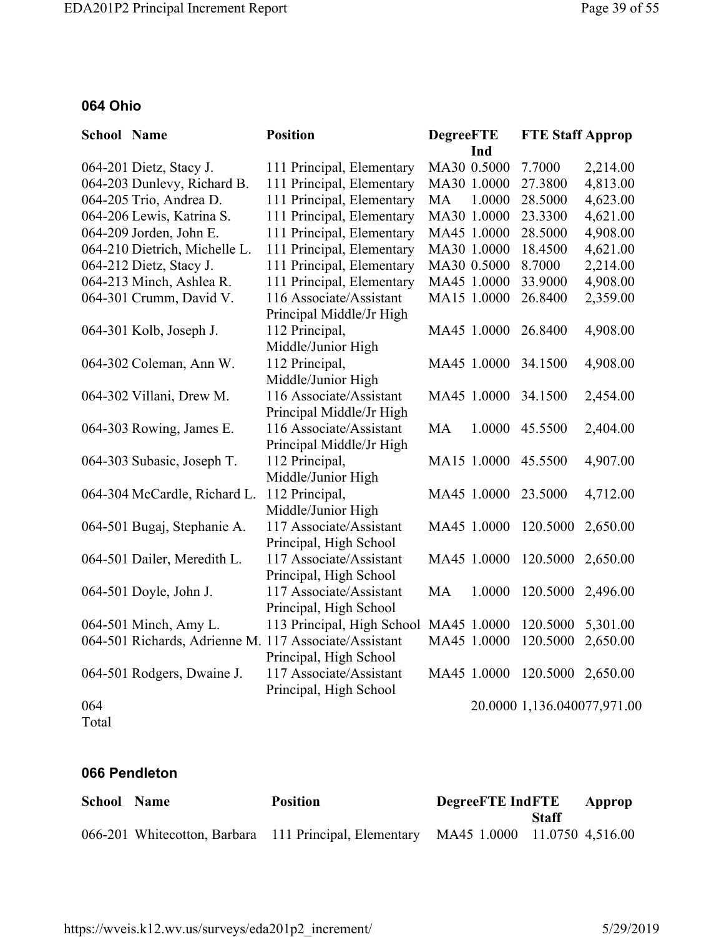#### **064 Ohio**

| <b>School Name</b> |                               | <b>Position</b>                                       | <b>DegreeFTE</b> |             | <b>FTE Staff Approp</b>     |          |
|--------------------|-------------------------------|-------------------------------------------------------|------------------|-------------|-----------------------------|----------|
|                    |                               |                                                       |                  | Ind         |                             |          |
|                    | 064-201 Dietz, Stacy J.       | 111 Principal, Elementary                             |                  | MA30 0.5000 | 7.7000                      | 2,214.00 |
|                    | 064-203 Dunlevy, Richard B.   | 111 Principal, Elementary                             |                  | MA30 1.0000 | 27.3800                     | 4,813.00 |
|                    | 064-205 Trio, Andrea D.       | 111 Principal, Elementary                             | <b>MA</b>        | 1.0000      | 28.5000                     | 4,623.00 |
|                    | 064-206 Lewis, Katrina S.     | 111 Principal, Elementary                             |                  | MA30 1.0000 | 23.3300                     | 4,621.00 |
|                    | 064-209 Jorden, John E.       | 111 Principal, Elementary                             |                  | MA45 1.0000 | 28.5000                     | 4,908.00 |
|                    | 064-210 Dietrich, Michelle L. | 111 Principal, Elementary                             |                  | MA30 1.0000 | 18.4500                     | 4,621.00 |
|                    | 064-212 Dietz, Stacy J.       | 111 Principal, Elementary                             |                  | MA30 0.5000 | 8.7000                      | 2,214.00 |
|                    | 064-213 Minch, Ashlea R.      | 111 Principal, Elementary                             |                  | MA45 1.0000 | 33.9000                     | 4,908.00 |
|                    | 064-301 Crumm, David V.       | 116 Associate/Assistant                               |                  | MA15 1.0000 | 26.8400                     | 2,359.00 |
|                    |                               | Principal Middle/Jr High                              |                  |             |                             |          |
|                    | 064-301 Kolb, Joseph J.       | 112 Principal,                                        |                  | MA45 1.0000 | 26.8400                     | 4,908.00 |
|                    |                               | Middle/Junior High                                    |                  |             |                             |          |
|                    | 064-302 Coleman, Ann W.       | 112 Principal,                                        |                  | MA45 1.0000 | 34.1500                     | 4,908.00 |
|                    |                               | Middle/Junior High                                    |                  |             |                             |          |
|                    | 064-302 Villani, Drew M.      | 116 Associate/Assistant                               |                  | MA45 1.0000 | 34.1500                     | 2,454.00 |
|                    |                               | Principal Middle/Jr High                              |                  |             |                             |          |
|                    | 064-303 Rowing, James E.      | 116 Associate/Assistant                               | <b>MA</b>        | 1.0000      | 45.5500                     | 2,404.00 |
|                    |                               | Principal Middle/Jr High                              |                  |             |                             |          |
|                    | 064-303 Subasic, Joseph T.    | 112 Principal,                                        |                  | MA15 1.0000 | 45.5500                     | 4,907.00 |
|                    |                               | Middle/Junior High                                    |                  |             |                             |          |
|                    | 064-304 McCardle, Richard L.  | 112 Principal,                                        |                  | MA45 1.0000 | 23.5000                     | 4,712.00 |
|                    |                               | Middle/Junior High                                    |                  |             |                             |          |
|                    | 064-501 Bugaj, Stephanie A.   | 117 Associate/Assistant                               |                  | MA45 1.0000 | 120.5000                    | 2,650.00 |
|                    |                               | Principal, High School                                |                  |             |                             |          |
|                    | 064-501 Dailer, Meredith L.   | 117 Associate/Assistant                               |                  | MA45 1.0000 | 120.5000                    | 2,650.00 |
|                    |                               | Principal, High School                                |                  |             |                             |          |
|                    | 064-501 Doyle, John J.        | 117 Associate/Assistant                               | <b>MA</b>        | 1.0000      | 120.5000                    | 2,496.00 |
|                    |                               | Principal, High School                                |                  |             |                             |          |
|                    | 064-501 Minch, Amy L.         | 113 Principal, High School MA45 1.0000                |                  |             | 120.5000                    | 5,301.00 |
|                    |                               | 064-501 Richards, Adrienne M. 117 Associate/Assistant |                  | MA45 1.0000 | 120.5000                    | 2,650.00 |
|                    |                               | Principal, High School                                |                  |             |                             |          |
|                    | 064-501 Rodgers, Dwaine J.    | 117 Associate/Assistant                               |                  | MA45 1.0000 | 120.5000                    | 2,650.00 |
|                    |                               | Principal, High School                                |                  |             |                             |          |
| 064                |                               |                                                       |                  |             | 20.0000 1,136.040077,971.00 |          |

Total

#### **066 Pendleton**

| <b>School Name</b> | <b>Position</b>                                                                     | <b>DegreeFTE</b> IndFTE |       | Approp |
|--------------------|-------------------------------------------------------------------------------------|-------------------------|-------|--------|
|                    |                                                                                     |                         | Staff |        |
|                    | 066-201 Whitecotton, Barbara 111 Principal, Elementary MA45 1.0000 11.0750 4,516.00 |                         |       |        |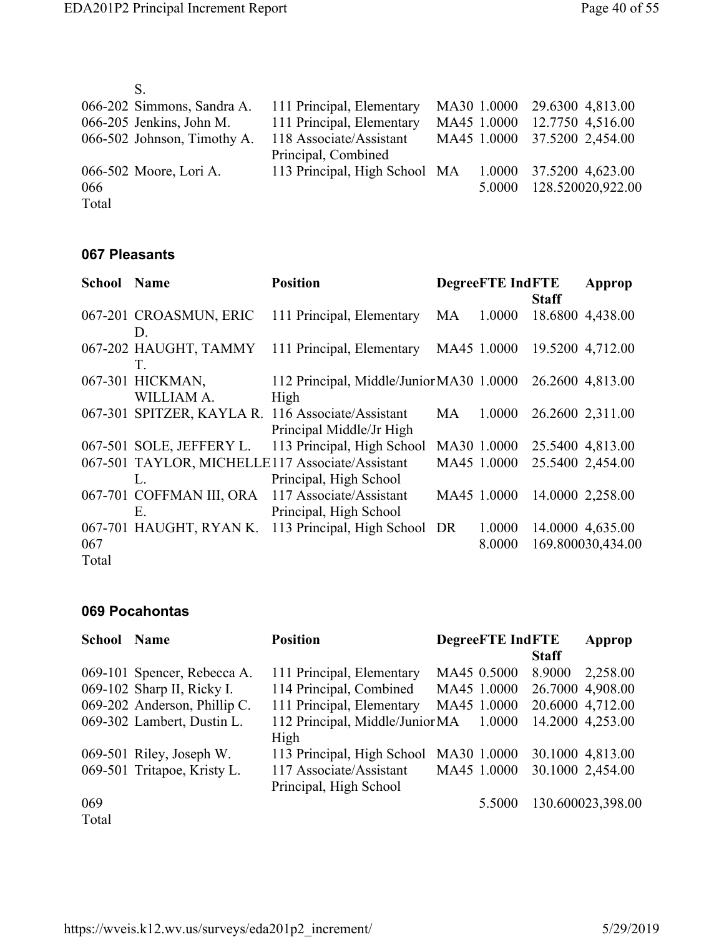|       | 066-202 Simmons, Sandra A.  | 111 Principal, Elementary     |             | MA30 1.0000 29.6300 4,813.00 |
|-------|-----------------------------|-------------------------------|-------------|------------------------------|
|       | 066-205 Jenkins, John M.    | 111 Principal, Elementary     | MA45 1.0000 | 12.7750 4,516.00             |
|       | 066-502 Johnson, Timothy A. | 118 Associate/Assistant       |             | MA45 1.0000 37.5200 2,454.00 |
|       |                             | Principal, Combined           |             |                              |
|       | 066-502 Moore, Lori A.      | 113 Principal, High School MA | 1.0000      | 37.5200 4,623.00             |
| 066   |                             |                               | 5.0000      | 128.520020,922.00            |
| Total |                             |                               |             |                              |

#### **067 Pleasants**

| <b>School Name</b> |                          | <b>Position</b>                                   |           | <b>DegreeFTE IndFTE</b> |              | Approp            |
|--------------------|--------------------------|---------------------------------------------------|-----------|-------------------------|--------------|-------------------|
|                    |                          |                                                   |           |                         | <b>Staff</b> |                   |
|                    | 067-201 CROASMUN, ERIC   | 111 Principal, Elementary                         | MA        | 1.0000                  |              | 18.6800 4,438.00  |
|                    | D.                       |                                                   |           |                         |              |                   |
|                    | 067-202 HAUGHT, TAMMY    | 111 Principal, Elementary                         |           | MA45 1.0000             |              | 19.5200 4,712.00  |
|                    | T.                       |                                                   |           |                         |              |                   |
|                    | 067-301 HICKMAN,         | 112 Principal, Middle/Junior MA30 1.0000          |           |                         |              | 26.2600 4,813.00  |
|                    | WILLIAM A.               | High                                              |           |                         |              |                   |
|                    |                          | 067-301 SPITZER, KAYLA R. 116 Associate/Assistant | <b>MA</b> | 1.0000                  |              | 26.2600 2,311.00  |
|                    |                          | Principal Middle/Jr High                          |           |                         |              |                   |
|                    | 067-501 SOLE, JEFFERY L. | 113 Principal, High School                        |           | MA30 1.0000             |              | 25.5400 4,813.00  |
|                    |                          | 067-501 TAYLOR, MICHELLE117 Associate/Assistant   |           | MA45 1.0000             |              | 25.5400 2,454.00  |
|                    | $\mathbf{L}$             | Principal, High School                            |           |                         |              |                   |
|                    | 067-701 COFFMAN III, ORA | 117 Associate/Assistant                           |           | MA45 1.0000             |              | 14.0000 2,258.00  |
|                    | E                        | Principal, High School                            |           |                         |              |                   |
|                    | 067-701 HAUGHT, RYAN K.  | 113 Principal, High School DR                     |           | 1.0000                  |              | 14.0000 4,635.00  |
| 067                |                          |                                                   |           | 8.0000                  |              | 169.800030,434.00 |
| Total              |                          |                                                   |           |                         |              |                   |

#### **069 Pocahontas**

| School | <b>Name</b>                  | <b>Position</b>                 |             | <b>DegreeFTE IndFTE</b> |              | Approp            |
|--------|------------------------------|---------------------------------|-------------|-------------------------|--------------|-------------------|
|        |                              |                                 |             |                         | <b>Staff</b> |                   |
|        | 069-101 Spencer, Rebecca A.  | 111 Principal, Elementary       | MA45 0.5000 |                         | 8.9000       | 2,258.00          |
|        | 069-102 Sharp II, Ricky I.   | 114 Principal, Combined         | MA45 1.0000 |                         |              | 26.7000 4,908.00  |
|        | 069-202 Anderson, Phillip C. | 111 Principal, Elementary       | MA45 1.0000 |                         |              | 20.6000 4,712.00  |
|        | 069-302 Lambert, Dustin L.   | 112 Principal, Middle/Junior MA |             | 1.0000                  |              | 14.2000 4,253.00  |
|        |                              | High                            |             |                         |              |                   |
|        | 069-501 Riley, Joseph W.     | 113 Principal, High School      | MA30 1.0000 |                         |              | 30.1000 4,813.00  |
|        | 069-501 Tritapoe, Kristy L.  | 117 Associate/Assistant         | MA45 1.0000 |                         |              | 30.1000 2,454.00  |
|        |                              | Principal, High School          |             |                         |              |                   |
| 069    |                              |                                 |             | 5.5000                  |              | 130.600023,398.00 |
| Total  |                              |                                 |             |                         |              |                   |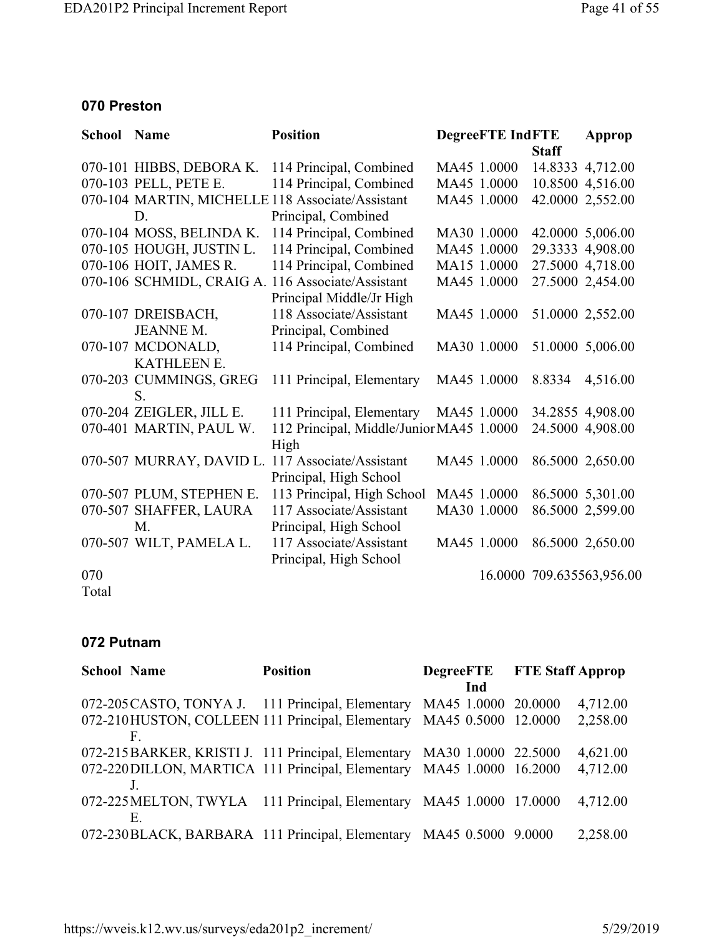#### **070 Preston**

| <b>School Name</b> |                          | <b>Position</b>                                   | <b>DegreeFTE IndFTE</b> |              | Approp                    |
|--------------------|--------------------------|---------------------------------------------------|-------------------------|--------------|---------------------------|
|                    |                          |                                                   |                         | <b>Staff</b> |                           |
|                    | 070-101 HIBBS, DEBORA K. | 114 Principal, Combined                           | MA45 1.0000             |              | 14.8333 4,712.00          |
|                    | 070-103 PELL, PETE E.    | 114 Principal, Combined                           | MA45 1.0000             |              | 10.8500 4,516.00          |
|                    |                          | 070-104 MARTIN, MICHELLE 118 Associate/Assistant  | MA45 1.0000             |              | 42.0000 2,552.00          |
|                    | D.                       | Principal, Combined                               |                         |              |                           |
|                    | 070-104 MOSS, BELINDA K. | 114 Principal, Combined                           | MA30 1.0000             |              | 42.0000 5,006.00          |
|                    | 070-105 HOUGH, JUSTIN L. | 114 Principal, Combined                           | MA45 1.0000             |              | 29.3333 4,908.00          |
|                    | 070-106 HOIT, JAMES R.   | 114 Principal, Combined                           | MA15 1.0000             |              | 27.5000 4,718.00          |
|                    |                          | 070-106 SCHMIDL, CRAIG A. 116 Associate/Assistant | MA45 1.0000             |              | 27.5000 2,454.00          |
|                    |                          | Principal Middle/Jr High                          |                         |              |                           |
|                    | 070-107 DREISBACH,       | 118 Associate/Assistant                           | MA45 1.0000             |              | 51.0000 2,552.00          |
|                    | <b>JEANNE M.</b>         | Principal, Combined                               |                         |              |                           |
|                    | 070-107 MCDONALD,        | 114 Principal, Combined                           | MA30 1.0000             |              | 51.0000 5,006.00          |
|                    | <b>KATHLEEN E.</b>       |                                                   |                         |              |                           |
|                    | 070-203 CUMMINGS, GREG   | 111 Principal, Elementary                         | MA45 1.0000             | 8.8334       | 4,516.00                  |
|                    | S.                       |                                                   |                         |              |                           |
|                    | 070-204 ZEIGLER, JILL E. | 111 Principal, Elementary                         | MA45 1.0000             |              | 34.2855 4,908.00          |
|                    | 070-401 MARTIN, PAUL W.  | 112 Principal, Middle/Junior MA45 1.0000          |                         |              | 24.5000 4,908.00          |
|                    |                          | High                                              |                         |              |                           |
|                    | 070-507 MURRAY, DAVID L. | 117 Associate/Assistant                           | MA45 1.0000             |              | 86.5000 2,650.00          |
|                    |                          | Principal, High School                            |                         |              |                           |
|                    | 070-507 PLUM, STEPHEN E. | 113 Principal, High School                        | MA45 1.0000             |              | 86.5000 5,301.00          |
|                    | 070-507 SHAFFER, LAURA   | 117 Associate/Assistant                           | MA30 1.0000             |              | 86.5000 2,599.00          |
|                    | $M_{\cdot}$              | Principal, High School                            |                         |              |                           |
|                    | 070-507 WILT, PAMELA L.  | 117 Associate/Assistant                           | MA45 1.0000             |              | 86.5000 2,650.00          |
|                    |                          | Principal, High School                            |                         |              |                           |
| 070                |                          |                                                   |                         |              | 16.0000 709.635563,956.00 |
|                    |                          |                                                   |                         |              |                           |

Total

#### **072 Putnam**

| <b>School Name</b> |    | <b>Position</b>                                                        | <b>DegreeFTE</b> FTE Staff Approp |          |
|--------------------|----|------------------------------------------------------------------------|-----------------------------------|----------|
|                    |    |                                                                        | Ind                               |          |
|                    |    | 072-205 CASTO, TONYA J. 111 Principal, Elementary                      | MA45 1.0000 20.0000               | 4,712.00 |
|                    |    | 072-210HUSTON, COLLEEN 111 Principal, Elementary                       | MA45 0.5000 12.0000               | 2,258.00 |
|                    | F. |                                                                        |                                   |          |
|                    |    | 072-215BARKER, KRISTI J. 111 Principal, Elementary MA30 1.0000 22.5000 |                                   | 4,621.00 |
|                    |    | 072-220 DILLON, MARTICA 111 Principal, Elementary                      | MA45 1.0000 16.2000               | 4,712.00 |
|                    |    |                                                                        |                                   |          |
|                    |    | 072-225 MELTON, TWYLA 111 Principal, Elementary MA45 1.0000 17.0000    |                                   | 4,712.00 |
|                    | Е. |                                                                        |                                   |          |
|                    |    | 072-230BLACK, BARBARA 111 Principal, Elementary MA45 0.5000 9.0000     |                                   | 2,258.00 |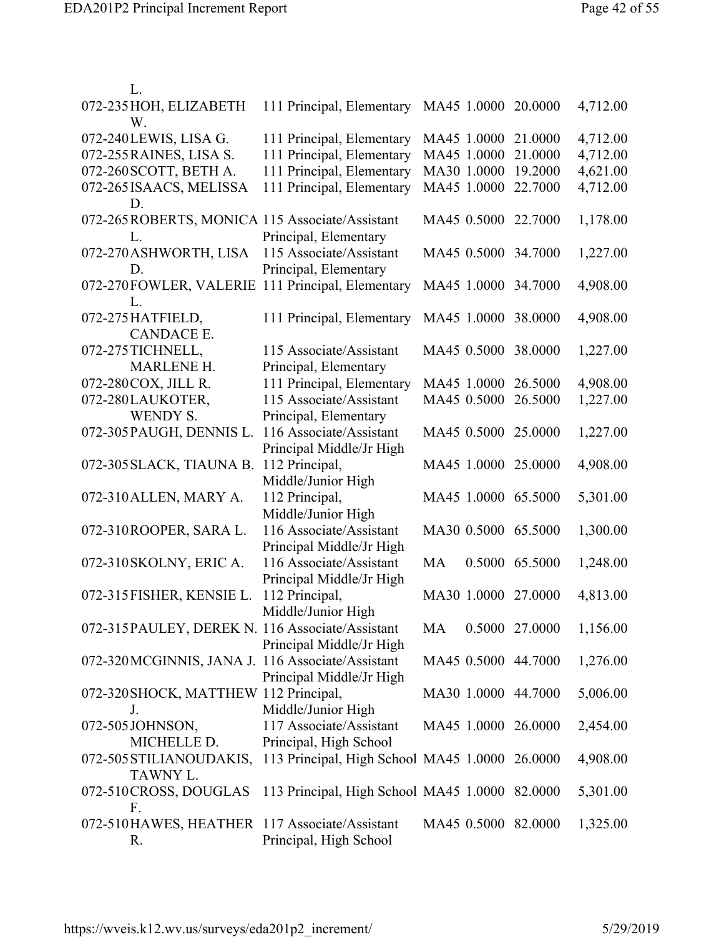| L.                                                     |                                                                              |                     |                |          |
|--------------------------------------------------------|------------------------------------------------------------------------------|---------------------|----------------|----------|
| 072-235 HOH, ELIZABETH<br>W.                           | 111 Principal, Elementary MA45 1.0000 20.0000                                |                     |                | 4,712.00 |
| 072-240LEWIS, LISA G.                                  | 111 Principal, Elementary                                                    | MA45 1.0000         | 21.0000        | 4,712.00 |
| 072-255 RAINES, LISA S.                                | 111 Principal, Elementary                                                    | MA45 1.0000         | 21.0000        | 4,712.00 |
| 072-260 SCOTT, BETH A.                                 | 111 Principal, Elementary                                                    | MA30 1.0000         | 19.2000        | 4,621.00 |
| 072-265 ISAACS, MELISSA<br>D.                          | 111 Principal, Elementary                                                    | MA45 1.0000         | 22.7000        | 4,712.00 |
| 072-265 ROBERTS, MONICA 115 Associate/Assistant<br>L.  | Principal, Elementary                                                        | MA45 0.5000 22.7000 |                | 1,178.00 |
| 072-270 ASHWORTH, LISA<br>D.                           | 115 Associate/Assistant<br>Principal, Elementary                             | MA45 0.5000 34.7000 |                | 1,227.00 |
| 072-270FOWLER, VALERIE 111 Principal, Elementary<br>L. |                                                                              | MA45 1.0000 34.7000 |                | 4,908.00 |
| 072-275 HATFIELD,<br><b>CANDACE E.</b>                 | 111 Principal, Elementary                                                    | MA45 1.0000         | 38.0000        | 4,908.00 |
| 072-275 TICHNELL,<br><b>MARLENE H.</b>                 | 115 Associate/Assistant                                                      | MA45 0.5000         | 38,0000        | 1,227.00 |
| 072-280 COX, JILL R.                                   | Principal, Elementary<br>111 Principal, Elementary                           | MA45 1.0000 26.5000 |                | 4,908.00 |
| 072-280LAUKOTER,                                       | 115 Associate/Assistant                                                      | MA45 0.5000         | 26.5000        | 1,227.00 |
| <b>WENDY S.</b>                                        |                                                                              |                     |                |          |
| 072-305 PAUGH, DENNIS L.                               | Principal, Elementary<br>116 Associate/Assistant<br>Principal Middle/Jr High | MA45 0.5000 25.0000 |                | 1,227.00 |
| 072-305 SLACK, TIAUNA B.                               | 112 Principal,<br>Middle/Junior High                                         | MA45 1.0000 25.0000 |                | 4,908.00 |
| 072-310 ALLEN, MARY A.                                 | 112 Principal,<br>Middle/Junior High                                         | MA45 1.0000 65.5000 |                | 5,301.00 |
| 072-310ROOPER, SARA L.                                 | 116 Associate/Assistant<br>Principal Middle/Jr High                          | MA30 0.5000 65.5000 |                | 1,300.00 |
| 072-310 SKOLNY, ERIC A.                                | 116 Associate/Assistant<br>Principal Middle/Jr High                          | MA                  | 0.5000 65.5000 | 1,248.00 |
| 072-315 FISHER, KENSIE L.                              | 112 Principal,<br>Middle/Junior High                                         | MA30 1.0000 27.0000 |                | 4,813.00 |
| 072-315 PAULEY, DEREK N. 116 Associate/Assistant       | Principal Middle/Jr High                                                     | MA                  | 0.5000 27.0000 | 1,156.00 |
| 072-320MCGINNIS, JANA J. 116 Associate/Assistant       | Principal Middle/Jr High                                                     | MA45 0.5000 44.7000 |                | 1,276.00 |
| 072-320 SHOCK, MATTHEW 112 Principal,<br>J.            | Middle/Junior High                                                           | MA30 1.0000 44.7000 |                | 5,006.00 |
| 072-505JOHNSON,                                        | 117 Associate/Assistant                                                      | MA45 1.0000 26.0000 |                | 2,454.00 |
| MICHELLE D.                                            | Principal, High School                                                       |                     |                |          |
| 072-505 STILIANOUDAKIS,<br>TAWNY L.                    | 113 Principal, High School MA45 1.0000 26.0000                               |                     |                | 4,908.00 |
| 072-510CROSS, DOUGLAS<br>F.                            | 113 Principal, High School MA45 1.0000 82.0000                               |                     |                | 5,301.00 |
| 072-510HAWES, HEATHER 117 Associate/Assistant<br>R.    | Principal, High School                                                       | MA45 0.5000 82.0000 |                | 1,325.00 |
|                                                        |                                                                              |                     |                |          |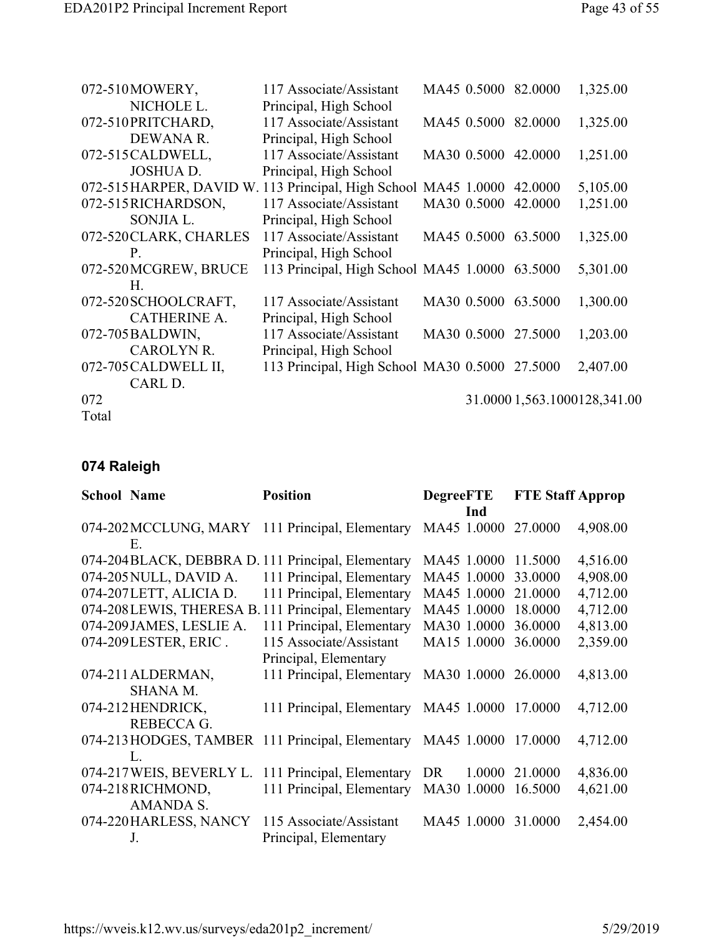| 072-510MOWERY,                                                  | 117 Associate/Assistant                        |             | MA45 0.5000 82.0000 | 1,325.00                     |
|-----------------------------------------------------------------|------------------------------------------------|-------------|---------------------|------------------------------|
| NICHOLE L.                                                      | Principal, High School                         |             |                     |                              |
| 072-510PRITCHARD,                                               | 117 Associate/Assistant                        |             | MA45 0.5000 82.0000 | 1,325.00                     |
| DEWANA R.                                                       | Principal, High School                         |             |                     |                              |
| 072-515 CALDWELL,                                               | 117 Associate/Assistant                        |             | MA30 0.5000 42.0000 | 1,251.00                     |
| <b>JOSHUA D.</b>                                                | Principal, High School                         |             |                     |                              |
| 072-515 HARPER, DAVID W. 113 Principal, High School MA45 1.0000 |                                                |             | 42.0000             | 5,105.00                     |
| 072-515RICHARDSON,                                              | 117 Associate/Assistant                        | MA30 0.5000 | 42.0000             | 1,251.00                     |
| SONJIA L.                                                       | Principal, High School                         |             |                     |                              |
| 072-520 CLARK, CHARLES                                          | 117 Associate/Assistant                        |             | MA45 0.5000 63.5000 | 1,325.00                     |
| P.                                                              | Principal, High School                         |             |                     |                              |
| 072-520 MCGREW, BRUCE                                           | 113 Principal, High School MA45 1.0000 63.5000 |             |                     | 5,301.00                     |
| Н.                                                              |                                                |             |                     |                              |
| 072-520 SCHOOLCRAFT,                                            | 117 Associate/Assistant                        | MA30 0.5000 | 63.5000             | 1,300.00                     |
| <b>CATHERINE A.</b>                                             | Principal, High School                         |             |                     |                              |
| 072-705 BALDWIN,                                                | 117 Associate/Assistant                        |             | MA30 0.5000 27.5000 | 1,203.00                     |
| <b>CAROLYN R.</b>                                               | Principal, High School                         |             |                     |                              |
| 072-705 CALDWELL II,                                            | 113 Principal, High School MA30 0.5000 27.5000 |             |                     | 2,407.00                     |
| CARL D.                                                         |                                                |             |                     |                              |
| 072                                                             |                                                |             |                     | 31.0000 1,563.1000128,341.00 |
| Total                                                           |                                                |             |                     |                              |

## **074 Raleigh**

| <b>School Name</b> |                                                                              | <b>Position</b>                                                                                                                                                                                | <b>DegreeFTE</b><br>Ind                                                 | <b>FTE Staff Approp</b>                             |                                                          |
|--------------------|------------------------------------------------------------------------------|------------------------------------------------------------------------------------------------------------------------------------------------------------------------------------------------|-------------------------------------------------------------------------|-----------------------------------------------------|----------------------------------------------------------|
|                    | Ε.                                                                           | 074-202 MCCLUNG, MARY 111 Principal, Elementary                                                                                                                                                | MA45 1.0000                                                             | 27.0000                                             | 4,908.00                                                 |
|                    | 074-205 NULL, DAVID A.<br>074-207LETT, ALICIA D.<br>074-209 JAMES, LESLIE A. | 074-204BLACK, DEBBRA D. 111 Principal, Elementary<br>111 Principal, Elementary<br>111 Principal, Elementary<br>074-208LEWIS, THERESA B. 111 Principal, Elementary<br>111 Principal, Elementary | MA45 1.0000<br>MA45 1.0000<br>MA45 1.0000<br>MA45 1.0000<br>MA30 1.0000 | 11.5000<br>33.0000<br>21.0000<br>18.0000<br>36.0000 | 4,516.00<br>4,908.00<br>4,712.00<br>4,712.00<br>4,813.00 |
|                    | 074-209LESTER, ERIC.<br>074-211 ALDERMAN,<br><b>SHANA M.</b>                 | 115 Associate/Assistant<br>Principal, Elementary<br>111 Principal, Elementary                                                                                                                  | MA15 1.0000<br>MA30 1.0000                                              | 36.0000<br>26.0000                                  | 2,359.00<br>4,813.00                                     |
|                    | 074-212HENDRICK,<br>REBECCA G.                                               | 111 Principal, Elementary                                                                                                                                                                      | MA45 1.0000                                                             | 17.0000                                             | 4,712.00                                                 |
|                    | L.<br>074-217 WEIS, BEVERLY L.                                               | 074-213 HODGES, TAMBER 111 Principal, Elementary<br>111 Principal, Elementary                                                                                                                  | MA45 1.0000<br><b>DR</b><br>1.0000                                      | 17.0000<br>21.0000                                  | 4,712.00<br>4,836.00                                     |
|                    | 074-218RICHMOND,<br><b>AMANDA S.</b>                                         | 111 Principal, Elementary                                                                                                                                                                      | MA30 1.0000                                                             | 16.5000                                             | 4,621.00                                                 |
|                    | 074-220 HARLESS, NANCY<br>J.                                                 | 115 Associate/Assistant<br>Principal, Elementary                                                                                                                                               | MA45 1.0000                                                             | 31.0000                                             | 2,454.00                                                 |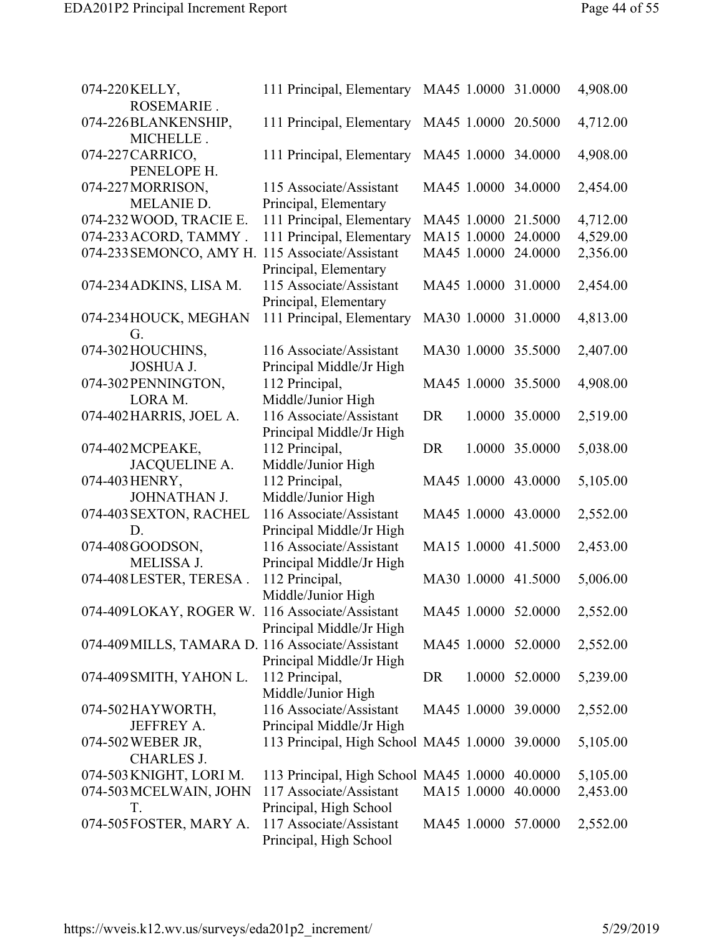| 074-220 KELLY,<br>ROSEMARIE.                     | 111 Principal, Elementary MA45 1.0000 31.0000        |             |             |                     | 4,908.00 |
|--------------------------------------------------|------------------------------------------------------|-------------|-------------|---------------------|----------|
| 074-226BLANKENSHIP,<br>MICHELLE.                 | 111 Principal, Elementary                            | MA45 1.0000 |             | 20.5000             | 4,712.00 |
| 074-227 CARRICO,<br>PENELOPE H.                  | 111 Principal, Elementary                            |             |             | MA45 1.0000 34.0000 | 4,908.00 |
| 074-227 MORRISON,<br><b>MELANIE D.</b>           | 115 Associate/Assistant<br>Principal, Elementary     |             |             | MA45 1.0000 34.0000 | 2,454.00 |
| 074-232 WOOD, TRACIE E.                          | 111 Principal, Elementary                            |             | MA45 1.0000 | 21.5000             | 4,712.00 |
| 074-233 ACORD, TAMMY.                            | 111 Principal, Elementary                            | MA15 1.0000 |             | 24.0000             | 4,529.00 |
| 074-233 SEMONCO, AMY H. 115 Associate/Assistant  | Principal, Elementary                                | MA45 1.0000 |             | 24.0000             | 2,356.00 |
| 074-234 ADKINS, LISA M.                          | 115 Associate/Assistant<br>Principal, Elementary     |             |             | MA45 1.0000 31.0000 | 2,454.00 |
| 074-234 HOUCK, MEGHAN<br>G.                      | 111 Principal, Elementary                            |             | MA30 1.0000 | 31.0000             | 4,813.00 |
| 074-302 HOUCHINS,<br><b>JOSHUA J.</b>            | 116 Associate/Assistant                              |             |             | MA30 1.0000 35.5000 | 2,407.00 |
| 074-302 PENNINGTON,                              | Principal Middle/Jr High<br>112 Principal,           |             |             | MA45 1.0000 35.5000 | 4,908.00 |
| LORA M.<br>074-402 HARRIS, JOEL A.               | Middle/Junior High<br>116 Associate/Assistant        | <b>DR</b>   | 1.0000      | 35.0000             | 2,519.00 |
| 074-402 MCPEAKE,                                 | Principal Middle/Jr High<br>112 Principal,           | DR          | 1.0000      | 35.0000             | 5,038.00 |
| <b>JACQUELINE A.</b><br>074-403 HENRY,           | Middle/Junior High<br>112 Principal,                 |             |             | MA45 1.0000 43.0000 | 5,105.00 |
| <b>JOHNATHAN J.</b><br>074-403 SEXTON, RACHEL    | Middle/Junior High<br>116 Associate/Assistant        |             |             | MA45 1.0000 43.0000 | 2,552.00 |
| D.<br>074-408 GOODSON,                           | Principal Middle/Jr High<br>116 Associate/Assistant  |             |             | MA15 1.0000 41.5000 | 2,453.00 |
| MELISSA J.<br>074-408LESTER, TERESA.             | Principal Middle/Jr High<br>112 Principal,           |             |             | MA30 1.0000 41.5000 | 5,006.00 |
| 074-409LOKAY, ROGER W. 116 Associate/Assistant   | Middle/Junior High                                   |             |             | MA45 1.0000 52.0000 | 2,552.00 |
| 074-409 MILLS, TAMARA D. 116 Associate/Assistant | Principal Middle/Jr High<br>Principal Middle/Jr High |             |             | MA45 1.0000 52.0000 | 2,552.00 |
| 074-409 SMITH, YAHON L.                          | 112 Principal,<br>Middle/Junior High                 | DR          |             | 1.0000 52.0000      | 5,239.00 |
| 074-502 HAYWORTH,                                | 116 Associate/Assistant                              |             |             | MA45 1.0000 39.0000 | 2,552.00 |
| <b>JEFFREY A.</b>                                | Principal Middle/Jr High                             |             |             |                     |          |
| 074-502 WEBER JR,<br><b>CHARLES J.</b>           | 113 Principal, High School MA45 1.0000 39.0000       |             |             |                     | 5,105.00 |
| 074-503 KNIGHT, LORI M.                          | 113 Principal, High School MA45 1.0000               |             |             | 40.0000             | 5,105.00 |
| 074-503 MCELWAIN, JOHN                           | 117 Associate/Assistant                              | MA15 1.0000 |             | 40.0000             | 2,453.00 |
| T.                                               | Principal, High School                               |             |             |                     |          |
| 074-505 FOSTER, MARY A.                          | 117 Associate/Assistant<br>Principal, High School    |             |             | MA45 1.0000 57.0000 | 2,552.00 |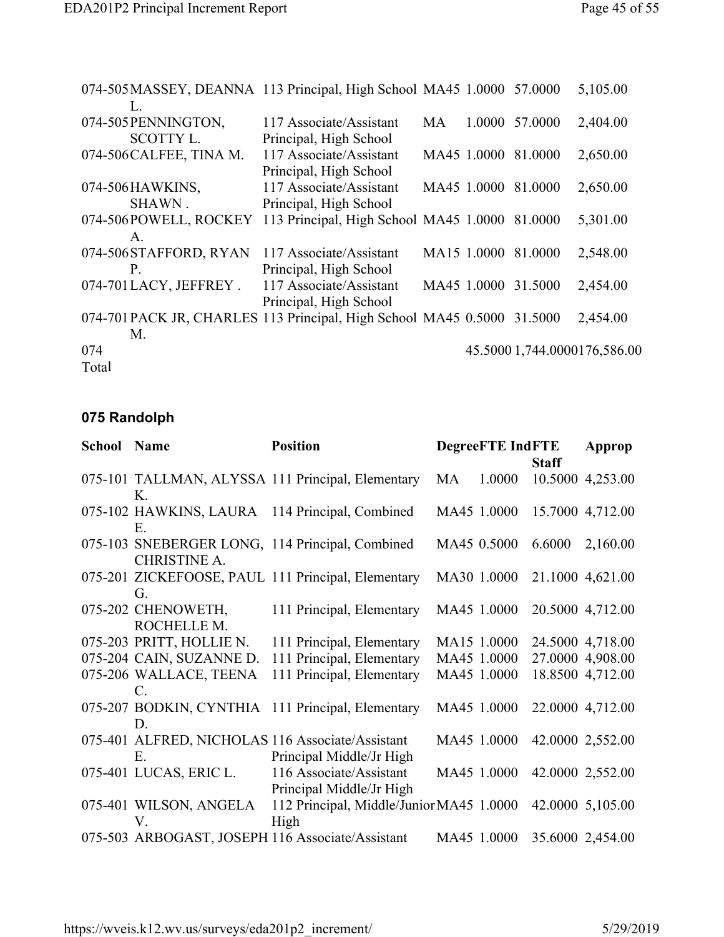| 074-505 MASSEY, DEANNA 113 Principal, High School MA45 1.0000 57.0000  |                                                |    |             |                     | 5,105.00                     |
|------------------------------------------------------------------------|------------------------------------------------|----|-------------|---------------------|------------------------------|
| L.                                                                     |                                                |    |             |                     |                              |
| 074-505 PENNINGTON,                                                    | 117 Associate/Assistant                        | MA | 1.0000      | 57.0000             | 2,404.00                     |
| <b>SCOTTY L.</b>                                                       | Principal, High School                         |    |             |                     |                              |
| 074-506 CALFEE, TINA M.                                                | 117 Associate/Assistant                        |    | MA45 1.0000 | 81.0000             | 2,650.00                     |
|                                                                        | Principal, High School                         |    |             |                     |                              |
| 074-506HAWKINS,                                                        | 117 Associate/Assistant                        |    | MA45 1.0000 | 81.0000             | 2,650.00                     |
| SHAWN.                                                                 | Principal, High School                         |    |             |                     |                              |
| 074-506POWELL, ROCKEY                                                  | 113 Principal, High School MA45 1.0000 81.0000 |    |             |                     | 5,301.00                     |
| $A_{\cdot}$                                                            |                                                |    |             |                     |                              |
| 074-506 STAFFORD, RYAN                                                 | 117 Associate/Assistant                        |    | MA15 1.0000 | 81.0000             | 2,548.00                     |
| P.                                                                     | Principal, High School                         |    |             |                     |                              |
| 074-701LACY, JEFFREY.                                                  | 117 Associate/Assistant                        |    |             | MA45 1.0000 31.5000 | 2,454.00                     |
|                                                                        | Principal, High School                         |    |             |                     |                              |
| 074-701PACK JR, CHARLES 113 Principal, High School MA45 0.5000 31.5000 |                                                |    |             |                     | 2,454.00                     |
| M.                                                                     |                                                |    |             |                     |                              |
| 074                                                                    |                                                |    |             |                     | 45.5000 1,744.0000176,586.00 |
| Total                                                                  |                                                |    |             |                     |                              |

## **075 Randolph**

| <b>School Name</b> |                                           | <b>Position</b>                                                              |    | <b>DegreeFTE IndFTE</b> |              | Approp                       |
|--------------------|-------------------------------------------|------------------------------------------------------------------------------|----|-------------------------|--------------|------------------------------|
|                    | K.                                        | 075-101 TALLMAN, ALYSSA 111 Principal, Elementary                            | MA | 1.0000                  | <b>Staff</b> | 10.5000 4,253.00             |
|                    | Е.                                        | 075-102 HAWKINS, LAURA 114 Principal, Combined                               |    |                         |              | MA45 1.0000 15.7000 4,712.00 |
|                    | <b>CHRISTINE A.</b>                       | 075-103 SNEBERGER LONG, 114 Principal, Combined                              |    | MA45 0.5000             | 6.6000       | 2,160.00                     |
|                    | G.                                        | 075-201 ZICKEFOOSE, PAUL 111 Principal, Elementary                           |    | MA30 1.0000             |              | 21.1000 4,621.00             |
|                    | 075-202 CHENOWETH,<br>ROCHELLE M.         | 111 Principal, Elementary                                                    |    | MA45 1.0000             |              | 20.5000 4,712.00             |
|                    | 075-203 PRITT, HOLLIE N.                  | 111 Principal, Elementary                                                    |    | MA15 1.0000             |              | 24.5000 4,718.00             |
|                    | 075-204 CAIN, SUZANNE D.                  | 111 Principal, Elementary                                                    |    | MA45 1.0000             |              | 27.0000 4,908.00             |
|                    | 075-206 WALLACE, TEENA<br>$\mathcal{C}$ . | 111 Principal, Elementary                                                    |    | MA45 1.0000             |              | 18.8500 4,712.00             |
|                    | D.                                        | 075-207 BODKIN, CYNTHIA 111 Principal, Elementary                            |    | MA45 1.0000             |              | 22.0000 4,712.00             |
|                    | Ε.                                        | 075-401 ALFRED, NICHOLAS 116 Associate/Assistant<br>Principal Middle/Jr High |    | MA45 1.0000             |              | 42.0000 2,552.00             |
|                    | 075-401 LUCAS, ERIC L.                    | 116 Associate/Assistant<br>Principal Middle/Jr High                          |    | MA45 1.0000             |              | 42.0000 2,552.00             |
|                    | 075-401 WILSON, ANGELA<br>$V_{-}$         | 112 Principal, Middle/Junior MA45 1.0000<br>High                             |    |                         |              | 42.0000 5,105.00             |
|                    |                                           | 075-503 ARBOGAST, JOSEPH 116 Associate/Assistant                             |    |                         |              | MA45 1.0000 35.6000 2,454.00 |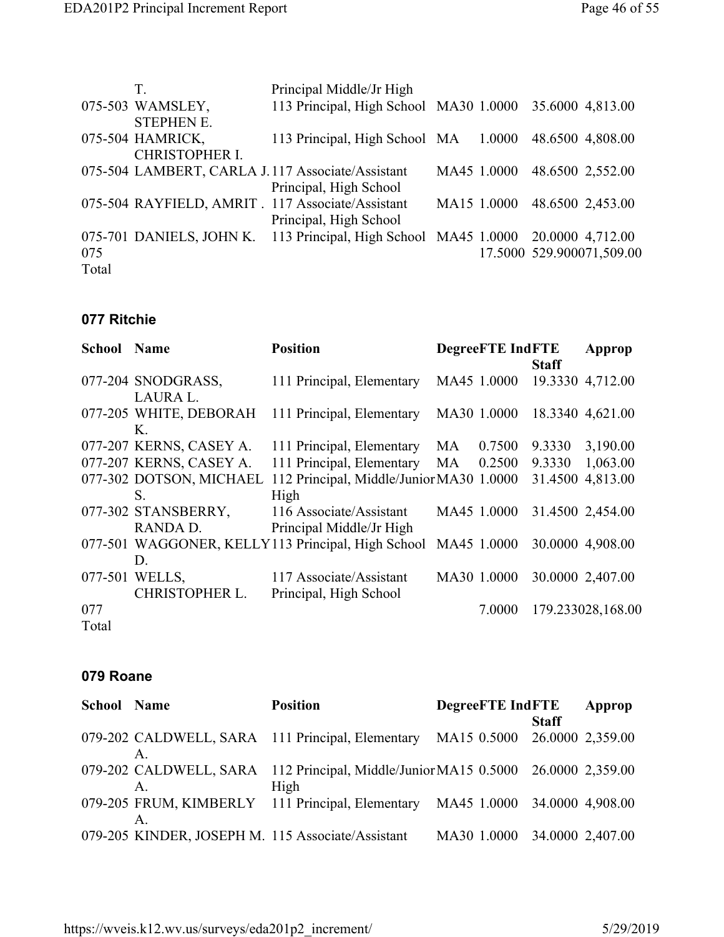|       | T.                    | Principal Middle/Jr High                                                         |             |                              |
|-------|-----------------------|----------------------------------------------------------------------------------|-------------|------------------------------|
|       | 075-503 WAMSLEY,      | 113 Principal, High School MA30 1.0000 35.6000 4,813.00                          |             |                              |
|       | <b>STEPHEN E.</b>     |                                                                                  |             |                              |
|       | 075-504 HAMRICK,      | 113 Principal, High School MA 1.0000 48.6500 4,808.00                            |             |                              |
|       | <b>CHRISTOPHER I.</b> |                                                                                  |             |                              |
|       |                       | 075-504 LAMBERT, CARLA J.117 Associate/Assistant                                 | MA45 1.0000 | 48.6500 2,552.00             |
|       |                       | Principal, High School                                                           |             |                              |
|       |                       | 075-504 RAYFIELD, AMRIT. 117 Associate/Assistant                                 |             | MA15 1.0000 48.6500 2,453.00 |
|       |                       | Principal, High School                                                           |             |                              |
|       |                       | 075-701 DANIELS, JOHN K. 113 Principal, High School MA45 1.0000 20.0000 4,712.00 |             |                              |
| 075   |                       |                                                                                  |             | 17.5000 529.900071,509.00    |
| Total |                       |                                                                                  |             |                              |

#### **077 Ritchie**

| School | <b>Name</b>             | <b>Position</b>                                   |    | <b>DegreeFTE</b> IndFTE |              | Approp            |
|--------|-------------------------|---------------------------------------------------|----|-------------------------|--------------|-------------------|
|        |                         |                                                   |    |                         | <b>Staff</b> |                   |
|        | 077-204 SNODGRASS,      | 111 Principal, Elementary                         |    | MA45 1.0000             |              | 19.3330 4,712.00  |
|        | LAURA L.                |                                                   |    |                         |              |                   |
|        | 077-205 WHITE, DEBORAH  | 111 Principal, Elementary                         |    | MA30 1.0000             |              | 18.3340 4,621.00  |
|        | Κ.                      |                                                   |    |                         |              |                   |
|        | 077-207 KERNS, CASEY A. | 111 Principal, Elementary                         | MA | 0.7500                  | 9.3330       | 3,190.00          |
|        | 077-207 KERNS, CASEY A. | 111 Principal, Elementary                         | MA | 0.2500                  | 9.3330       | 1,063.00          |
|        | 077-302 DOTSON, MICHAEL | 112 Principal, Middle/Junior MA30 1.0000          |    |                         |              | 31.4500 4,813.00  |
|        | S.                      | High                                              |    |                         |              |                   |
|        | 077-302 STANSBERRY,     | 116 Associate/Assistant                           |    | MA45 1.0000             |              | 31.4500 2,454.00  |
|        | RANDA D.                | Principal Middle/Jr High                          |    |                         |              |                   |
|        |                         | 077-501 WAGGONER, KELLY113 Principal, High School |    | MA45 1.0000             |              | 30.0000 4,908.00  |
|        | D.                      |                                                   |    |                         |              |                   |
|        | 077-501 WELLS,          | 117 Associate/Assistant                           |    | MA30 1.0000             |              | 30.0000 2,407.00  |
|        | <b>CHRISTOPHER L.</b>   | Principal, High School                            |    |                         |              |                   |
| 077    |                         |                                                   |    | 7.0000                  |              | 179.233028,168.00 |
| Total  |                         |                                                   |    |                         |              |                   |

#### **079 Roane**

| <b>School Name</b> | <b>Position</b>                                                                  | <b>DegreeFTE IndFTE</b> |              | Approp           |
|--------------------|----------------------------------------------------------------------------------|-------------------------|--------------|------------------|
|                    |                                                                                  |                         | <b>Staff</b> |                  |
|                    | 079-202 CALDWELL, SARA 111 Principal, Elementary MA15 0.5000 26.0000 2,359.00    |                         |              |                  |
|                    |                                                                                  |                         |              |                  |
|                    | 079-202 CALDWELL, SARA 112 Principal, Middle/Junior MA15 0.5000 26.0000 2,359.00 |                         |              |                  |
|                    | High                                                                             |                         |              |                  |
|                    | 079-205 FRUM, KIMBERLY 111 Principal, Elementary MA45 1.0000 34.0000 4,908.00    |                         |              |                  |
|                    |                                                                                  |                         |              |                  |
|                    | 079-205 KINDER, JOSEPH M. 115 Associate/Assistant                                | MA30 1.0000             |              | 34.0000 2,407.00 |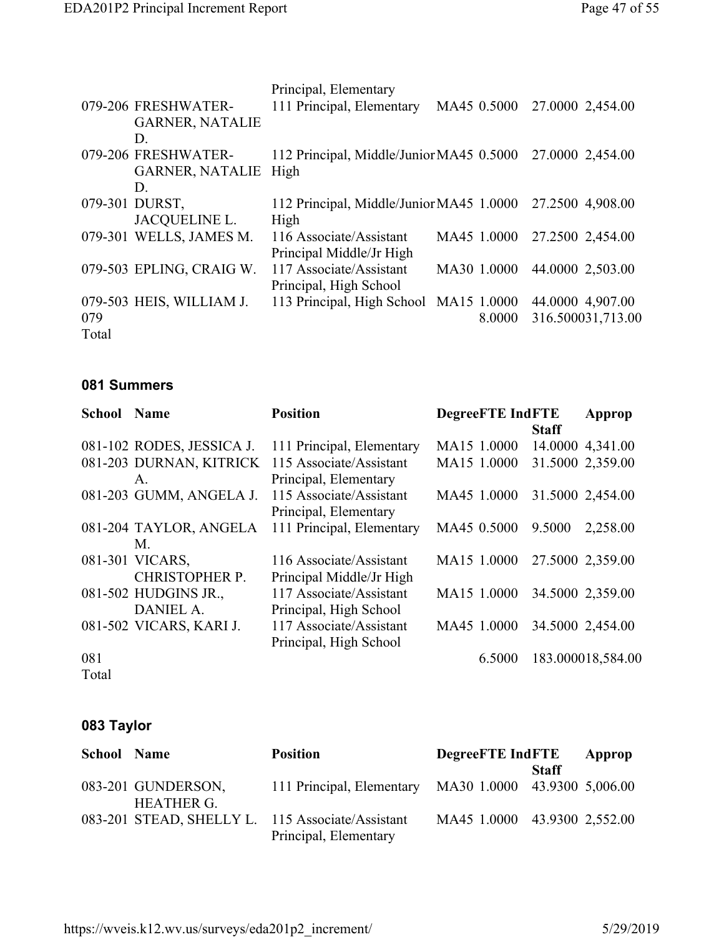|       |                          | Principal, Elementary                    |             |        |                   |
|-------|--------------------------|------------------------------------------|-------------|--------|-------------------|
|       | 079-206 FRESHWATER-      | 111 Principal, Elementary                | MA45 0.5000 |        | 27.0000 2,454.00  |
|       | <b>GARNER, NATALIE</b>   |                                          |             |        |                   |
|       | D.                       |                                          |             |        |                   |
|       | 079-206 FRESHWATER-      | 112 Principal, Middle/Junior MA45 0.5000 |             |        | 27.0000 2,454.00  |
|       | GARNER, NATALIE High     |                                          |             |        |                   |
|       | D.                       |                                          |             |        |                   |
|       | 079-301 DURST,           | 112 Principal, Middle/Junior MA45 1.0000 |             |        | 27.2500 4,908.00  |
|       | <b>JACQUELINE L.</b>     | High                                     |             |        |                   |
|       | 079-301 WELLS, JAMES M.  | 116 Associate/Assistant                  | MA45 1.0000 |        | 27.2500 2,454.00  |
|       |                          | Principal Middle/Jr High                 |             |        |                   |
|       | 079-503 EPLING, CRAIG W. | 117 Associate/Assistant                  | MA30 1.0000 |        | 44.0000 2,503.00  |
|       |                          | Principal, High School                   |             |        |                   |
|       | 079-503 HEIS, WILLIAM J. | 113 Principal, High School MA15 1.0000   |             |        | 44.0000 4,907.00  |
| 079   |                          |                                          |             | 8.0000 | 316.500031,713.00 |
| Total |                          |                                          |             |        |                   |

#### **081 Summers**

| <b>School Name</b> |                           | <b>Position</b>           | <b>DegreeFTE IndFTE</b> | Approp             |
|--------------------|---------------------------|---------------------------|-------------------------|--------------------|
|                    |                           |                           | <b>Staff</b>            |                    |
|                    | 081-102 RODES, JESSICA J. | 111 Principal, Elementary | MA15 1.0000             | 14.0000 4,341.00   |
|                    | 081-203 DURNAN, KITRICK   | 115 Associate/Assistant   | MA15 1.0000             | 31.5000 2,359.00   |
|                    | $A_{-}$                   | Principal, Elementary     |                         |                    |
|                    | 081-203 GUMM, ANGELA J.   | 115 Associate/Assistant   | MA45 1.0000             | 31.5000 2,454.00   |
|                    |                           | Principal, Elementary     |                         |                    |
|                    | 081-204 TAYLOR, ANGELA    | 111 Principal, Elementary | MA45 0.5000             | 9.5000<br>2,258.00 |
|                    | M.                        |                           |                         |                    |
|                    | 081-301 VICARS,           | 116 Associate/Assistant   | MA15 1.0000             | 27.5000 2,359.00   |
|                    | <b>CHRISTOPHER P.</b>     | Principal Middle/Jr High  |                         |                    |
|                    | 081-502 HUDGINS JR.,      | 117 Associate/Assistant   | MA15 1.0000             | 34.5000 2,359.00   |
|                    | DANIEL A.                 | Principal, High School    |                         |                    |
|                    | 081-502 VICARS, KARI J.   | 117 Associate/Assistant   | MA45 1.0000             | 34.5000 2,454.00   |
|                    |                           | Principal, High School    |                         |                    |
| 081                |                           |                           | 6.5000                  | 183.000018,584.00  |
| Total              |                           |                           |                         |                    |

## **083 Taylor**

| <b>School Name</b> |                                         | <b>Position</b>                                                           | <b>DegreeFTE</b> IndFTE      |              | Approp |
|--------------------|-----------------------------------------|---------------------------------------------------------------------------|------------------------------|--------------|--------|
|                    | 083-201 GUNDERSON,<br><b>HEATHER G.</b> | 111 Principal, Elementary MA30 1.0000 43.9300 5,006.00                    |                              | <b>Staff</b> |        |
|                    |                                         | 083-201 STEAD, SHELLY L. 115 Associate/Assistant<br>Principal, Elementary | MA45 1.0000 43.9300 2,552.00 |              |        |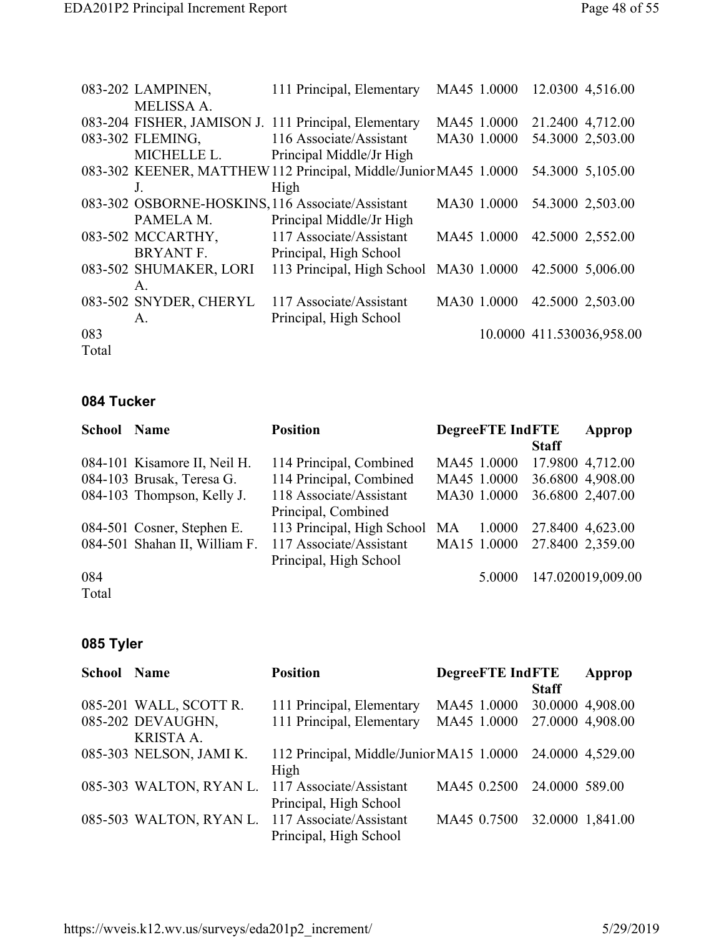|       | 083-202 LAMPINEN,      | 111 Principal, Elementary                                        | MA45 1.0000 | 12.0300 4,516.00          |
|-------|------------------------|------------------------------------------------------------------|-------------|---------------------------|
|       | <b>MELISSA A.</b>      |                                                                  |             |                           |
|       |                        | 083-204 FISHER, JAMISON J. 111 Principal, Elementary             | MA45 1.0000 | 21.2400 4,712.00          |
|       | 083-302 FLEMING,       | 116 Associate/Assistant                                          | MA30 1.0000 | 54.3000 2,503.00          |
|       | MICHELLE L.            | Principal Middle/Jr High                                         |             |                           |
|       |                        | 083-302 KEENER, MATTHEW 112 Principal, Middle/Junior MA45 1.0000 |             | 54.3000 5,105.00          |
|       | $\mathbf{J}$           | High                                                             |             |                           |
|       |                        | 083-302 OSBORNE-HOSKINS, 116 Associate/Assistant                 | MA30 1.0000 | 54.3000 2,503.00          |
|       | PAMELA M.              | Principal Middle/Jr High                                         |             |                           |
|       | 083-502 MCCARTHY,      | 117 Associate/Assistant                                          | MA45 1.0000 | 42.5000 2,552.00          |
|       | BRYANT F.              | Principal, High School                                           |             |                           |
|       | 083-502 SHUMAKER, LORI | 113 Principal, High School                                       | MA30 1.0000 | 42.5000 5,006.00          |
|       | $A_{\cdot}$            |                                                                  |             |                           |
|       | 083-502 SNYDER, CHERYL | 117 Associate/Assistant                                          | MA30 1.0000 | 42.5000 2,503.00          |
|       | $A_{\cdot}$            | Principal, High School                                           |             |                           |
| 083   |                        |                                                                  |             | 10.0000 411.530036,958.00 |
| Total |                        |                                                                  |             |                           |

#### **084 Tucker**

| <b>School Name</b> |                               | <b>Position</b>               | <b>DegreeFTE IndFTE</b> |              | Approp            |
|--------------------|-------------------------------|-------------------------------|-------------------------|--------------|-------------------|
|                    |                               |                               |                         | <b>Staff</b> |                   |
|                    | 084-101 Kisamore II, Neil H.  | 114 Principal, Combined       | MA45 1.0000             |              | 17.9800 4,712.00  |
|                    | 084-103 Brusak, Teresa G.     | 114 Principal, Combined       | MA45 1.0000             |              | 36.6800 4,908.00  |
|                    | 084-103 Thompson, Kelly J.    | 118 Associate/Assistant       | MA30 1.0000             |              | 36.6800 2,407.00  |
|                    |                               | Principal, Combined           |                         |              |                   |
|                    | 084-501 Cosner, Stephen E.    | 113 Principal, High School MA | 1.0000                  |              | 27.8400 4,623.00  |
|                    | 084-501 Shahan II, William F. | 117 Associate/Assistant       | MA15 1.0000             |              | 27.8400 2,359.00  |
|                    |                               | Principal, High School        |                         |              |                   |
| 084                |                               |                               | 5.0000                  |              | 147.020019,009.00 |
|                    |                               |                               |                         |              |                   |

Total

## **085 Tyler**

| <b>School Name</b> |                         | <b>Position</b>                                 | <b>DegreeFTE IndFTE</b> |                | Approp           |
|--------------------|-------------------------|-------------------------------------------------|-------------------------|----------------|------------------|
|                    |                         |                                                 |                         | <b>Staff</b>   |                  |
|                    | 085-201 WALL, SCOTT R.  | 111 Principal, Elementary                       | MA45 1.0000             |                | 30.0000 4,908.00 |
|                    | 085-202 DEVAUGHN,       | 111 Principal, Elementary                       | MA45 1.0000             |                | 27.0000 4,908.00 |
|                    | <b>KRISTA A.</b>        |                                                 |                         |                |                  |
|                    | 085-303 NELSON, JAMI K. | 112 Principal, Middle/Junior MA15 1.0000        |                         |                | 24.0000 4,529.00 |
|                    |                         | High                                            |                         |                |                  |
|                    |                         | 085-303 WALTON, RYAN L. 117 Associate/Assistant | MA45 0.2500             | 24.0000 589.00 |                  |
|                    |                         | Principal, High School                          |                         |                |                  |
|                    |                         | 085-503 WALTON, RYAN L. 117 Associate/Assistant | MA45 0.7500             |                | 32.0000 1,841.00 |
|                    |                         | Principal, High School                          |                         |                |                  |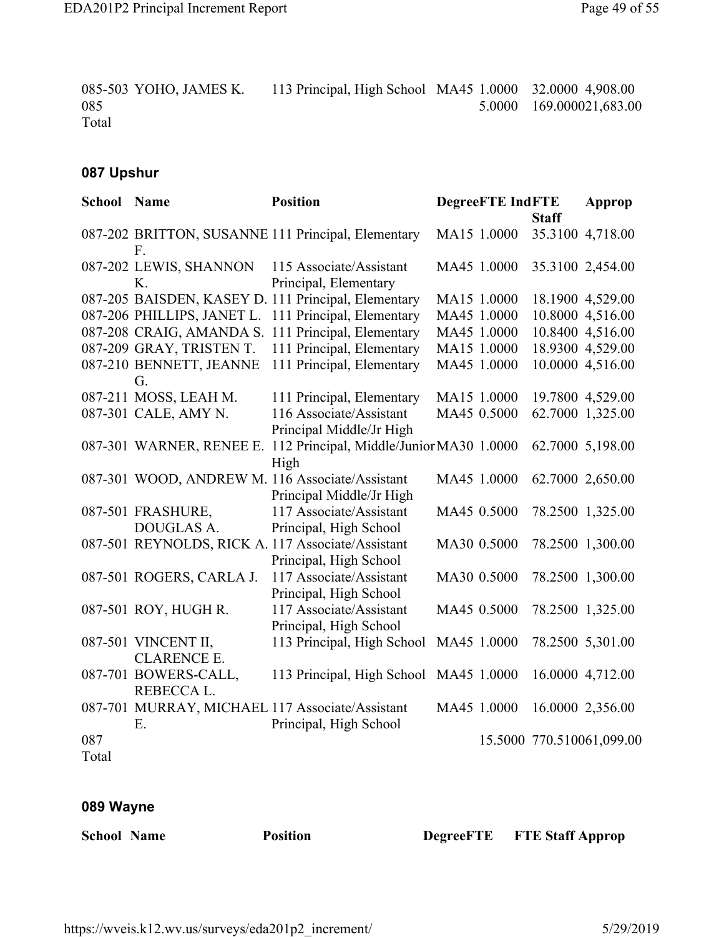085-503 YOHO, JAMES K. 113 Principal, High School MA45 1.0000 32.0000 4,908.00 085 Total 5.0000 169.000021,683.00

#### **087 Upshur**

| <b>School Name</b> |                                    | <b>Position</b>                                                             | <b>DegreeFTE IndFTE</b> |              | Approp                    |
|--------------------|------------------------------------|-----------------------------------------------------------------------------|-------------------------|--------------|---------------------------|
|                    |                                    |                                                                             |                         | <b>Staff</b> |                           |
|                    | $F_{\cdot}$                        | 087-202 BRITTON, SUSANNE 111 Principal, Elementary                          | MA15 1.0000             |              | 35.3100 4,718.00          |
|                    | 087-202 LEWIS, SHANNON<br>K.       | 115 Associate/Assistant<br>Principal, Elementary                            | MA45 1.0000             |              | 35.3100 2,454.00          |
|                    |                                    | 087-205 BAISDEN, KASEY D. 111 Principal, Elementary                         | MA15 1.0000             |              | 18.1900 4,529.00          |
|                    | 087-206 PHILLIPS, JANET L.         | 111 Principal, Elementary                                                   | MA45 1.0000             |              | 10.8000 4,516.00          |
|                    |                                    | 087-208 CRAIG, AMANDA S. 111 Principal, Elementary                          | MA45 1.0000             |              | 10.8400 4,516.00          |
|                    | 087-209 GRAY, TRISTEN T.           | 111 Principal, Elementary                                                   | MA15 1.0000             |              | 18.9300 4,529.00          |
|                    | 087-210 BENNETT, JEANNE<br>G.      | 111 Principal, Elementary                                                   | MA45 1.0000             |              | 10.0000 4,516.00          |
|                    | 087-211 MOSS, LEAH M.              | 111 Principal, Elementary                                                   | MA15 1.0000             |              | 19.7800 4,529.00          |
|                    | 087-301 CALE, AMY N.               | 116 Associate/Assistant<br>Principal Middle/Jr High                         | MA45 0.5000             |              | 62.7000 1,325.00          |
|                    |                                    | 087-301 WARNER, RENEE E. 112 Principal, Middle/Junior MA30 1.0000<br>High   |                         |              | 62.7000 5,198.00          |
|                    |                                    | 087-301 WOOD, ANDREW M. 116 Associate/Assistant<br>Principal Middle/Jr High | MA45 1.0000             |              | 62.7000 2,650.00          |
|                    | 087-501 FRASHURE,                  | 117 Associate/Assistant                                                     | MA45 0.5000             |              | 78.2500 1,325.00          |
|                    | DOUGLAS A.                         | Principal, High School                                                      |                         |              |                           |
|                    |                                    | 087-501 REYNOLDS, RICK A. 117 Associate/Assistant<br>Principal, High School | MA30 0.5000             |              | 78.2500 1,300.00          |
|                    | 087-501 ROGERS, CARLA J.           | 117 Associate/Assistant<br>Principal, High School                           | MA30 0.5000             |              | 78.2500 1,300.00          |
|                    | 087-501 ROY, HUGH R.               | 117 Associate/Assistant<br>Principal, High School                           | MA45 0.5000             |              | 78.2500 1,325.00          |
|                    | 087-501 VINCENT II,                | 113 Principal, High School MA45 1.0000                                      |                         |              | 78.2500 5,301.00          |
|                    | <b>CLARENCE E.</b>                 |                                                                             |                         |              |                           |
|                    | 087-701 BOWERS-CALL,<br>REBECCA L. | 113 Principal, High School MA45 1.0000                                      |                         |              | 16.0000 4,712.00          |
|                    |                                    | 087-701 MURRAY, MICHAEL 117 Associate/Assistant                             | MA45 1.0000             |              | 16.0000 2,356.00          |
|                    | Ε.                                 | Principal, High School                                                      |                         |              |                           |
| 087                |                                    |                                                                             |                         |              | 15.5000 770.510061,099.00 |
| Total              |                                    |                                                                             |                         |              |                           |

#### **089 Wayne**

**School** Name **Position DegreeFTE FTE Staff Approp**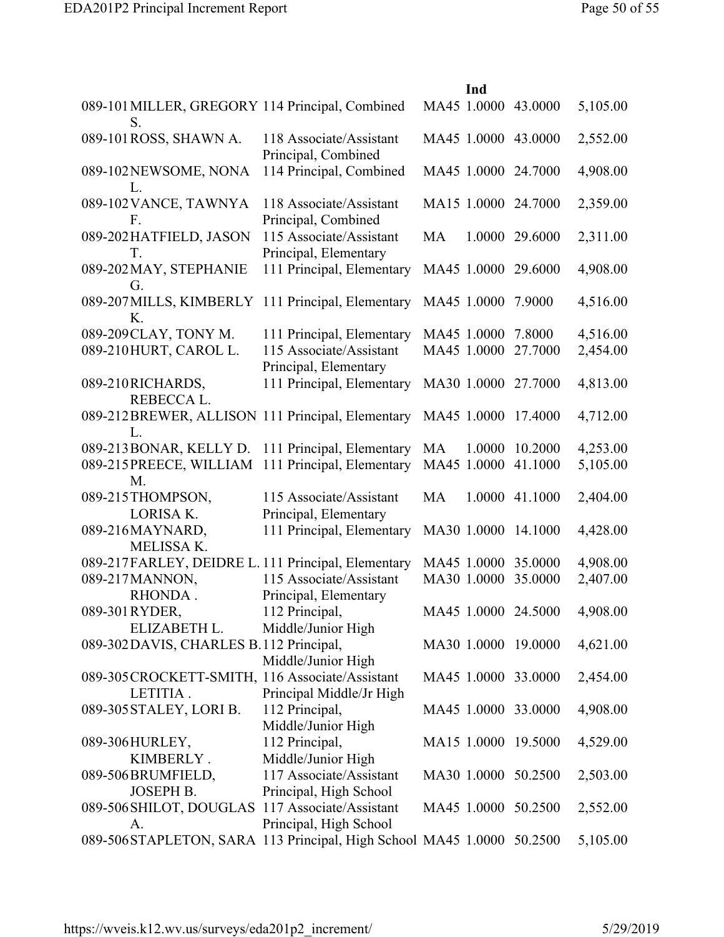|                                                                       |                                                  | Ind                 |                |          |
|-----------------------------------------------------------------------|--------------------------------------------------|---------------------|----------------|----------|
| 089-101 MILLER, GREGORY 114 Principal, Combined<br>S.                 |                                                  | MA45 1.0000 43.0000 |                | 5,105.00 |
| 089-101 ROSS, SHAWN A.                                                | 118 Associate/Assistant<br>Principal, Combined   | MA45 1.0000 43.0000 |                | 2,552.00 |
| 089-102NEWSOME, NONA<br>L.                                            | 114 Principal, Combined                          | MA45 1.0000 24.7000 |                | 4,908.00 |
| 089-102 VANCE, TAWNYA<br>F.                                           | 118 Associate/Assistant<br>Principal, Combined   | MA15 1.0000 24.7000 |                | 2,359.00 |
| 089-202HATFIELD, JASON<br>T.                                          | 115 Associate/Assistant<br>Principal, Elementary | <b>MA</b>           | 1.0000 29.6000 | 2,311.00 |
| 089-202 MAY, STEPHANIE<br>G.                                          | 111 Principal, Elementary                        | MA45 1.0000         | 29.6000        | 4,908.00 |
| 089-207 MILLS, KIMBERLY 111 Principal, Elementary<br>Κ.               |                                                  | MA45 1.0000         | 7.9000         | 4,516.00 |
| 089-209 CLAY, TONY M.                                                 | 111 Principal, Elementary                        | MA45 1.0000 7.8000  |                | 4,516.00 |
| 089-210HURT, CAROL L.                                                 | 115 Associate/Assistant<br>Principal, Elementary | MA45 1.0000         | 27.7000        | 2,454.00 |
| 089-210RICHARDS,<br>REBECCA L.                                        | 111 Principal, Elementary                        | MA30 1.0000 27.7000 |                | 4,813.00 |
| 089-212BREWER, ALLISON 111 Principal, Elementary<br>L                 |                                                  | MA45 1.0000         | 17.4000        | 4,712.00 |
| 089-213 BONAR, KELLY D. 111 Principal, Elementary                     |                                                  | MA<br>1.0000        | 10.2000        | 4,253.00 |
| 089-215 PREECE, WILLIAM 111 Principal, Elementary<br>M.               |                                                  | MA45 1.0000         | 41.1000        | 5,105.00 |
| 089-215THOMPSON,<br><b>LORISA K.</b>                                  | 115 Associate/Assistant<br>Principal, Elementary | <b>MA</b><br>1.0000 | 41.1000        | 2,404.00 |
| 089-216MAYNARD,<br>MELISSA K.                                         | 111 Principal, Elementary                        | MA30 1.0000         | 14.1000        | 4,428.00 |
| 089-217FARLEY, DEIDRE L. 111 Principal, Elementary                    |                                                  | MA45 1.0000 35.0000 |                | 4,908.00 |
| 089-217 MANNON,<br>RHONDA.                                            | 115 Associate/Assistant<br>Principal, Elementary | MA30 1.0000         | 35.0000        | 2,407.00 |
| 089-301 RYDER,<br>ELIZABETH L.                                        | 112 Principal,<br>Middle/Junior High             | MA45 1.0000 24.5000 |                | 4,908.00 |
| 089-302DAVIS, CHARLES B.112 Principal,                                | Middle/Junior High                               | MA30 1.0000 19.0000 |                | 4,621.00 |
| 089-305 CROCKETT-SMITH, 116 Associate/Assistant<br>LETITIA.           | Principal Middle/Jr High                         | MA45 1.0000 33.0000 |                | 2,454.00 |
| 089-305 STALEY, LORI B.                                               | 112 Principal,<br>Middle/Junior High             | MA45 1.0000 33.0000 |                | 4,908.00 |
| 089-306HURLEY,                                                        | 112 Principal,                                   | MA15 1.0000 19.5000 |                | 4,529.00 |
| KIMBERLY.                                                             | Middle/Junior High                               |                     |                |          |
| 089-506BRUMFIELD,                                                     | 117 Associate/Assistant                          | MA30 1.0000 50.2500 |                | 2,503.00 |
| <b>JOSEPH B.</b>                                                      | Principal, High School                           |                     |                |          |
| 089-506 SHILOT, DOUGLAS 117 Associate/Assistant                       |                                                  | MA45 1.0000 50.2500 |                | 2,552.00 |
| А.                                                                    | Principal, High School                           |                     |                |          |
| 089-506STAPLETON, SARA 113 Principal, High School MA45 1.0000 50.2500 |                                                  |                     |                | 5,105.00 |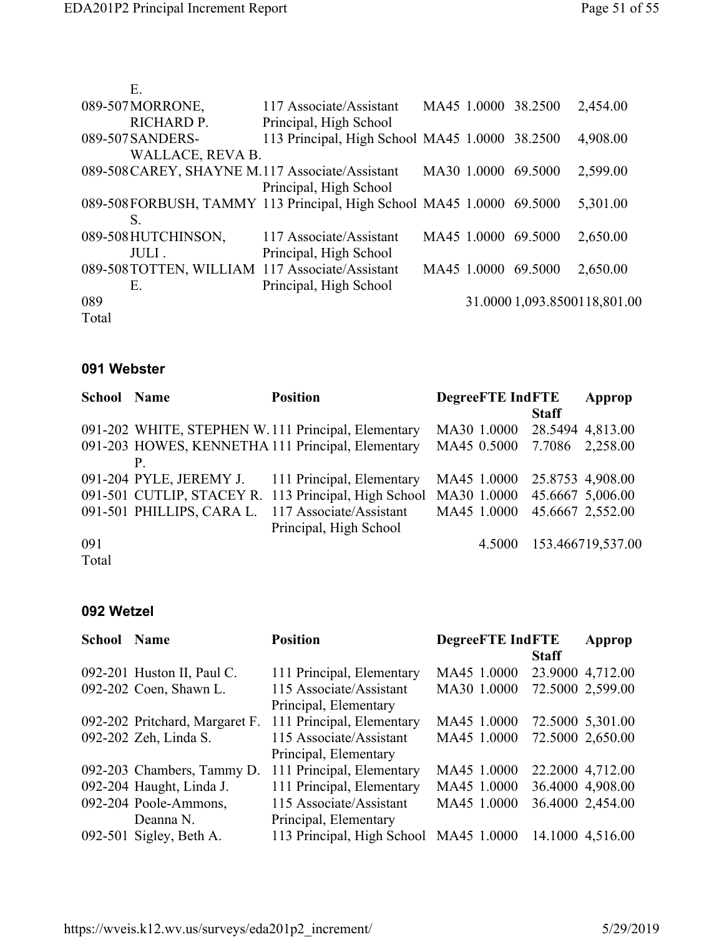| Ε.                                                                   |                                                |             |                     |                              |
|----------------------------------------------------------------------|------------------------------------------------|-------------|---------------------|------------------------------|
| 089-507MORRONE,                                                      | 117 Associate/Assistant                        |             | MA45 1.0000 38.2500 | 2,454.00                     |
| RICHARD P.                                                           | Principal, High School                         |             |                     |                              |
| 089-507SANDERS-                                                      | 113 Principal, High School MA45 1.0000 38.2500 |             |                     | 4,908.00                     |
| WALLACE, REVA B.                                                     |                                                |             |                     |                              |
| 089-508 CAREY, SHAYNE M.117 Associate/Assistant                      |                                                | MA30 1.0000 | 69.5000             | 2,599.00                     |
|                                                                      | Principal, High School                         |             |                     |                              |
| 089-508FORBUSH, TAMMY 113 Principal, High School MA45 1.0000 69.5000 |                                                |             |                     | 5,301.00                     |
| S.                                                                   |                                                |             |                     |                              |
| 089-508 HUTCHINSON,                                                  | 117 Associate/Assistant                        | MA45 1.0000 | 69.5000             | 2,650.00                     |
| JULI.                                                                | Principal, High School                         |             |                     |                              |
| 089-508 TOTTEN, WILLIAM 117 Associate/Assistant                      |                                                | MA45 1.0000 | 69.5000             | 2,650.00                     |
| E.                                                                   | Principal, High School                         |             |                     |                              |
| 089                                                                  |                                                |             |                     | 31.0000 1,093.8500118,801.00 |
| Total                                                                |                                                |             |                     |                              |

#### **091 Webster**

| <b>School Name</b> | <b>Position</b>                                                  | <b>DegreeFTE IndFTE</b>     |              | Approp            |
|--------------------|------------------------------------------------------------------|-----------------------------|--------------|-------------------|
|                    |                                                                  |                             | <b>Staff</b> |                   |
|                    | 091-202 WHITE, STEPHEN W. 111 Principal, Elementary              | MA30 1.0000                 |              | 28.5494 4,813.00  |
|                    | 091-203 HOWES, KENNETHA 111 Principal, Elementary                | MA45 0.5000 7.7086 2,258.00 |              |                   |
|                    |                                                                  |                             |              |                   |
|                    | 091-204 PYLE, JEREMY J. 111 Principal, Elementary                | MA45 1.0000                 |              | 25.8753 4,908.00  |
|                    | 091-501 CUTLIP, STACEY R. 113 Principal, High School MA30 1.0000 |                             |              | 45.6667 5,006.00  |
|                    | 091-501 PHILLIPS, CARA L. 117 Associate/Assistant                | MA45 1.0000                 |              | 45.6667 2,552.00  |
|                    | Principal, High School                                           |                             |              |                   |
| 091                |                                                                  | 4.5000                      |              | 153.466719,537.00 |
| Total              |                                                                  |                             |              |                   |

### **092 Wetzel**

| School | <b>Name</b>                    | <b>Position</b>                        | <b>DegreeFTE</b> IndFTE | Approp           |  |
|--------|--------------------------------|----------------------------------------|-------------------------|------------------|--|
|        |                                |                                        | <b>Staff</b>            |                  |  |
|        | 092-201 Huston II, Paul C.     | 111 Principal, Elementary              | MA45 1.0000             | 23.9000 4,712.00 |  |
|        | 092-202 Coen, Shawn L.         | 115 Associate/Assistant                | MA30 1.0000             | 72.5000 2,599.00 |  |
|        |                                | Principal, Elementary                  |                         |                  |  |
|        | 092-202 Pritchard, Margaret F. | 111 Principal, Elementary              | MA45 1.0000             | 72.5000 5,301.00 |  |
|        | 092-202 Zeh, Linda S.          | 115 Associate/Assistant                | MA45 1.0000             | 72.5000 2,650.00 |  |
|        |                                | Principal, Elementary                  |                         |                  |  |
|        | 092-203 Chambers, Tammy D.     | 111 Principal, Elementary              | MA45 1.0000             | 22.2000 4,712.00 |  |
|        | 092-204 Haught, Linda J.       | 111 Principal, Elementary              | MA45 1.0000             | 36.4000 4,908.00 |  |
|        | 092-204 Poole-Ammons,          | 115 Associate/Assistant                | MA45 1.0000             | 36.4000 2,454.00 |  |
|        | Deanna N.                      | Principal, Elementary                  |                         |                  |  |
|        | 092-501 Sigley, Beth A.        | 113 Principal, High School MA45 1.0000 |                         | 14.1000 4,516.00 |  |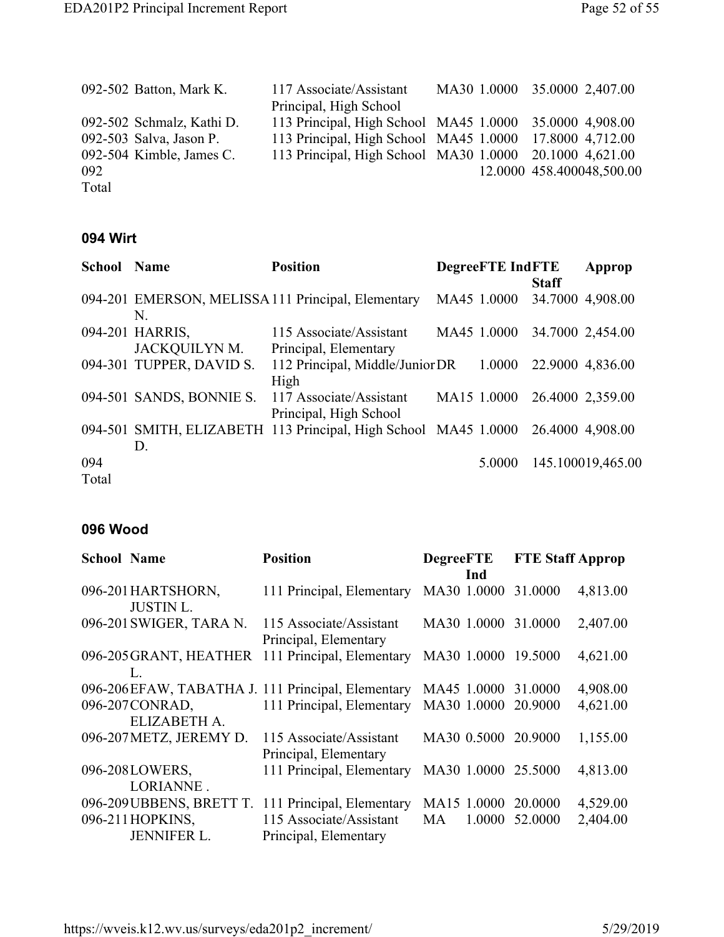|       | 092-502 Batton, Mark K.   | 117 Associate/Assistant                                 |  | MA30 1.0000 35.0000 2,407.00 |  |
|-------|---------------------------|---------------------------------------------------------|--|------------------------------|--|
|       |                           | Principal, High School                                  |  |                              |  |
|       | 092-502 Schmalz, Kathi D. | 113 Principal, High School MA45 1.0000 35.0000 4,908.00 |  |                              |  |
|       | 092-503 Salva, Jason P.   | 113 Principal, High School MA45 1.0000 17.8000 4,712.00 |  |                              |  |
|       | 092-504 Kimble, James C.  | 113 Principal, High School MA30 1.0000 20.1000 4,621.00 |  |                              |  |
| 092   |                           |                                                         |  | 12.0000 458.400048,500.00    |  |
| Total |                           |                                                         |  |                              |  |

#### **094 Wirt**

| <b>School Name</b> |                          | <b>Position</b>                                                 | <b>DegreeFTE IndFTE</b> |              | Approp                       |
|--------------------|--------------------------|-----------------------------------------------------------------|-------------------------|--------------|------------------------------|
|                    |                          |                                                                 |                         | <b>Staff</b> |                              |
|                    |                          | 094-201 EMERSON, MELISSA 111 Principal, Elementary              | MA45 1.0000             |              | 34.7000 4,908.00             |
|                    | N.                       |                                                                 |                         |              |                              |
|                    | 094-201 HARRIS,          | 115 Associate/Assistant                                         | MA45 1.0000             |              | 34.7000 2,454.00             |
|                    | <b>JACKQUILYNM.</b>      | Principal, Elementary                                           |                         |              |                              |
|                    | 094-301 TUPPER, DAVID S. | 112 Principal, Middle/Junior DR 1.0000                          |                         |              | 22.9000 4,836.00             |
|                    |                          | High                                                            |                         |              |                              |
|                    | 094-501 SANDS, BONNIE S. | 117 Associate/Assistant                                         |                         |              | MA15 1.0000 26.4000 2,359.00 |
|                    |                          | Principal, High School                                          |                         |              |                              |
|                    |                          | 094-501 SMITH, ELIZABETH 113 Principal, High School MA45 1.0000 |                         |              | 26.4000 4,908.00             |
|                    | D.                       |                                                                 |                         |              |                              |
| 094                |                          |                                                                 | 5.0000                  |              | 145.100019,465.00            |
| Total              |                          |                                                                 |                         |              |                              |

#### **096 Wood**

| <b>School Name</b> |                                        | <b>Position</b>                                   | <b>DegreeFTE</b>    | <b>FTE Staff Approp</b> |          |
|--------------------|----------------------------------------|---------------------------------------------------|---------------------|-------------------------|----------|
|                    |                                        |                                                   | Ind                 |                         |          |
|                    | 096-201 HARTSHORN,<br><b>JUSTIN L.</b> | 111 Principal, Elementary                         | MA30 1.0000         | 31.0000                 | 4,813.00 |
|                    | 096-201 SWIGER, TARA N.                | 115 Associate/Assistant<br>Principal, Elementary  | MA30 1.0000         | 31.0000                 | 2,407.00 |
|                    | 096-205 GRANT, HEATHER<br>L            | 111 Principal, Elementary                         | MA30 1.0000         | 19.5000                 | 4,621.00 |
|                    |                                        | 096-206EFAW, TABATHA J. 111 Principal, Elementary | MA45 1.0000         | 31.0000                 | 4,908.00 |
|                    | 096-207 CONRAD,<br>ELIZABETH A.        | 111 Principal, Elementary                         | MA30 1.0000         | 20.9000                 | 4,621.00 |
|                    | 096-207 METZ, JEREMY D.                | 115 Associate/Assistant<br>Principal, Elementary  | MA30 0.5000         | 20.9000                 | 1,155.00 |
|                    | 096-208LOWERS,<br>LORIANNE.            | 111 Principal, Elementary                         | MA30 1.0000 25.5000 |                         | 4,813.00 |
|                    | 096-209 UBBENS, BRETT T.               | 111 Principal, Elementary                         | MA15 1.0000         | 20,0000                 | 4,529.00 |
|                    | 096-211 HOPKINS,<br><b>JENNIFER L.</b> | 115 Associate/Assistant<br>Principal, Elementary  | MA<br>1.0000        | 52,0000                 | 2,404.00 |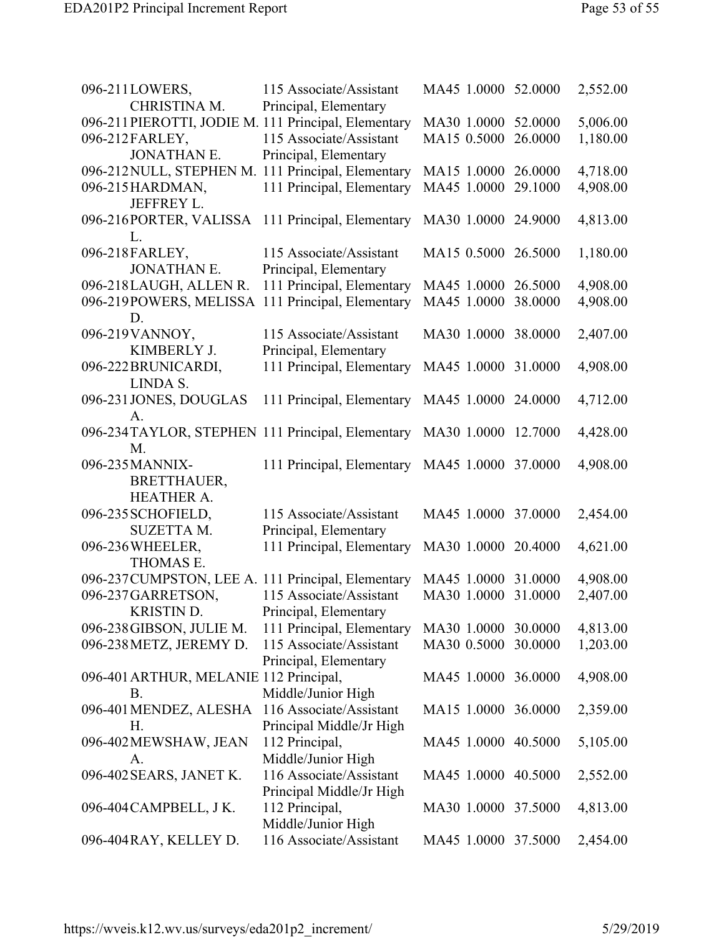| 096-211LOWERS,<br>CHRISTINA M.                       | 115 Associate/Assistant<br>Principal, Elementary | MA45 1.0000 52.0000 |         | 2,552.00 |
|------------------------------------------------------|--------------------------------------------------|---------------------|---------|----------|
| 096-211 PIEROTTI, JODIE M. 111 Principal, Elementary |                                                  | MA30 1.0000 52.0000 |         | 5,006.00 |
| 096-212FARLEY,                                       | 115 Associate/Assistant                          | MA15 0.5000         | 26.0000 | 1,180.00 |
| <b>JONATHAN E.</b>                                   | Principal, Elementary                            |                     |         |          |
| 096-212 NULL, STEPHEN M. 111 Principal, Elementary   |                                                  | MA15 1.0000 26.0000 |         | 4,718.00 |
| 096-215HARDMAN,                                      | 111 Principal, Elementary                        | MA45 1.0000         | 29.1000 | 4,908.00 |
| JEFFREY L.                                           |                                                  |                     |         |          |
| 096-216PORTER, VALISSA<br>L.                         | 111 Principal, Elementary                        | MA30 1.0000 24.9000 |         | 4,813.00 |
| 096-218FARLEY,                                       | 115 Associate/Assistant                          | MA15 0.5000 26.5000 |         | 1,180.00 |
| <b>JONATHAN E.</b>                                   | Principal, Elementary                            |                     |         |          |
| 096-218LAUGH, ALLEN R.                               | 111 Principal, Elementary                        | MA45 1.0000 26.5000 |         | 4,908.00 |
| 096-219POWERS, MELISSA                               | 111 Principal, Elementary                        | MA45 1.0000         | 38.0000 | 4,908.00 |
| D.                                                   |                                                  |                     |         |          |
| 096-219 VANNOY,                                      | 115 Associate/Assistant                          | MA30 1.0000 38.0000 |         | 2,407.00 |
| KIMBERLY J.                                          | Principal, Elementary                            |                     |         |          |
| 096-222BRUNICARDI,                                   | 111 Principal, Elementary                        | MA45 1.0000 31.0000 |         | 4,908.00 |
| LINDA S.                                             |                                                  |                     |         |          |
| 096-231 JONES, DOUGLAS                               | 111 Principal, Elementary                        | MA45 1.0000 24.0000 |         | 4,712.00 |
| A.                                                   |                                                  |                     |         |          |
| 096-234TAYLOR, STEPHEN 111 Principal, Elementary     |                                                  | MA30 1.0000         | 12.7000 | 4,428.00 |
| M.                                                   |                                                  |                     |         |          |
| 096-235MANNIX-                                       | 111 Principal, Elementary                        | MA45 1.0000 37.0000 |         | 4,908.00 |
| <b>BRETTHAUER,</b>                                   |                                                  |                     |         |          |
| <b>HEATHER A.</b>                                    |                                                  |                     |         |          |
| 096-235 SCHOFIELD,                                   | 115 Associate/Assistant                          | MA45 1.0000 37.0000 |         | 2,454.00 |
| <b>SUZETTA M.</b>                                    | Principal, Elementary                            |                     |         |          |
| 096-236WHEELER,                                      | 111 Principal, Elementary                        | MA30 1.0000 20.4000 |         | 4,621.00 |
| THOMAS E.                                            |                                                  |                     |         |          |
| 096-237 CUMPSTON, LEE A. 111 Principal, Elementary   |                                                  | MA45 1.0000 31.0000 |         | 4,908.00 |
| 096-237GARRETSON,                                    | 115 Associate/Assistant                          | MA30 1.0000 31.0000 |         | 2,407.00 |
| <b>KRISTIN D.</b>                                    | Principal, Elementary                            |                     |         |          |
| 096-238 GIBSON, JULIE M.                             | 111 Principal, Elementary                        | MA30 1.0000 30.0000 |         | 4,813.00 |
| 096-238 METZ, JEREMY D.                              | 115 Associate/Assistant                          | MA30 0.5000         | 30.0000 | 1,203.00 |
|                                                      | Principal, Elementary                            |                     |         |          |
| 096-401 ARTHUR, MELANIE 112 Principal,               |                                                  | MA45 1.0000 36.0000 |         | 4,908.00 |
| <b>B.</b>                                            | Middle/Junior High                               |                     |         |          |
| 096-401 MENDEZ, ALESHA                               | 116 Associate/Assistant                          | MA15 1.0000 36.0000 |         | 2,359.00 |
| Н.                                                   | Principal Middle/Jr High                         |                     |         |          |
| 096-402 MEWSHAW, JEAN                                | 112 Principal,                                   | MA45 1.0000 40.5000 |         | 5,105.00 |
| A.                                                   | Middle/Junior High                               |                     |         |          |
| 096-402 SEARS, JANET K.                              | 116 Associate/Assistant                          | MA45 1.0000 40.5000 |         | 2,552.00 |
|                                                      | Principal Middle/Jr High                         |                     |         |          |
| 096-404 CAMPBELL, J K.                               | 112 Principal,                                   | MA30 1.0000 37.5000 |         | 4,813.00 |
|                                                      | Middle/Junior High                               |                     |         |          |
| 096-404 RAY, KELLEY D.                               | 116 Associate/Assistant                          | MA45 1.0000 37.5000 |         | 2,454.00 |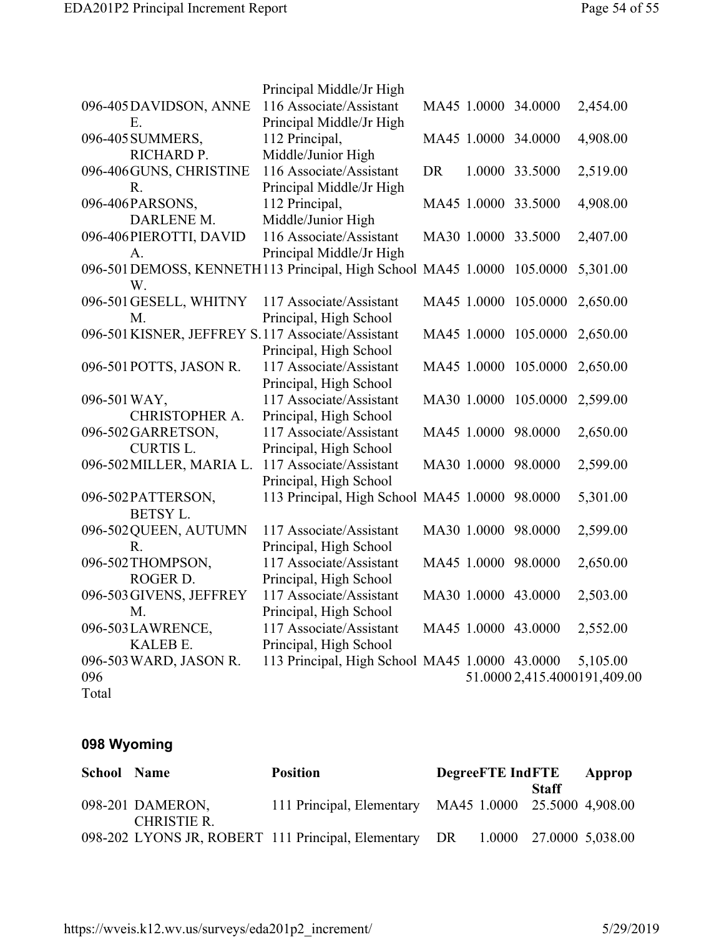|                                                                        | Principal Middle/Jr High                       |    |             |                      |                              |
|------------------------------------------------------------------------|------------------------------------------------|----|-------------|----------------------|------------------------------|
| 096-405DAVIDSON, ANNE                                                  | 116 Associate/Assistant                        |    |             | MA45 1.0000 34.0000  | 2,454.00                     |
| Ε.                                                                     | Principal Middle/Jr High                       |    |             |                      |                              |
| 096-405 SUMMERS,                                                       | 112 Principal,                                 |    |             | MA45 1.0000 34.0000  | 4,908.00                     |
| RICHARD P.                                                             | Middle/Junior High                             |    |             |                      |                              |
| 096-406 GUNS, CHRISTINE                                                | 116 Associate/Assistant                        | DR |             | 1.0000 33.5000       | 2,519.00                     |
| R.                                                                     | Principal Middle/Jr High                       |    |             |                      |                              |
| 096-406PARSONS,                                                        | 112 Principal,                                 |    |             | MA45 1.0000 33.5000  | 4,908.00                     |
| DARLENE M.                                                             | Middle/Junior High                             |    |             |                      |                              |
| 096-406 PIEROTTI, DAVID                                                | 116 Associate/Assistant                        |    | MA30 1.0000 | 33.5000              | 2,407.00                     |
| A.                                                                     | Principal Middle/Jr High                       |    |             |                      |                              |
| 096-501 DEMOSS, KENNETH113 Principal, High School MA45 1.0000 105.0000 |                                                |    |             |                      | 5,301.00                     |
| W.                                                                     |                                                |    |             |                      |                              |
| 096-501 GESELL, WHITNY                                                 | 117 Associate/Assistant                        |    |             | MA45 1.0000 105.0000 | 2,650.00                     |
| M.                                                                     | Principal, High School                         |    |             |                      |                              |
| 096-501 KISNER, JEFFREY S.117 Associate/Assistant                      |                                                |    | MA45 1.0000 | 105.0000             | 2,650.00                     |
|                                                                        | Principal, High School                         |    |             |                      |                              |
| 096-501 POTTS, JASON R.                                                | 117 Associate/Assistant                        |    | MA45 1.0000 | 105.0000             | 2,650.00                     |
|                                                                        | Principal, High School                         |    |             |                      |                              |
| 096-501 WAY,                                                           | 117 Associate/Assistant                        |    |             | MA30 1.0000 105.0000 | 2,599.00                     |
| CHRISTOPHER A.                                                         | Principal, High School                         |    |             |                      |                              |
| 096-502 GARRETSON,                                                     | 117 Associate/Assistant                        |    |             | MA45 1.0000 98.0000  | 2,650.00                     |
| <b>CURTIS L.</b>                                                       | Principal, High School                         |    |             |                      |                              |
| 096-502 MILLER, MARIA L.                                               | 117 Associate/Assistant                        |    | MA30 1.0000 | 98.0000              | 2,599.00                     |
|                                                                        | Principal, High School                         |    |             |                      |                              |
| 096-502PATTERSON,                                                      | 113 Principal, High School MA45 1.0000 98.0000 |    |             |                      | 5,301.00                     |
| <b>BETSY L.</b>                                                        |                                                |    |             |                      |                              |
| 096-502 QUEEN, AUTUMN                                                  | 117 Associate/Assistant                        |    |             | MA30 1.0000 98.0000  | 2,599.00                     |
| R.                                                                     | Principal, High School                         |    |             |                      |                              |
| 096-502 THOMPSON,                                                      | 117 Associate/Assistant                        |    | MA45 1.0000 | 98.0000              | 2,650.00                     |
| ROGER D.                                                               | Principal, High School                         |    |             |                      |                              |
| 096-503 GIVENS, JEFFREY                                                | 117 Associate/Assistant                        |    |             | MA30 1.0000 43.0000  | 2,503.00                     |
| M.                                                                     | Principal, High School                         |    |             |                      |                              |
| 096-503LAWRENCE,                                                       | 117 Associate/Assistant                        |    |             | MA45 1.0000 43.0000  | 2,552.00                     |
| KALEB E.                                                               | Principal, High School                         |    |             |                      |                              |
| 096-503 WARD, JASON R.                                                 | 113 Principal, High School MA45 1.0000 43.0000 |    |             |                      | 5,105.00                     |
| 096                                                                    |                                                |    |             |                      | 51.0000 2,415.4000191,409.00 |
| Total                                                                  |                                                |    |             |                      |                              |

## **098 Wyoming**

| <b>School Name</b> |                    | <b>Position</b>                                                               | <b>DegreeFTE</b> IndFTE |  |       | Approp |
|--------------------|--------------------|-------------------------------------------------------------------------------|-------------------------|--|-------|--------|
|                    |                    |                                                                               |                         |  | Staff |        |
|                    | 098-201 DAMERON,   | 111 Principal, Elementary MA45 1.0000 25.5000 4,908.00                        |                         |  |       |        |
|                    | <b>CHRISTIE R.</b> |                                                                               |                         |  |       |        |
|                    |                    | 098-202 LYONS JR, ROBERT 111 Principal, Elementary DR 1.0000 27.0000 5,038.00 |                         |  |       |        |